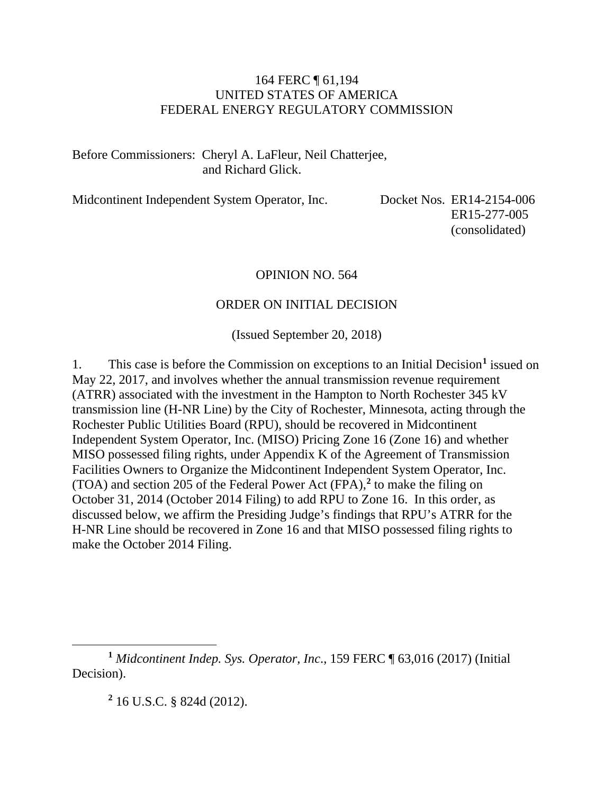#### 164 FERC ¶ 61,194 UNITED STATES OF AMERICA FEDERAL ENERGY REGULATORY COMMISSION

#### Before Commissioners: Cheryl A. LaFleur, Neil Chatterjee, and Richard Glick.

Midcontinent Independent System Operator, Inc. Docket Nos. ER14-2154-006

ER15-277-005 (consolidated)

#### OPINION NO. 564

#### ORDER ON INITIAL DECISION

(Issued September 20, 2018)

1. This case is before the Commission on exceptions to an Initial Decision**[1](#page-0-0)** issued on May 22, 2017, and involves whether the annual transmission revenue requirement (ATRR) associated with the investment in the Hampton to North Rochester 345 kV transmission line (H-NR Line) by the City of Rochester, Minnesota, acting through the Rochester Public Utilities Board (RPU), should be recovered in Midcontinent Independent System Operator, Inc. (MISO) Pricing Zone 16 (Zone 16) and whether MISO possessed filing rights, under Appendix K of the Agreement of Transmission Facilities Owners to Organize the Midcontinent Independent System Operator, Inc. (TOA) and section 205 of the Federal Power Act (FPA),**[2](#page-0-1)** to make the filing on October 31, 2014 (October 2014 Filing) to add RPU to Zone 16. In this order, as discussed below, we affirm the Presiding Judge's findings that RPU's ATRR for the H-NR Line should be recovered in Zone 16 and that MISO possessed filing rights to make the October 2014 Filing.

<span id="page-0-1"></span><span id="page-0-0"></span>**<sup>1</sup>** *Midcontinent Indep. Sys. Operator, Inc*., 159 FERC ¶ 63,016 (2017) (Initial Decision).

**<sup>2</sup>** 16 U.S.C. § 824d (2012).

 $\overline{a}$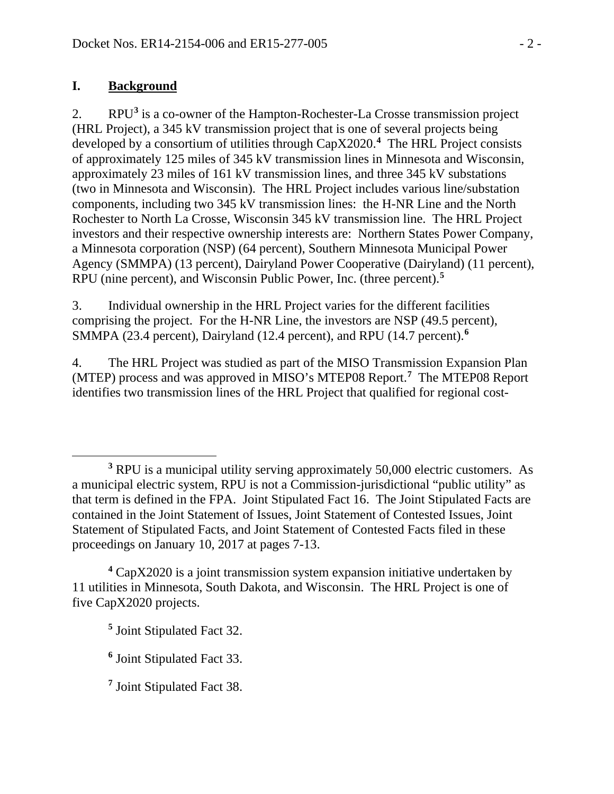### **I. Background**

2. RPU**[3](#page-1-0)** is a co-owner of the Hampton-Rochester-La Crosse transmission project (HRL Project), a 345 kV transmission project that is one of several projects being developed by a consortium of utilities through CapX2020.**[4](#page-1-1)** The HRL Project consists of approximately 125 miles of 345 kV transmission lines in Minnesota and Wisconsin, approximately 23 miles of 161 kV transmission lines, and three 345 kV substations (two in Minnesota and Wisconsin). The HRL Project includes various line/substation components, including two 345 kV transmission lines: the H-NR Line and the North Rochester to North La Crosse, Wisconsin 345 kV transmission line. The HRL Project investors and their respective ownership interests are: Northern States Power Company, a Minnesota corporation (NSP) (64 percent), Southern Minnesota Municipal Power Agency (SMMPA) (13 percent), Dairyland Power Cooperative (Dairyland) (11 percent), RPU (nine percent), and Wisconsin Public Power, Inc. (three percent).**[5](#page-1-2)**

3. Individual ownership in the HRL Project varies for the different facilities comprising the project. For the H-NR Line, the investors are NSP (49.5 percent), SMMPA (23.4 percent), Dairyland (12.4 percent), and RPU (14.7 percent).**[6](#page-1-3)**

4. The HRL Project was studied as part of the MISO Transmission Expansion Plan (MTEP) process and was approved in MISO's MTEP08 Report.**[7](#page-1-4)** The MTEP08 Report identifies two transmission lines of the HRL Project that qualified for regional cost-

<span id="page-1-0"></span> $\overline{a}$ **<sup>3</sup>** RPU is a municipal utility serving approximately 50,000 electric customers. As a municipal electric system, RPU is not a Commission-jurisdictional "public utility" as that term is defined in the FPA. Joint Stipulated Fact 16. The Joint Stipulated Facts are contained in the Joint Statement of Issues, Joint Statement of Contested Issues, Joint Statement of Stipulated Facts, and Joint Statement of Contested Facts filed in these proceedings on January 10, 2017 at pages 7-13.

<span id="page-1-2"></span><span id="page-1-1"></span>**<sup>4</sup>** CapX2020 is a joint transmission system expansion initiative undertaken by 11 utilities in Minnesota, South Dakota, and Wisconsin. The HRL Project is one of five CapX2020 projects.

**<sup>5</sup>** Joint Stipulated Fact 32.

<span id="page-1-3"></span>**<sup>6</sup>** Joint Stipulated Fact 33.

<span id="page-1-4"></span>**<sup>7</sup>** Joint Stipulated Fact 38.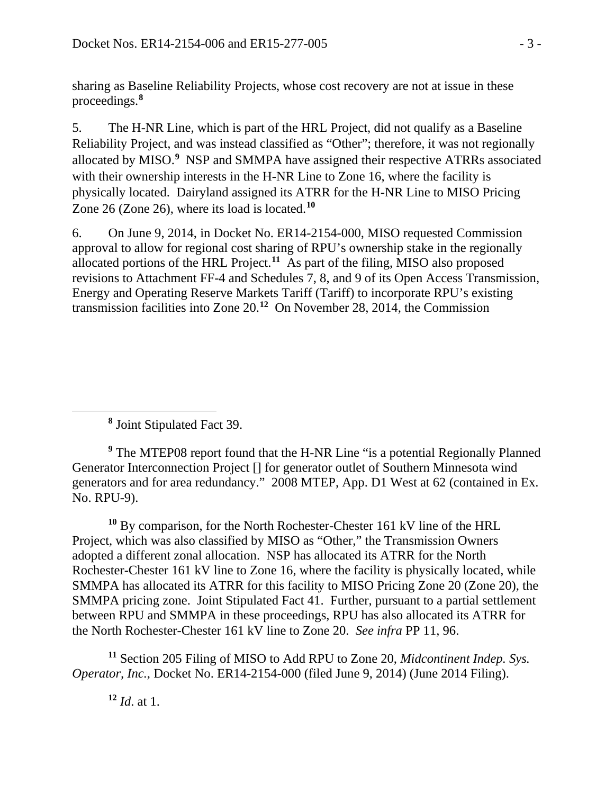sharing as Baseline Reliability Projects, whose cost recovery are not at issue in these proceedings. **[8](#page-2-0)**

5. The H-NR Line, which is part of the HRL Project, did not qualify as a Baseline Reliability Project, and was instead classified as "Other"; therefore, it was not regionally allocated by MISO.<sup>[9](#page-2-1)</sup> NSP and SMMPA have assigned their respective ATRRs associated with their ownership interests in the H-NR Line to Zone 16, where the facility is physically located. Dairyland assigned its ATRR for the H-NR Line to MISO Pricing Zone 26 (Zone 26), where its load is located.**[10](#page-2-2)**

6. On June 9, 2014, in Docket No. ER14-2154-000, MISO requested Commission approval to allow for regional cost sharing of RPU's ownership stake in the regionally allocated portions of the HRL Project. **[11](#page-2-3)** As part of the filing, MISO also proposed revisions to Attachment FF-4 and Schedules 7, 8, and 9 of its Open Access Transmission, Energy and Operating Reserve Markets Tariff (Tariff) to incorporate RPU's existing transmission facilities into Zone 20. **[12](#page-2-4)** On November 28, 2014, the Commission

**<sup>8</sup>** Joint Stipulated Fact 39.

<span id="page-2-0"></span> $\overline{a}$ 

<span id="page-2-1"></span>**<sup>9</sup>** The MTEP08 report found that the H-NR Line "is a potential Regionally Planned Generator Interconnection Project [] for generator outlet of Southern Minnesota wind generators and for area redundancy." 2008 MTEP, App. D1 West at 62 (contained in Ex. No. RPU-9).

<span id="page-2-2"></span>**<sup>10</sup>** By comparison, for the North Rochester-Chester 161 kV line of the HRL Project, which was also classified by MISO as "Other," the Transmission Owners adopted a different zonal allocation. NSP has allocated its ATRR for the North Rochester-Chester 161 kV line to Zone 16, where the facility is physically located, while SMMPA has allocated its ATRR for this facility to MISO Pricing Zone 20 (Zone 20), the SMMPA pricing zone. Joint Stipulated Fact 41. Further, pursuant to a partial settlement between RPU and SMMPA in these proceedings, RPU has also allocated its ATRR for the North Rochester-Chester 161 kV line to Zone 20. *See infra* PP 11, 96.

<span id="page-2-4"></span><span id="page-2-3"></span>**<sup>11</sup>** Section 205 Filing of MISO to Add RPU to Zone 20, *Midcontinent Indep. Sys. Operator, Inc.*, Docket No. ER14-2154-000 (filed June 9, 2014) (June 2014 Filing).

**<sup>12</sup>** *Id*. at 1.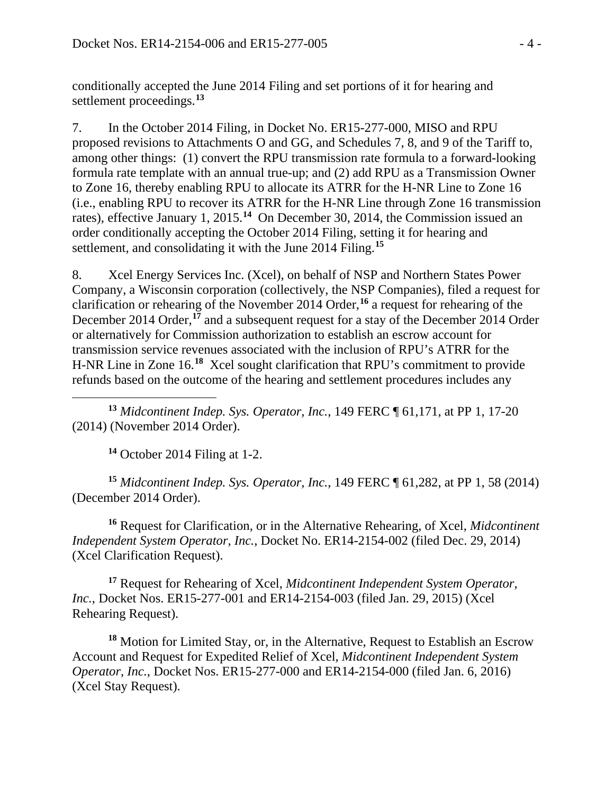conditionally accepted the June 2014 Filing and set portions of it for hearing and settlement proceedings.**[13](#page-3-0)**

7. In the October 2014 Filing, in Docket No. ER15-277-000, MISO and RPU proposed revisions to Attachments O and GG, and Schedules 7, 8, and 9 of the Tariff to, among other things: (1) convert the RPU transmission rate formula to a forward-looking formula rate template with an annual true-up; and (2) add RPU as a Transmission Owner to Zone 16, thereby enabling RPU to allocate its ATRR for the H-NR Line to Zone 16 (i.e., enabling RPU to recover its ATRR for the H-NR Line through Zone 16 transmission rates), effective January 1, 2015.**[14](#page-3-1)** On December 30, 2014, the Commission issued an order conditionally accepting the October 2014 Filing, setting it for hearing and settlement, and consolidating it with the June 2014 Filing.**[15](#page-3-2)**

8. Xcel Energy Services Inc. (Xcel), on behalf of NSP and Northern States Power Company, a Wisconsin corporation (collectively, the NSP Companies), filed a request for clarification or rehearing of the November 2014 Order,**[16](#page-3-3)** a request for rehearing of the December 2014 Order,**[17](#page-3-4)** and a subsequent request for a stay of the December 2014 Order or alternatively for Commission authorization to establish an escrow account for transmission service revenues associated with the inclusion of RPU's ATRR for the H-NR Line in Zone 16.**[18](#page-3-5)** Xcel sought clarification that RPU's commitment to provide refunds based on the outcome of the hearing and settlement procedures includes any

<span id="page-3-0"></span> $\overline{a}$ **<sup>13</sup>** *Midcontinent Indep. Sys. Operator, Inc.*, 149 FERC ¶ 61,171, at PP 1, 17-20 (2014) (November 2014 Order).

**<sup>14</sup>** October 2014 Filing at 1-2.

<span id="page-3-2"></span><span id="page-3-1"></span>**<sup>15</sup>** *Midcontinent Indep. Sys. Operator, Inc.*, 149 FERC ¶ 61,282, at PP 1, 58 (2014) (December 2014 Order).

<span id="page-3-3"></span>**<sup>16</sup>** Request for Clarification, or in the Alternative Rehearing, of Xcel, *Midcontinent Independent System Operator, Inc.*, Docket No. ER14-2154-002 (filed Dec. 29, 2014) (Xcel Clarification Request).

<span id="page-3-4"></span>**<sup>17</sup>** Request for Rehearing of Xcel, *Midcontinent Independent System Operator, Inc.*, Docket Nos. ER15-277-001 and ER14-2154-003 (filed Jan. 29, 2015) (Xcel Rehearing Request).

<span id="page-3-5"></span>**<sup>18</sup>** Motion for Limited Stay, or, in the Alternative, Request to Establish an Escrow Account and Request for Expedited Relief of Xcel, *Midcontinent Independent System Operator, Inc.*, Docket Nos. ER15-277-000 and ER14-2154-000 (filed Jan. 6, 2016) (Xcel Stay Request).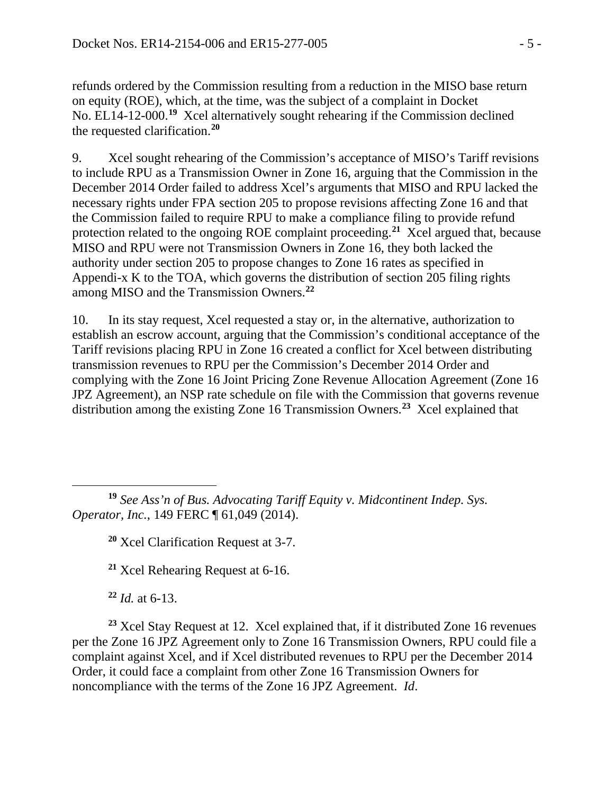refunds ordered by the Commission resulting from a reduction in the MISO base return on equity (ROE), which, at the time, was the subject of a complaint in Docket No. EL14-12-000.**[19](#page-4-0)** Xcel alternatively sought rehearing if the Commission declined the requested clarification.**[20](#page-4-1)**

9. Xcel sought rehearing of the Commission's acceptance of MISO's Tariff revisions to include RPU as a Transmission Owner in Zone 16, arguing that the Commission in the December 2014 Order failed to address Xcel's arguments that MISO and RPU lacked the necessary rights under FPA section 205 to propose revisions affecting Zone 16 and that the Commission failed to require RPU to make a compliance filing to provide refund protection related to the ongoing ROE complaint proceeding.**[21](#page-4-2)** Xcel argued that, because MISO and RPU were not Transmission Owners in Zone 16, they both lacked the authority under section 205 to propose changes to Zone 16 rates as specified in Appendi-x K to the TOA, which governs the distribution of section 205 filing rights among MISO and the Transmission Owners.**[22](#page-4-3)**

10. In its stay request, Xcel requested a stay or, in the alternative, authorization to establish an escrow account, arguing that the Commission's conditional acceptance of the Tariff revisions placing RPU in Zone 16 created a conflict for Xcel between distributing transmission revenues to RPU per the Commission's December 2014 Order and complying with the Zone 16 Joint Pricing Zone Revenue Allocation Agreement (Zone 16 JPZ Agreement), an NSP rate schedule on file with the Commission that governs revenue distribution among the existing Zone 16 Transmission Owners.**[23](#page-4-4)** Xcel explained that

<span id="page-4-1"></span><span id="page-4-0"></span> $\overline{a}$ **<sup>19</sup>** *See Ass'n of Bus. Advocating Tariff Equity v. Midcontinent Indep. Sys. Operator, Inc.*, 149 FERC ¶ 61,049 (2014).

**<sup>20</sup>** Xcel Clarification Request at 3-7.

**<sup>21</sup>** Xcel Rehearing Request at 6-16.

**<sup>22</sup>** *Id.* at 6-13.

<span id="page-4-4"></span><span id="page-4-3"></span><span id="page-4-2"></span>**<sup>23</sup>** Xcel Stay Request at 12. Xcel explained that, if it distributed Zone 16 revenues per the Zone 16 JPZ Agreement only to Zone 16 Transmission Owners, RPU could file a complaint against Xcel, and if Xcel distributed revenues to RPU per the December 2014 Order, it could face a complaint from other Zone 16 Transmission Owners for noncompliance with the terms of the Zone 16 JPZ Agreement. *Id*.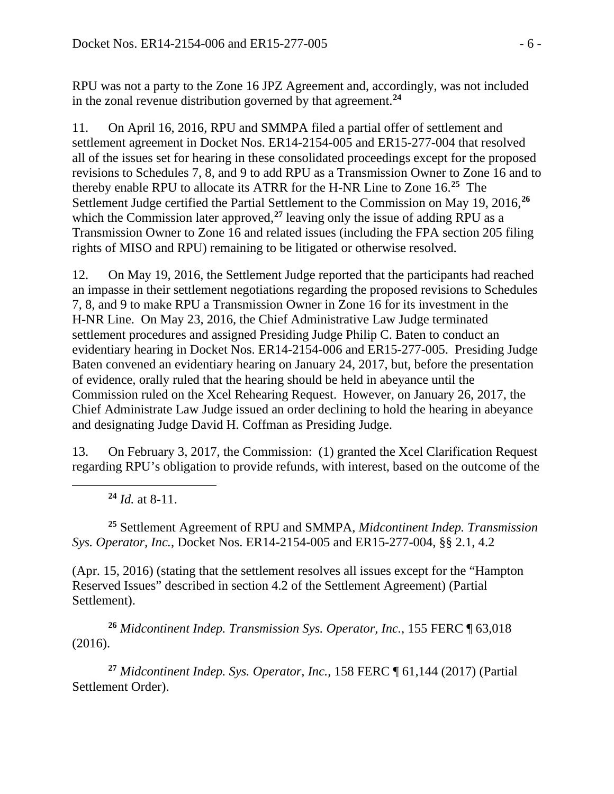RPU was not a party to the Zone 16 JPZ Agreement and, accordingly, was not included in the zonal revenue distribution governed by that agreement.**[24](#page-5-0)**

11. On April 16, 2016, RPU and SMMPA filed a partial offer of settlement and settlement agreement in Docket Nos. ER14-2154-005 and ER15-277-004 that resolved all of the issues set for hearing in these consolidated proceedings except for the proposed revisions to Schedules 7, 8, and 9 to add RPU as a Transmission Owner to Zone 16 and to thereby enable RPU to allocate its ATRR for the H-NR Line to Zone 16. **[25](#page-5-1)** The Settlement Judge certified the Partial Settlement to the Commission on May 19, 2016,**[26](#page-5-2)** which the Commission later approved,<sup>[27](#page-5-3)</sup> leaving only the issue of adding RPU as a Transmission Owner to Zone 16 and related issues (including the FPA section 205 filing rights of MISO and RPU) remaining to be litigated or otherwise resolved.

12. On May 19, 2016, the Settlement Judge reported that the participants had reached an impasse in their settlement negotiations regarding the proposed revisions to Schedules 7, 8, and 9 to make RPU a Transmission Owner in Zone 16 for its investment in the H-NR Line. On May 23, 2016, the Chief Administrative Law Judge terminated settlement procedures and assigned Presiding Judge Philip C. Baten to conduct an evidentiary hearing in Docket Nos. ER14-2154-006 and ER15-277-005. Presiding Judge Baten convened an evidentiary hearing on January 24, 2017, but, before the presentation of evidence, orally ruled that the hearing should be held in abeyance until the Commission ruled on the Xcel Rehearing Request. However, on January 26, 2017, the Chief Administrate Law Judge issued an order declining to hold the hearing in abeyance and designating Judge David H. Coffman as Presiding Judge.

13. On February 3, 2017, the Commission: (1) granted the Xcel Clarification Request regarding RPU's obligation to provide refunds, with interest, based on the outcome of the

**<sup>24</sup>** *Id.* at 8-11.

<span id="page-5-0"></span> $\overline{a}$ 

<span id="page-5-1"></span>**<sup>25</sup>** Settlement Agreement of RPU and SMMPA, *Midcontinent Indep. Transmission Sys. Operator, Inc.*, Docket Nos. ER14-2154-005 and ER15-277-004, §§ 2.1, 4.2

(Apr. 15, 2016) (stating that the settlement resolves all issues except for the "Hampton Reserved Issues" described in section 4.2 of the Settlement Agreement) (Partial Settlement).

<span id="page-5-2"></span>**<sup>26</sup>** *Midcontinent Indep. Transmission Sys. Operator, Inc.*, 155 FERC ¶ 63,018 (2016).

<span id="page-5-3"></span>**<sup>27</sup>** *Midcontinent Indep. Sys. Operator, Inc.*, 158 FERC ¶ 61,144 (2017) (Partial Settlement Order).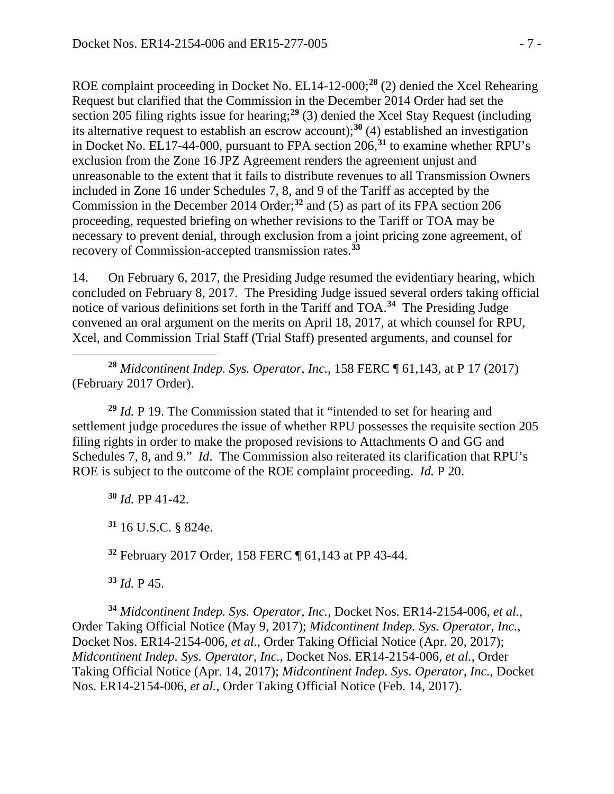ROE complaint proceeding in Docket No. EL14-12-000; **[28](#page-6-0)** (2) denied the Xcel Rehearing Request but clarified that the Commission in the December 2014 Order had set the section 205 filing rights issue for hearing;**[29](#page-6-1)** (3) denied the Xcel Stay Request (including its alternative request to establish an escrow account);**[30](#page-6-2)** (4) established an investigation in Docket No. EL17-44-000, pursuant to FPA section 206,**[31](#page-6-3)** to examine whether RPU's exclusion from the Zone 16 JPZ Agreement renders the agreement unjust and unreasonable to the extent that it fails to distribute revenues to all Transmission Owners included in Zone 16 under Schedules 7, 8, and 9 of the Tariff as accepted by the Commission in the December 2014 Order;**[32](#page-6-4)** and (5) as part of its FPA section 206 proceeding, requested briefing on whether revisions to the Tariff or TOA may be necessary to prevent denial, through exclusion from a joint pricing zone agreement, of recovery of Commission-accepted transmission rates.**[33](#page-6-5)**

14. On February 6, 2017, the Presiding Judge resumed the evidentiary hearing, which concluded on February 8, 2017. The Presiding Judge issued several orders taking official notice of various definitions set forth in the Tariff and TOA. **[34](#page-6-6)** The Presiding Judge convened an oral argument on the merits on April 18, 2017, at which counsel for RPU, Xcel, and Commission Trial Staff (Trial Staff) presented arguments, and counsel for

<span id="page-6-0"></span> $\overline{a}$ **<sup>28</sup>** *Midcontinent Indep. Sys. Operator, Inc.*, 158 FERC ¶ 61,143, at P 17 (2017) (February 2017 Order).

<span id="page-6-1"></span>**<sup>29</sup>** *Id.* P 19. The Commission stated that it "intended to set for hearing and settlement judge procedures the issue of whether RPU possesses the requisite section 205 filing rights in order to make the proposed revisions to Attachments O and GG and Schedules 7, 8, and 9." *Id*. The Commission also reiterated its clarification that RPU's ROE is subject to the outcome of the ROE complaint proceeding. *Id.* P 20.

<span id="page-6-2"></span>**<sup>30</sup>** *Id.* PP 41-42.

<span id="page-6-3"></span>**<sup>31</sup>** 16 U.S.C. § 824e.

**<sup>32</sup>** February 2017 Order, 158 FERC ¶ 61,143 at PP 43-44.

**<sup>33</sup>** *Id.* P 45.

<span id="page-6-6"></span><span id="page-6-5"></span><span id="page-6-4"></span>**<sup>34</sup>** *Midcontinent Indep. Sys. Operator, Inc.*, Docket Nos. ER14-2154-006, *et al.*, Order Taking Official Notice (May 9, 2017); *Midcontinent Indep. Sys. Operator, Inc.*, Docket Nos. ER14-2154-006, *et al.*, Order Taking Official Notice (Apr. 20, 2017); *Midcontinent Indep. Sys. Operator, Inc.*, Docket Nos. ER14-2154-006, *et al.*, Order Taking Official Notice (Apr. 14, 2017); *Midcontinent Indep. Sys. Operator, Inc.*, Docket Nos. ER14-2154-006, *et al.*, Order Taking Official Notice (Feb. 14, 2017).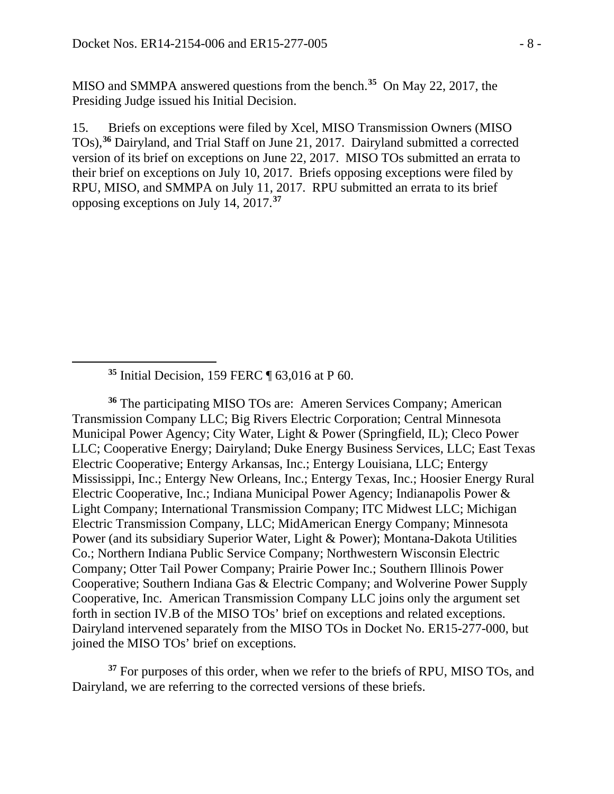MISO and SMMPA answered questions from the bench.**[35](#page-7-0)** On May 22, 2017, the Presiding Judge issued his Initial Decision.

15. Briefs on exceptions were filed by Xcel, MISO Transmission Owners (MISO TOs), **[36](#page-7-1)** Dairyland, and Trial Staff on June 21, 2017. Dairyland submitted a corrected version of its brief on exceptions on June 22, 2017. MISO TOs submitted an errata to their brief on exceptions on July 10, 2017. Briefs opposing exceptions were filed by RPU, MISO, and SMMPA on July 11, 2017. RPU submitted an errata to its brief opposing exceptions on July 14, 2017.**[37](#page-7-2)**

<span id="page-7-0"></span> $\overline{a}$ 

<span id="page-7-1"></span>**<sup>36</sup>** The participating MISO TOs are: Ameren Services Company; American Transmission Company LLC; Big Rivers Electric Corporation; Central Minnesota Municipal Power Agency; City Water, Light & Power (Springfield, IL); Cleco Power LLC; Cooperative Energy; Dairyland; Duke Energy Business Services, LLC; East Texas Electric Cooperative; Entergy Arkansas, Inc.; Entergy Louisiana, LLC; Entergy Mississippi, Inc.; Entergy New Orleans, Inc.; Entergy Texas, Inc.; Hoosier Energy Rural Electric Cooperative, Inc.; Indiana Municipal Power Agency; Indianapolis Power & Light Company; International Transmission Company; ITC Midwest LLC; Michigan Electric Transmission Company, LLC; MidAmerican Energy Company; Minnesota Power (and its subsidiary Superior Water, Light & Power); Montana-Dakota Utilities Co.; Northern Indiana Public Service Company; Northwestern Wisconsin Electric Company; Otter Tail Power Company; Prairie Power Inc.; Southern Illinois Power Cooperative; Southern Indiana Gas & Electric Company; and Wolverine Power Supply Cooperative, Inc. American Transmission Company LLC joins only the argument set forth in section IV.B of the MISO TOs' brief on exceptions and related exceptions. Dairyland intervened separately from the MISO TOs in Docket No. ER15-277-000, but joined the MISO TOs' brief on exceptions.

<span id="page-7-2"></span><sup>37</sup> For purposes of this order, when we refer to the briefs of RPU, MISO TOs, and Dairyland, we are referring to the corrected versions of these briefs.

**<sup>35</sup>** Initial Decision, 159 FERC ¶ 63,016 at P 60.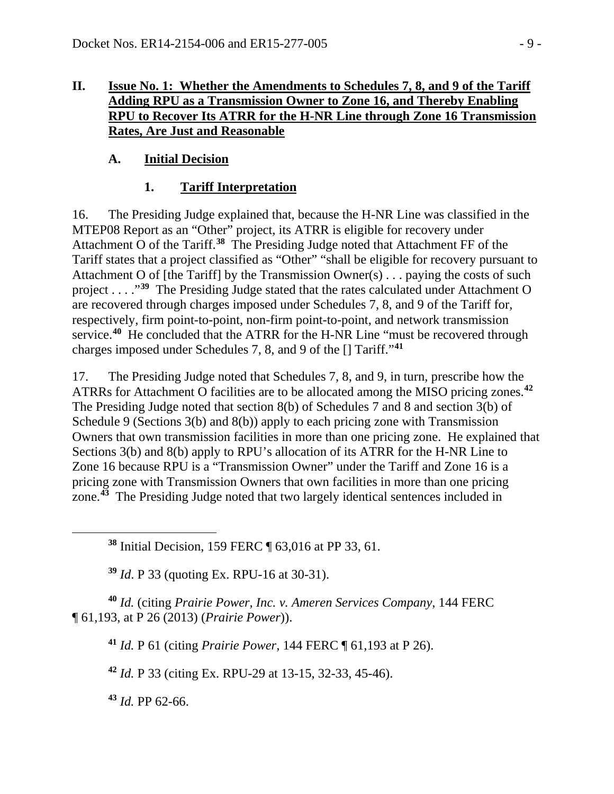### **II. Issue No. 1: Whether the Amendments to Schedules 7, 8, and 9 of the Tariff Adding RPU as a Transmission Owner to Zone 16, and Thereby Enabling RPU to Recover Its ATRR for the H-NR Line through Zone 16 Transmission Rates, Are Just and Reasonable**

# **A. Initial Decision**

## **1. Tariff Interpretation**

16. The Presiding Judge explained that, because the H-NR Line was classified in the MTEP08 Report as an "Other" project, its ATRR is eligible for recovery under Attachment O of the Tariff.**[38](#page-8-0)** The Presiding Judge noted that Attachment FF of the Tariff states that a project classified as "Other" "shall be eligible for recovery pursuant to Attachment O of [the Tariff] by the Transmission Owner(s) . . . paying the costs of such project . . . ."**[39](#page-8-1)** The Presiding Judge stated that the rates calculated under Attachment O are recovered through charges imposed under Schedules 7, 8, and 9 of the Tariff for, respectively, firm point-to-point, non-firm point-to-point, and network transmission service.<sup>[40](#page-8-2)</sup> He concluded that the ATRR for the H-NR Line "must be recovered through charges imposed under Schedules 7, 8, and 9 of the [] Tariff."**[41](#page-8-3)**

17. The Presiding Judge noted that Schedules 7, 8, and 9, in turn, prescribe how the ATRRs for Attachment O facilities are to be allocated among the MISO pricing zones.**[42](#page-8-4)** The Presiding Judge noted that section 8(b) of Schedules 7 and 8 and section 3(b) of Schedule 9 (Sections 3(b) and 8(b)) apply to each pricing zone with Transmission Owners that own transmission facilities in more than one pricing zone. He explained that Sections 3(b) and 8(b) apply to RPU's allocation of its ATRR for the H-NR Line to Zone 16 because RPU is a "Transmission Owner" under the Tariff and Zone 16 is a pricing zone with Transmission Owners that own facilities in more than one pricing zone.**[43](#page-8-5)** The Presiding Judge noted that two largely identical sentences included in

**<sup>38</sup>** Initial Decision, 159 FERC ¶ 63,016 at PP 33, 61.

**<sup>39</sup>** *Id*. P 33 (quoting Ex. RPU-16 at 30-31).

<span id="page-8-4"></span><span id="page-8-3"></span><span id="page-8-2"></span><span id="page-8-1"></span>**<sup>40</sup>** *Id.* (citing *Prairie Power, Inc. v. Ameren Services Company*, 144 FERC ¶ 61,193, at P 26 (2013) (*Prairie Power*)).

**<sup>41</sup>** *Id.* P 61 (citing *Prairie Power,* 144 FERC ¶ 61,193 at P 26).

**<sup>42</sup>** *Id.* P 33 (citing Ex. RPU-29 at 13-15, 32-33, 45-46).

<span id="page-8-5"></span>**<sup>43</sup>** *Id.* PP 62-66.

<span id="page-8-0"></span> $\overline{a}$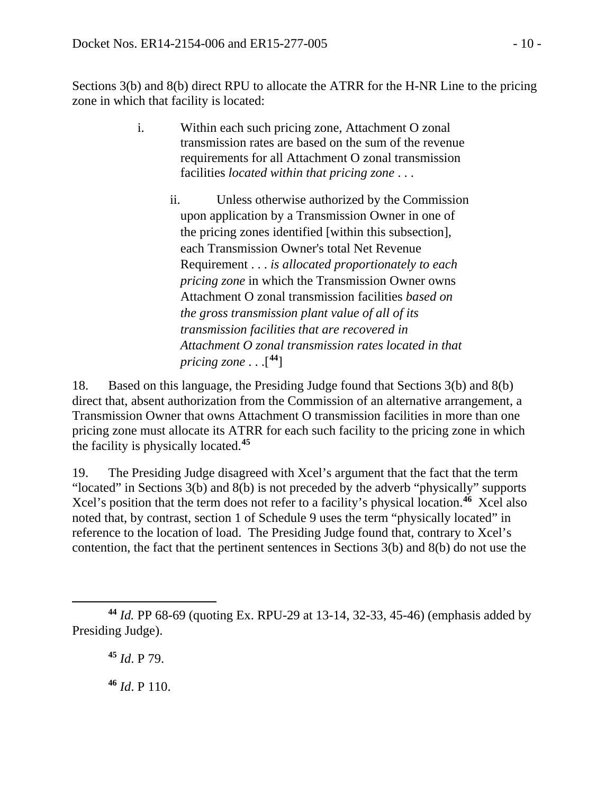Sections 3(b) and 8(b) direct RPU to allocate the ATRR for the H-NR Line to the pricing zone in which that facility is located:

- i. Within each such pricing zone, Attachment O zonal transmission rates are based on the sum of the revenue requirements for all Attachment O zonal transmission facilities *located within that pricing zone* . . .
	- ii. Unless otherwise authorized by the Commission upon application by a Transmission Owner in one of the pricing zones identified [within this subsection], each Transmission Owner's total Net Revenue Requirement . . . *is allocated proportionately to each pricing zone* in which the Transmission Owner owns Attachment O zonal transmission facilities *based on the gross transmission plant value of all of its transmission facilities that are recovered in Attachment O zonal transmission rates located in that pricing zone* . . .[ **[44](#page-9-0)**]

18. Based on this language, the Presiding Judge found that Sections 3(b) and 8(b) direct that, absent authorization from the Commission of an alternative arrangement, a Transmission Owner that owns Attachment O transmission facilities in more than one pricing zone must allocate its ATRR for each such facility to the pricing zone in which the facility is physically located.**[45](#page-9-1)**

19. The Presiding Judge disagreed with Xcel's argument that the fact that the term "located" in Sections 3(b) and 8(b) is not preceded by the adverb "physically" supports Xcel's position that the term does not refer to a facility's physical location.**[46](#page-9-2)** Xcel also noted that, by contrast, section 1 of Schedule 9 uses the term "physically located" in reference to the location of load. The Presiding Judge found that, contrary to Xcel's contention, the fact that the pertinent sentences in Sections 3(b) and 8(b) do not use the

<span id="page-9-1"></span><span id="page-9-0"></span> $\overline{a}$ **<sup>44</sup>** *Id.* PP 68-69 (quoting Ex. RPU-29 at 13-14, 32-33, 45-46) (emphasis added by Presiding Judge).

**<sup>45</sup>** *Id*. P 79.

<span id="page-9-2"></span>**<sup>46</sup>** *Id*. P 110.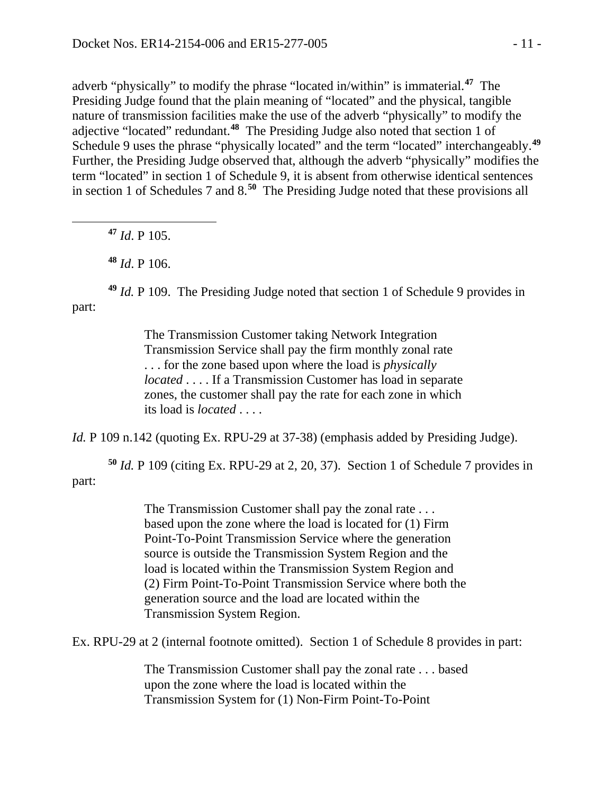adverb "physically" to modify the phrase "located in/within" is immaterial.**[47](#page-10-0)** The Presiding Judge found that the plain meaning of "located" and the physical, tangible nature of transmission facilities make the use of the adverb "physically" to modify the adjective "located" redundant.**[48](#page-10-1)** The Presiding Judge also noted that section 1 of Schedule 9 uses the phrase "physically located" and the term "located" interchangeably.**[49](#page-10-2)** Further, the Presiding Judge observed that, although the adverb "physically" modifies the term "located" in section 1 of Schedule 9, it is absent from otherwise identical sentences in section 1 of Schedules 7 and 8.**[50](#page-10-3)** The Presiding Judge noted that these provisions all

**<sup>47</sup>** *Id*. P 105.

<span id="page-10-0"></span> $\overline{a}$ 

**<sup>48</sup>** *Id*. P 106.

<span id="page-10-2"></span><span id="page-10-1"></span>**<sup>49</sup>** *Id.* P 109. The Presiding Judge noted that section 1 of Schedule 9 provides in part:

> The Transmission Customer taking Network Integration Transmission Service shall pay the firm monthly zonal rate . . . for the zone based upon where the load is *physically located* . . . . If a Transmission Customer has load in separate zones, the customer shall pay the rate for each zone in which its load is *located* . . . .

*Id.* P 109 n.142 (quoting Ex. RPU-29 at 37-38) (emphasis added by Presiding Judge).

<span id="page-10-3"></span>**<sup>50</sup>** *Id.* P 109 (citing Ex. RPU-29 at 2, 20, 37). Section 1 of Schedule 7 provides in part:

> The Transmission Customer shall pay the zonal rate . . . based upon the zone where the load is located for (1) Firm Point-To-Point Transmission Service where the generation source is outside the Transmission System Region and the load is located within the Transmission System Region and (2) Firm Point-To-Point Transmission Service where both the generation source and the load are located within the Transmission System Region.

Ex. RPU-29 at 2 (internal footnote omitted). Section 1 of Schedule 8 provides in part:

The Transmission Customer shall pay the zonal rate . . . based upon the zone where the load is located within the Transmission System for (1) Non-Firm Point-To-Point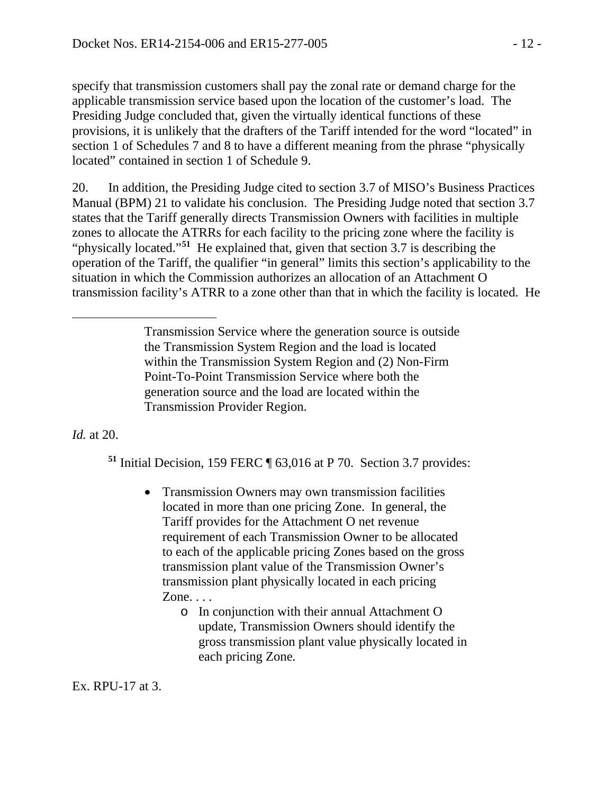specify that transmission customers shall pay the zonal rate or demand charge for the applicable transmission service based upon the location of the customer's load. The Presiding Judge concluded that, given the virtually identical functions of these provisions, it is unlikely that the drafters of the Tariff intended for the word "located" in section 1 of Schedules 7 and 8 to have a different meaning from the phrase "physically located" contained in section 1 of Schedule 9.

20. In addition, the Presiding Judge cited to section 3.7 of MISO's Business Practices Manual (BPM) 21 to validate his conclusion. The Presiding Judge noted that section 3.7 states that the Tariff generally directs Transmission Owners with facilities in multiple zones to allocate the ATRRs for each facility to the pricing zone where the facility is "physically located."**[51](#page-11-0)** He explained that, given that section 3.7 is describing the operation of the Tariff, the qualifier "in general" limits this section's applicability to the situation in which the Commission authorizes an allocation of an Attachment O transmission facility's ATRR to a zone other than that in which the facility is located. He

<span id="page-11-0"></span>*Id.* at 20.

 $\overline{a}$ 

**<sup>51</sup>** Initial Decision, 159 FERC ¶ 63,016 at P 70. Section 3.7 provides:

- Transmission Owners may own transmission facilities located in more than one pricing Zone. In general, the Tariff provides for the Attachment O net revenue requirement of each Transmission Owner to be allocated to each of the applicable pricing Zones based on the gross transmission plant value of the Transmission Owner's transmission plant physically located in each pricing Zone. . . .
	- o In conjunction with their annual Attachment O update, Transmission Owners should identify the gross transmission plant value physically located in each pricing Zone*.*

Ex. RPU-17 at 3.

Transmission Service where the generation source is outside the Transmission System Region and the load is located within the Transmission System Region and (2) Non-Firm Point-To-Point Transmission Service where both the generation source and the load are located within the Transmission Provider Region.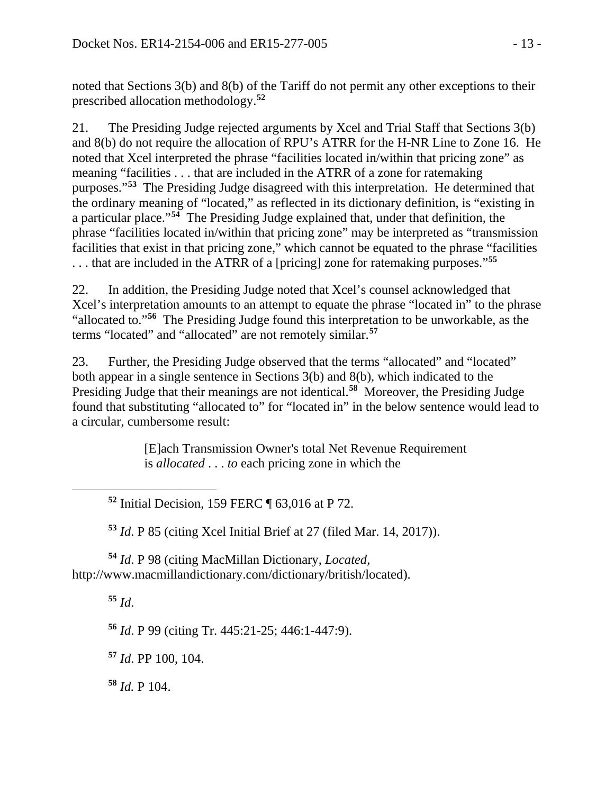noted that Sections 3(b) and 8(b) of the Tariff do not permit any other exceptions to their prescribed allocation methodology.**[52](#page-12-0)**

21. The Presiding Judge rejected arguments by Xcel and Trial Staff that Sections 3(b) and 8(b) do not require the allocation of RPU's ATRR for the H-NR Line to Zone 16. He noted that Xcel interpreted the phrase "facilities located in/within that pricing zone" as meaning "facilities . . . that are included in the ATRR of a zone for ratemaking purposes."**[53](#page-12-1)** The Presiding Judge disagreed with this interpretation. He determined that the ordinary meaning of "located," as reflected in its dictionary definition, is "existing in a particular place."**[54](#page-12-2)** The Presiding Judge explained that, under that definition, the phrase "facilities located in/within that pricing zone" may be interpreted as "transmission facilities that exist in that pricing zone," which cannot be equated to the phrase "facilities . . . that are included in the ATRR of a [pricing] zone for ratemaking purposes."**[55](#page-12-3)**

22. In addition, the Presiding Judge noted that Xcel's counsel acknowledged that Xcel's interpretation amounts to an attempt to equate the phrase "located in" to the phrase "allocated to."**[56](#page-12-4)** The Presiding Judge found this interpretation to be unworkable, as the terms "located" and "allocated" are not remotely similar.**[57](#page-12-5)**

23. Further, the Presiding Judge observed that the terms "allocated" and "located" both appear in a single sentence in Sections 3(b) and 8(b), which indicated to the Presiding Judge that their meanings are not identical.**[58](#page-12-6)** Moreover, the Presiding Judge found that substituting "allocated to" for "located in" in the below sentence would lead to a circular, cumbersome result:

> [E]ach Transmission Owner's total Net Revenue Requirement is *allocated* . . . *to* each pricing zone in which the

**<sup>52</sup>** Initial Decision, 159 FERC ¶ 63,016 at P 72.

**<sup>53</sup>** *Id*. P 85 (citing Xcel Initial Brief at 27 (filed Mar. 14, 2017)).

<span id="page-12-4"></span><span id="page-12-3"></span><span id="page-12-2"></span><span id="page-12-1"></span>**<sup>54</sup>** *Id*. P 98 (citing MacMillan Dictionary, *Located*, http://www.macmillandictionary.com/dictionary/british/located).

**<sup>55</sup>** *Id*.

<span id="page-12-0"></span> $\overline{a}$ 

**<sup>56</sup>** *Id*. P 99 (citing Tr. 445:21-25; 446:1-447:9).

<span id="page-12-5"></span>**<sup>57</sup>** *Id*. PP 100, 104.

<span id="page-12-6"></span>**<sup>58</sup>** *Id.* P 104.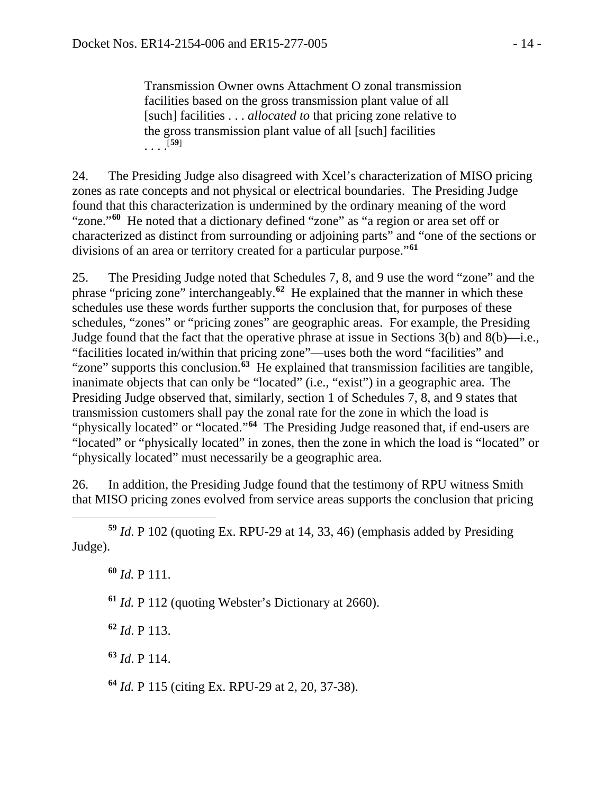Transmission Owner owns Attachment O zonal transmission facilities based on the gross transmission plant value of all [such] facilities . . . *allocated to* that pricing zone relative to the gross transmission plant value of all [such] facilities  $\cdots$ <sup>[[59](#page-13-0)]</sup>

24. The Presiding Judge also disagreed with Xcel's characterization of MISO pricing zones as rate concepts and not physical or electrical boundaries. The Presiding Judge found that this characterization is undermined by the ordinary meaning of the word "zone."**[60](#page-13-1)** He noted that a dictionary defined "zone" as "a region or area set off or characterized as distinct from surrounding or adjoining parts" and "one of the sections or divisions of an area or territory created for a particular purpose."**[61](#page-13-2)**

25. The Presiding Judge noted that Schedules 7, 8, and 9 use the word "zone" and the phrase "pricing zone" interchangeably.**[62](#page-13-3)** He explained that the manner in which these schedules use these words further supports the conclusion that, for purposes of these schedules, "zones" or "pricing zones" are geographic areas. For example, the Presiding Judge found that the fact that the operative phrase at issue in Sections 3(b) and 8(b)—i.e., "facilities located in/within that pricing zone"—uses both the word "facilities" and "zone" supports this conclusion.**[63](#page-13-4)** He explained that transmission facilities are tangible, inanimate objects that can only be "located" (i.e., "exist") in a geographic area. The Presiding Judge observed that, similarly, section 1 of Schedules 7, 8, and 9 states that transmission customers shall pay the zonal rate for the zone in which the load is "physically located" or "located."<sup>[64](#page-13-5)</sup> The Presiding Judge reasoned that, if end-users are "located" or "physically located" in zones, then the zone in which the load is "located" or "physically located" must necessarily be a geographic area.

26. In addition, the Presiding Judge found that the testimony of RPU witness Smith that MISO pricing zones evolved from service areas supports the conclusion that pricing

<span id="page-13-1"></span><span id="page-13-0"></span> $\overline{a}$ **<sup>59</sup>** *Id*. P 102 (quoting Ex. RPU-29 at 14, 33, 46) (emphasis added by Presiding Judge).

**<sup>60</sup>** *Id.* P 111.

<span id="page-13-2"></span>**<sup>61</sup>** *Id.* P 112 (quoting Webster's Dictionary at 2660).

<span id="page-13-3"></span>**<sup>62</sup>** *Id*. P 113.

<span id="page-13-4"></span>**<sup>63</sup>** *Id*. P 114.

<span id="page-13-5"></span>**<sup>64</sup>** *Id.* P 115 (citing Ex. RPU-29 at 2, 20, 37-38).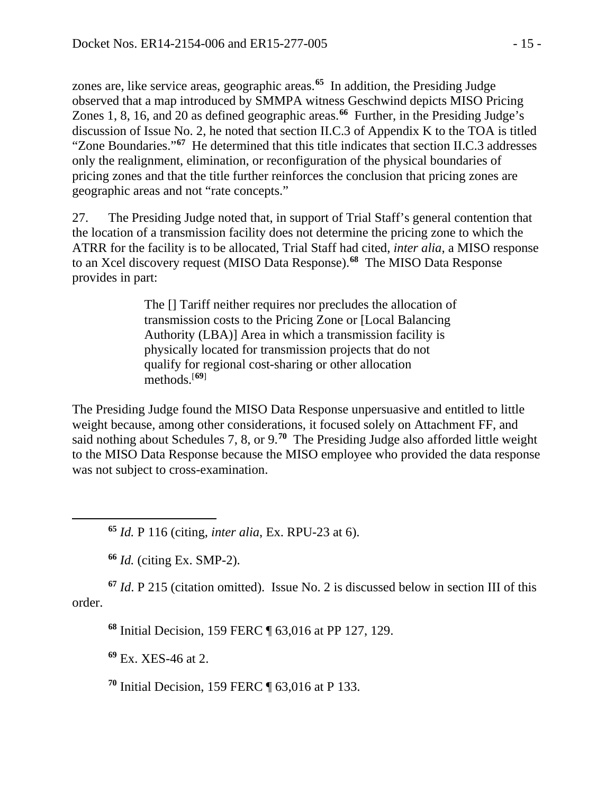zones are, like service areas, geographic areas. **[65](#page-14-0)** In addition, the Presiding Judge observed that a map introduced by SMMPA witness Geschwind depicts MISO Pricing Zones 1, 8, 16, and 20 as defined geographic areas.**[66](#page-14-1)** Further, in the Presiding Judge's discussion of Issue No. 2, he noted that section II.C.3 of Appendix K to the TOA is titled "Zone Boundaries."**[67](#page-14-2)** He determined that this title indicates that section II.C.3 addresses only the realignment, elimination, or reconfiguration of the physical boundaries of pricing zones and that the title further reinforces the conclusion that pricing zones are geographic areas and not "rate concepts."

27. The Presiding Judge noted that, in support of Trial Staff's general contention that the location of a transmission facility does not determine the pricing zone to which the ATRR for the facility is to be allocated, Trial Staff had cited, *inter alia*, a MISO response to an Xcel discovery request (MISO Data Response).**[68](#page-14-3)** The MISO Data Response provides in part:

> The [] Tariff neither requires nor precludes the allocation of transmission costs to the Pricing Zone or [Local Balancing Authority (LBA)] Area in which a transmission facility is physically located for transmission projects that do not qualify for regional cost-sharing or other allocation methods.[**[69](#page-14-4)**]

The Presiding Judge found the MISO Data Response unpersuasive and entitled to little weight because, among other considerations, it focused solely on Attachment FF, and said nothing about Schedules 7, 8, or 9.**[70](#page-14-5)** The Presiding Judge also afforded little weight to the MISO Data Response because the MISO employee who provided the data response was not subject to cross-examination.

**<sup>65</sup>** *Id.* P 116 (citing, *inter alia*, Ex. RPU-23 at 6).

**<sup>66</sup>** *Id.* (citing Ex. SMP-2).

<span id="page-14-0"></span> $\overline{a}$ 

<span id="page-14-4"></span><span id="page-14-3"></span><span id="page-14-2"></span><span id="page-14-1"></span>**<sup>67</sup>** *Id*. P 215 (citation omitted). Issue No. 2 is discussed below in section III of this order.

**<sup>68</sup>** Initial Decision, 159 FERC ¶ 63,016 at PP 127, 129.

**<sup>69</sup>** Ex. XES-46 at 2.

<span id="page-14-5"></span>**<sup>70</sup>** Initial Decision, 159 FERC ¶ 63,016 at P 133.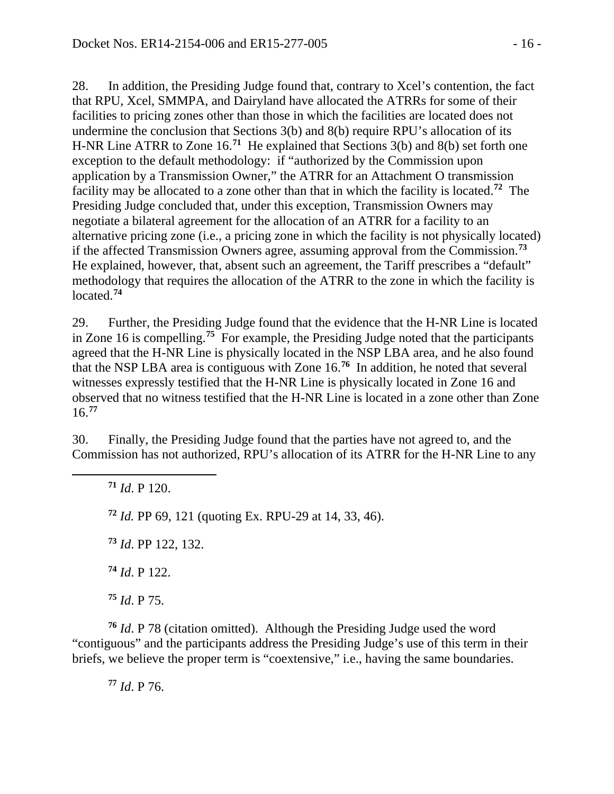28. In addition, the Presiding Judge found that, contrary to Xcel's contention, the fact that RPU, Xcel, SMMPA, and Dairyland have allocated the ATRRs for some of their facilities to pricing zones other than those in which the facilities are located does not undermine the conclusion that Sections 3(b) and 8(b) require RPU's allocation of its H-NR Line ATRR to Zone 16.**[71](#page-15-0)** He explained that Sections 3(b) and 8(b) set forth one exception to the default methodology: if "authorized by the Commission upon application by a Transmission Owner," the ATRR for an Attachment O transmission facility may be allocated to a zone other than that in which the facility is located.**[72](#page-15-1)** The Presiding Judge concluded that, under this exception, Transmission Owners may negotiate a bilateral agreement for the allocation of an ATRR for a facility to an alternative pricing zone (i.e., a pricing zone in which the facility is not physically located) if the affected Transmission Owners agree, assuming approval from the Commission.**[73](#page-15-2)** He explained, however, that, absent such an agreement, the Tariff prescribes a "default" methodology that requires the allocation of the ATRR to the zone in which the facility is located.**[74](#page-15-3)**

29. Further, the Presiding Judge found that the evidence that the H-NR Line is located in Zone 16 is compelling.**[75](#page-15-4)** For example, the Presiding Judge noted that the participants agreed that the H-NR Line is physically located in the NSP LBA area, and he also found that the NSP LBA area is contiguous with Zone 16.**[76](#page-15-5)** In addition, he noted that several witnesses expressly testified that the H-NR Line is physically located in Zone 16 and observed that no witness testified that the H-NR Line is located in a zone other than Zone 16.**[77](#page-15-6)**

30. Finally, the Presiding Judge found that the parties have not agreed to, and the Commission has not authorized, RPU's allocation of its ATRR for the H-NR Line to any

**<sup>71</sup>** *Id*. P 120.

<span id="page-15-2"></span><span id="page-15-1"></span><span id="page-15-0"></span> $\overline{a}$ 

**<sup>72</sup>** *Id.* PP 69, 121 (quoting Ex. RPU-29 at 14, 33, 46).

**<sup>73</sup>** *Id*. PP 122, 132.

**<sup>74</sup>** *Id*. P 122.

**<sup>75</sup>** *Id*. P 75.

<span id="page-15-6"></span><span id="page-15-5"></span><span id="page-15-4"></span><span id="page-15-3"></span>**<sup>76</sup>** *Id*. P 78 (citation omitted). Although the Presiding Judge used the word "contiguous" and the participants address the Presiding Judge's use of this term in their briefs, we believe the proper term is "coextensive," i.e., having the same boundaries.

**<sup>77</sup>** *Id*. P 76.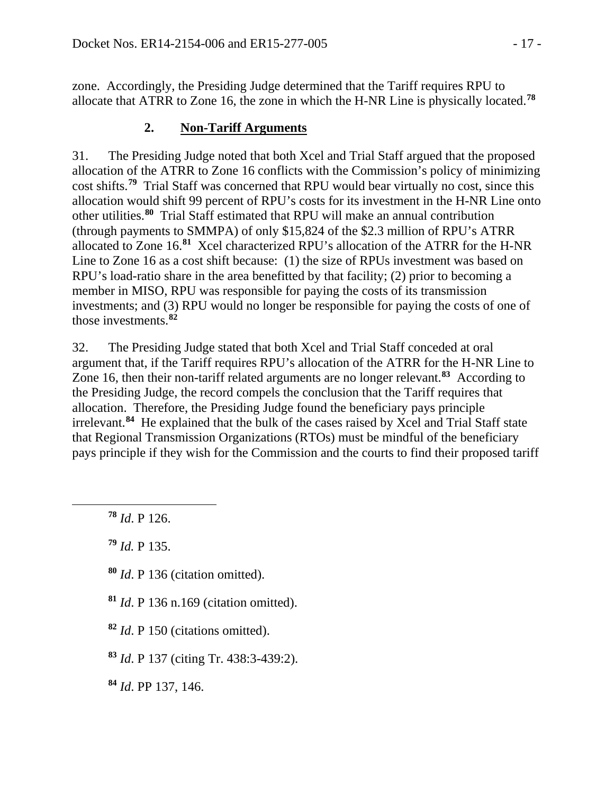zone. Accordingly, the Presiding Judge determined that the Tariff requires RPU to allocate that ATRR to Zone 16, the zone in which the H-NR Line is physically located.**[78](#page-16-0)**

# **2. Non-Tariff Arguments**

31. The Presiding Judge noted that both Xcel and Trial Staff argued that the proposed allocation of the ATRR to Zone 16 conflicts with the Commission's policy of minimizing cost shifts.**[79](#page-16-1)** Trial Staff was concerned that RPU would bear virtually no cost, since this allocation would shift 99 percent of RPU's costs for its investment in the H-NR Line onto other utilities.**[80](#page-16-2)** Trial Staff estimated that RPU will make an annual contribution (through payments to SMMPA) of only \$15,824 of the \$2.3 million of RPU's ATRR allocated to Zone 16.**[81](#page-16-3)** Xcel characterized RPU's allocation of the ATRR for the H-NR Line to Zone 16 as a cost shift because: (1) the size of RPUs investment was based on RPU's load-ratio share in the area benefitted by that facility; (2) prior to becoming a member in MISO, RPU was responsible for paying the costs of its transmission investments; and (3) RPU would no longer be responsible for paying the costs of one of those investments.**[82](#page-16-4)**

32. The Presiding Judge stated that both Xcel and Trial Staff conceded at oral argument that, if the Tariff requires RPU's allocation of the ATRR for the H-NR Line to Zone 16, then their non-tariff related arguments are no longer relevant.**[83](#page-16-5)** According to the Presiding Judge, the record compels the conclusion that the Tariff requires that allocation. Therefore, the Presiding Judge found the beneficiary pays principle irrelevant.**[84](#page-16-6)** He explained that the bulk of the cases raised by Xcel and Trial Staff state that Regional Transmission Organizations (RTOs) must be mindful of the beneficiary pays principle if they wish for the Commission and the courts to find their proposed tariff

**<sup>78</sup>** *Id*. P 126.

<span id="page-16-2"></span><span id="page-16-1"></span><span id="page-16-0"></span> $\overline{a}$ 

**<sup>79</sup>** *Id.* P 135.

- **<sup>80</sup>** *Id*. P 136 (citation omitted).
- <span id="page-16-3"></span>**<sup>81</sup>** *Id*. P 136 n.169 (citation omitted).
- <span id="page-16-4"></span>**<sup>82</sup>** *Id*. P 150 (citations omitted).
- <span id="page-16-5"></span>**<sup>83</sup>** *Id*. P 137 (citing Tr. 438:3-439:2).
- <span id="page-16-6"></span>**<sup>84</sup>** *Id*. PP 137, 146.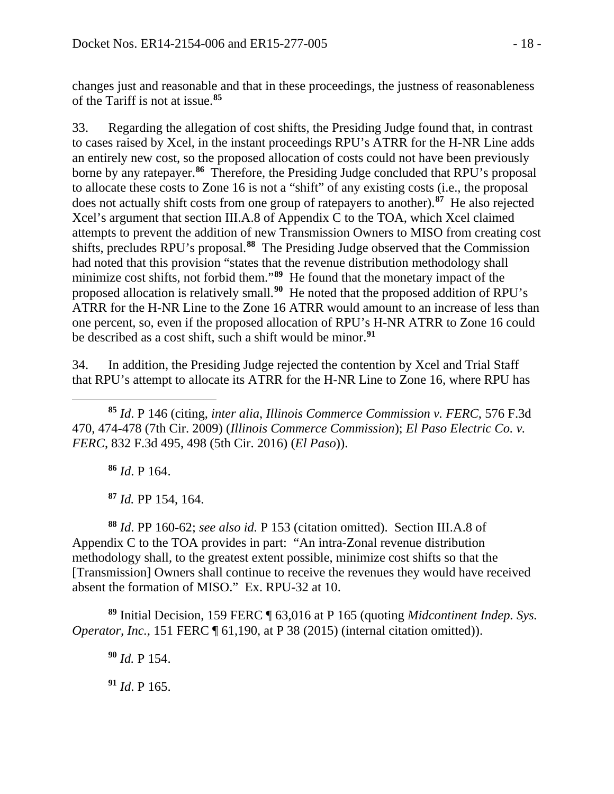changes just and reasonable and that in these proceedings, the justness of reasonableness of the Tariff is not at issue.**[85](#page-17-0)**

33. Regarding the allegation of cost shifts, the Presiding Judge found that, in contrast to cases raised by Xcel, in the instant proceedings RPU's ATRR for the H-NR Line adds an entirely new cost, so the proposed allocation of costs could not have been previously borne by any ratepayer. **[86](#page-17-1)** Therefore, the Presiding Judge concluded that RPU's proposal to allocate these costs to Zone 16 is not a "shift" of any existing costs (i.e., the proposal does not actually shift costs from one group of ratepayers to another). **[87](#page-17-2)** He also rejected Xcel's argument that section III.A.8 of Appendix C to the TOA, which Xcel claimed attempts to prevent the addition of new Transmission Owners to MISO from creating cost shifts, precludes RPU's proposal. **[88](#page-17-3)** The Presiding Judge observed that the Commission had noted that this provision "states that the revenue distribution methodology shall minimize cost shifts, not forbid them."**[89](#page-17-4)** He found that the monetary impact of the proposed allocation is relatively small.**[90](#page-17-5)** He noted that the proposed addition of RPU's ATRR for the H-NR Line to the Zone 16 ATRR would amount to an increase of less than one percent, so, even if the proposed allocation of RPU's H-NR ATRR to Zone 16 could be described as a cost shift, such a shift would be minor.**[91](#page-17-6)**

34. In addition, the Presiding Judge rejected the contention by Xcel and Trial Staff that RPU's attempt to allocate its ATRR for the H-NR Line to Zone 16, where RPU has

<span id="page-17-0"></span>**<sup>85</sup>** *Id*. P 146 (citing, *inter alia*, *Illinois Commerce Commission v. FERC*, 576 F.3d 470, 474-478 (7th Cir. 2009) (*Illinois Commerce Commission*); *El Paso Electric Co. v. FERC*, 832 F.3d 495, 498 (5th Cir. 2016) (*El Paso*)).

**<sup>86</sup>** *Id*. P 164.

 $\overline{a}$ 

**<sup>87</sup>** *Id.* PP 154, 164.

<span id="page-17-3"></span><span id="page-17-2"></span><span id="page-17-1"></span>**<sup>88</sup>** *Id*. PP 160-62; *see also id.* P 153 (citation omitted). Section III.A.8 of Appendix C to the TOA provides in part: "An intra-Zonal revenue distribution methodology shall, to the greatest extent possible, minimize cost shifts so that the [Transmission] Owners shall continue to receive the revenues they would have received absent the formation of MISO." Ex. RPU-32 at 10.

<span id="page-17-6"></span><span id="page-17-5"></span><span id="page-17-4"></span>**<sup>89</sup>** Initial Decision, 159 FERC ¶ 63,016 at P 165 (quoting *Midcontinent Indep. Sys. Operator, Inc.*, 151 FERC ¶ 61,190, at P 38 (2015) (internal citation omitted)).

**<sup>90</sup>** *Id.* P 154.

**<sup>91</sup>** *Id*. P 165.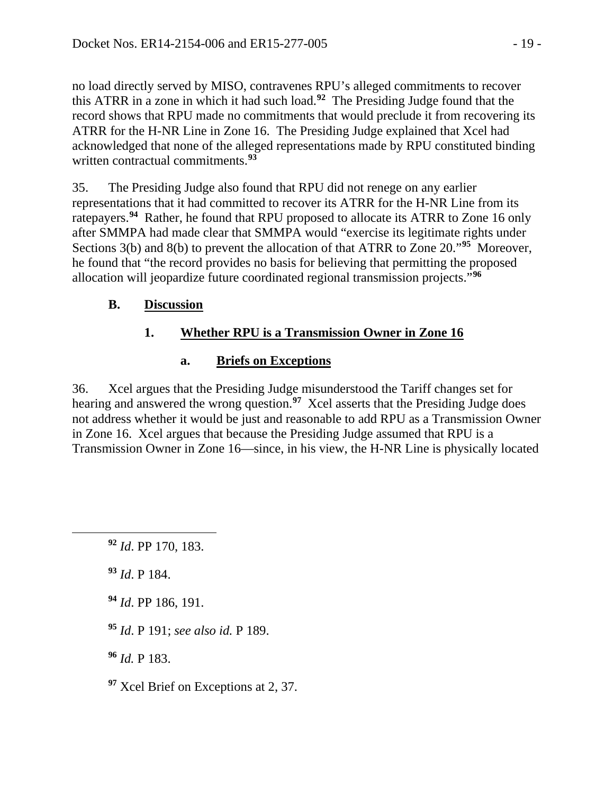no load directly served by MISO, contravenes RPU's alleged commitments to recover this ATRR in a zone in which it had such load.**[92](#page-18-0)** The Presiding Judge found that the record shows that RPU made no commitments that would preclude it from recovering its ATRR for the H-NR Line in Zone 16. The Presiding Judge explained that Xcel had acknowledged that none of the alleged representations made by RPU constituted binding written contractual commitments. **[93](#page-18-1)**

35. The Presiding Judge also found that RPU did not renege on any earlier representations that it had committed to recover its ATRR for the H-NR Line from its ratepayers.**[94](#page-18-2)** Rather, he found that RPU proposed to allocate its ATRR to Zone 16 only after SMMPA had made clear that SMMPA would "exercise its legitimate rights under Sections 3(b) and 8(b) to prevent the allocation of that ATRR to Zone 20."**[95](#page-18-3)** Moreover, he found that "the record provides no basis for believing that permitting the proposed allocation will jeopardize future coordinated regional transmission projects."**[96](#page-18-4)**

## **B. Discussion**

## **1. Whether RPU is a Transmission Owner in Zone 16**

### **a. Briefs on Exceptions**

36. Xcel argues that the Presiding Judge misunderstood the Tariff changes set for hearing and answered the wrong question. **[97](#page-18-5)** Xcel asserts that the Presiding Judge does not address whether it would be just and reasonable to add RPU as a Transmission Owner in Zone 16. Xcel argues that because the Presiding Judge assumed that RPU is a Transmission Owner in Zone 16—since, in his view, the H-NR Line is physically located

**<sup>93</sup>** *Id*. P 184.

<span id="page-18-2"></span><span id="page-18-1"></span><span id="page-18-0"></span> $\overline{a}$ 

**<sup>94</sup>** *Id*. PP 186, 191.

<span id="page-18-3"></span>**<sup>95</sup>** *Id*. P 191; *see also id.* P 189.

<span id="page-18-4"></span>**<sup>96</sup>** *Id.* P 183.

<span id="page-18-5"></span>**<sup>97</sup>** Xcel Brief on Exceptions at 2, 37.

**<sup>92</sup>** *Id*. PP 170, 183.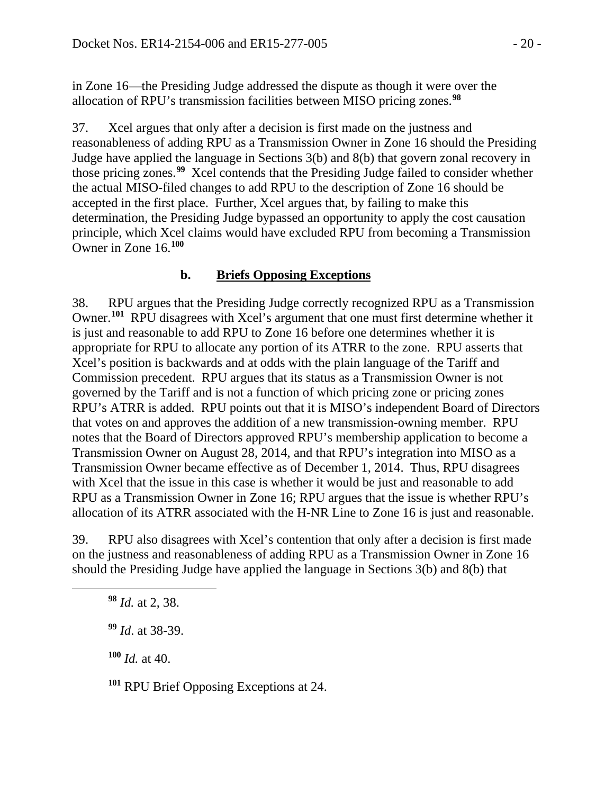in Zone 16—the Presiding Judge addressed the dispute as though it were over the allocation of RPU's transmission facilities between MISO pricing zones.**[98](#page-19-0)**

37. Xcel argues that only after a decision is first made on the justness and reasonableness of adding RPU as a Transmission Owner in Zone 16 should the Presiding Judge have applied the language in Sections 3(b) and 8(b) that govern zonal recovery in those pricing zones.**[99](#page-19-1)** Xcel contends that the Presiding Judge failed to consider whether the actual MISO-filed changes to add RPU to the description of Zone 16 should be accepted in the first place. Further, Xcel argues that, by failing to make this determination, the Presiding Judge bypassed an opportunity to apply the cost causation principle, which Xcel claims would have excluded RPU from becoming a Transmission Owner in Zone 16.**[100](#page-19-2)**

#### **b. Briefs Opposing Exceptions**

38. RPU argues that the Presiding Judge correctly recognized RPU as a Transmission Owner.<sup>[101](#page-19-3)</sup> RPU disagrees with Xcel's argument that one must first determine whether it is just and reasonable to add RPU to Zone 16 before one determines whether it is appropriate for RPU to allocate any portion of its ATRR to the zone. RPU asserts that Xcel's position is backwards and at odds with the plain language of the Tariff and Commission precedent. RPU argues that its status as a Transmission Owner is not governed by the Tariff and is not a function of which pricing zone or pricing zones RPU's ATRR is added. RPU points out that it is MISO's independent Board of Directors that votes on and approves the addition of a new transmission-owning member. RPU notes that the Board of Directors approved RPU's membership application to become a Transmission Owner on August 28, 2014, and that RPU's integration into MISO as a Transmission Owner became effective as of December 1, 2014. Thus, RPU disagrees with Xcel that the issue in this case is whether it would be just and reasonable to add RPU as a Transmission Owner in Zone 16; RPU argues that the issue is whether RPU's allocation of its ATRR associated with the H-NR Line to Zone 16 is just and reasonable.

39. RPU also disagrees with Xcel's contention that only after a decision is first made on the justness and reasonableness of adding RPU as a Transmission Owner in Zone 16 should the Presiding Judge have applied the language in Sections 3(b) and 8(b) that

**<sup>98</sup>** *Id.* at 2, 38.

<span id="page-19-2"></span><span id="page-19-1"></span><span id="page-19-0"></span> $\overline{a}$ 

**<sup>99</sup>** *Id*. at 38-39.

**<sup>100</sup>** *Id.* at 40.

<span id="page-19-3"></span>**<sup>101</sup>** RPU Brief Opposing Exceptions at 24.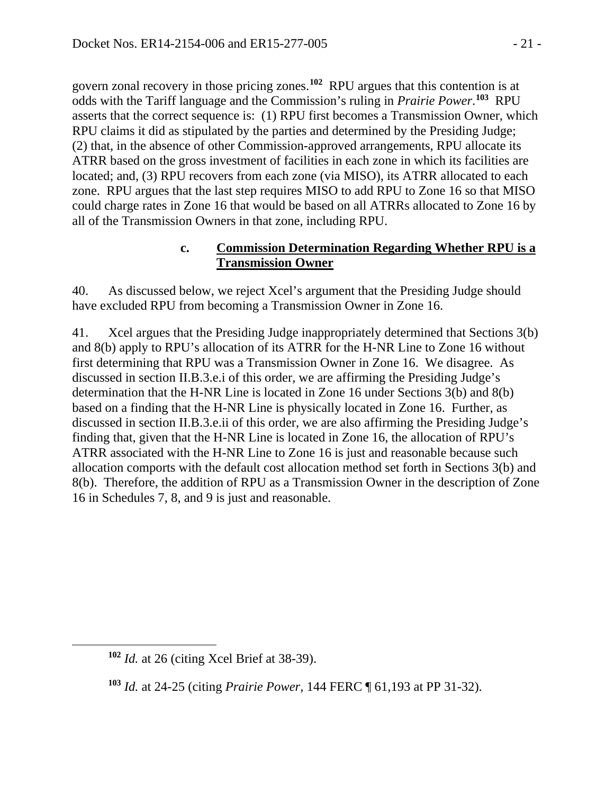govern zonal recovery in those pricing zones.**[102](#page-20-0)** RPU argues that this contention is at odds with the Tariff language and the Commission's ruling in *Prairie Power*. **[103](#page-20-1)** RPU asserts that the correct sequence is: (1) RPU first becomes a Transmission Owner, which RPU claims it did as stipulated by the parties and determined by the Presiding Judge; (2) that, in the absence of other Commission-approved arrangements, RPU allocate its ATRR based on the gross investment of facilities in each zone in which its facilities are located; and, (3) RPU recovers from each zone (via MISO), its ATRR allocated to each zone. RPU argues that the last step requires MISO to add RPU to Zone 16 so that MISO could charge rates in Zone 16 that would be based on all ATRRs allocated to Zone 16 by all of the Transmission Owners in that zone, including RPU.

#### **c. Commission Determination Regarding Whether RPU is a Transmission Owner**

40. As discussed below, we reject Xcel's argument that the Presiding Judge should have excluded RPU from becoming a Transmission Owner in Zone 16.

41. Xcel argues that the Presiding Judge inappropriately determined that Sections 3(b) and 8(b) apply to RPU's allocation of its ATRR for the H-NR Line to Zone 16 without first determining that RPU was a Transmission Owner in Zone 16. We disagree. As discussed in section II.B.3.e.i of this order, we are affirming the Presiding Judge's determination that the H-NR Line is located in Zone 16 under Sections 3(b) and 8(b) based on a finding that the H-NR Line is physically located in Zone 16. Further, as discussed in section II.B.3.e.ii of this order, we are also affirming the Presiding Judge's finding that, given that the H-NR Line is located in Zone 16, the allocation of RPU's ATRR associated with the H-NR Line to Zone 16 is just and reasonable because such allocation comports with the default cost allocation method set forth in Sections 3(b) and 8(b). Therefore, the addition of RPU as a Transmission Owner in the description of Zone 16 in Schedules 7, 8, and 9 is just and reasonable.

<span id="page-20-1"></span><span id="page-20-0"></span> $\overline{a}$ 

**<sup>102</sup>** *Id.* at 26 (citing Xcel Brief at 38-39).

**<sup>103</sup>** *Id.* at 24-25 (citing *Prairie Power*, 144 FERC ¶ 61,193 at PP 31-32).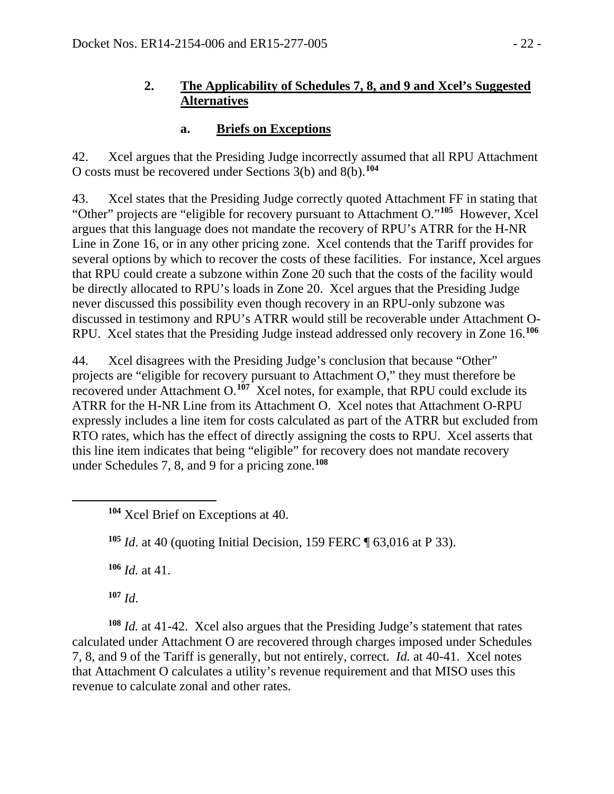## **2. The Applicability of Schedules 7, 8, and 9 and Xcel's Suggested Alternatives**

## **a. Briefs on Exceptions**

42. Xcel argues that the Presiding Judge incorrectly assumed that all RPU Attachment O costs must be recovered under Sections 3(b) and 8(b).**[104](#page-21-0)**

43. Xcel states that the Presiding Judge correctly quoted Attachment FF in stating that "Other" projects are "eligible for recovery pursuant to Attachment O."**[105](#page-21-1)** However, Xcel argues that this language does not mandate the recovery of RPU's ATRR for the H-NR Line in Zone 16, or in any other pricing zone. Xcel contends that the Tariff provides for several options by which to recover the costs of these facilities. For instance, Xcel argues that RPU could create a subzone within Zone 20 such that the costs of the facility would be directly allocated to RPU's loads in Zone 20. Xcel argues that the Presiding Judge never discussed this possibility even though recovery in an RPU-only subzone was discussed in testimony and RPU's ATRR would still be recoverable under Attachment O-RPU. Xcel states that the Presiding Judge instead addressed only recovery in Zone 16.**[106](#page-21-2)**

44. Xcel disagrees with the Presiding Judge's conclusion that because "Other" projects are "eligible for recovery pursuant to Attachment O," they must therefore be recovered under Attachment O.**[107](#page-21-3)** Xcel notes, for example, that RPU could exclude its ATRR for the H-NR Line from its Attachment O. Xcel notes that Attachment O-RPU expressly includes a line item for costs calculated as part of the ATRR but excluded from RTO rates, which has the effect of directly assigning the costs to RPU. Xcel asserts that this line item indicates that being "eligible" for recovery does not mandate recovery under Schedules 7, 8, and 9 for a pricing zone.**[108](#page-21-4)**

**<sup>105</sup>** *Id*. at 40 (quoting Initial Decision, 159 FERC ¶ 63,016 at P 33).

**<sup>106</sup>** *Id.* at 41.

**<sup>107</sup>** *Id*.

<span id="page-21-1"></span><span id="page-21-0"></span> $\overline{a}$ 

<span id="page-21-4"></span><span id="page-21-3"></span><span id="page-21-2"></span>**<sup>108</sup>** *Id.* at 41-42. Xcel also argues that the Presiding Judge's statement that rates calculated under Attachment O are recovered through charges imposed under Schedules 7, 8, and 9 of the Tariff is generally, but not entirely, correct. *Id.* at 40-41. Xcel notes that Attachment O calculates a utility's revenue requirement and that MISO uses this revenue to calculate zonal and other rates.

**<sup>104</sup>** Xcel Brief on Exceptions at 40.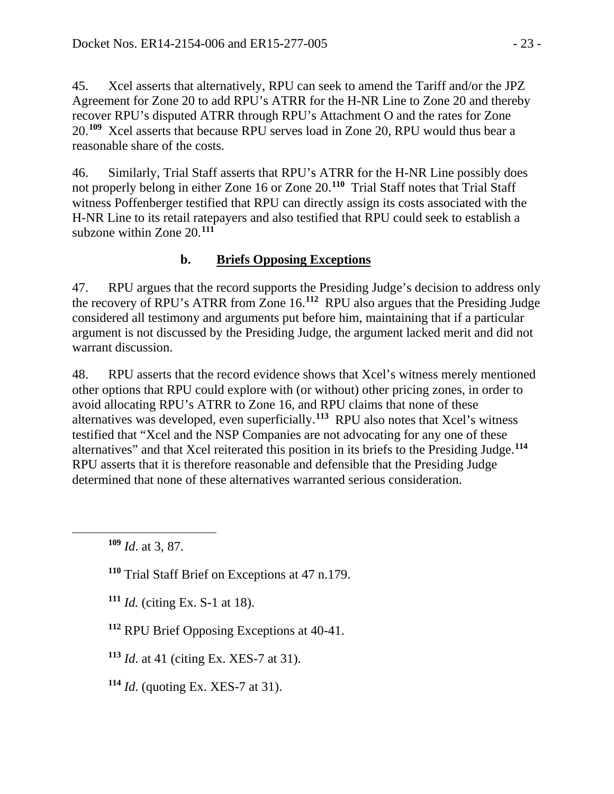45. Xcel asserts that alternatively, RPU can seek to amend the Tariff and/or the JPZ Agreement for Zone 20 to add RPU's ATRR for the H-NR Line to Zone 20 and thereby recover RPU's disputed ATRR through RPU's Attachment O and the rates for Zone 20.**[109](#page-22-0)** Xcel asserts that because RPU serves load in Zone 20, RPU would thus bear a reasonable share of the costs.

46. Similarly, Trial Staff asserts that RPU's ATRR for the H-NR Line possibly does not properly belong in either Zone 16 or Zone 20.**[110](#page-22-1)** Trial Staff notes that Trial Staff witness Poffenberger testified that RPU can directly assign its costs associated with the H-NR Line to its retail ratepayers and also testified that RPU could seek to establish a subzone within Zone 20.**[111](#page-22-2)**

# **b. Briefs Opposing Exceptions**

47. RPU argues that the record supports the Presiding Judge's decision to address only the recovery of RPU's ATRR from Zone 16.**[112](#page-22-3)** RPU also argues that the Presiding Judge considered all testimony and arguments put before him, maintaining that if a particular argument is not discussed by the Presiding Judge, the argument lacked merit and did not warrant discussion.

48. RPU asserts that the record evidence shows that Xcel's witness merely mentioned other options that RPU could explore with (or without) other pricing zones, in order to avoid allocating RPU's ATRR to Zone 16, and RPU claims that none of these alternatives was developed, even superficially.**[113](#page-22-4)** RPU also notes that Xcel's witness testified that "Xcel and the NSP Companies are not advocating for any one of these alternatives" and that Xcel reiterated this position in its briefs to the Presiding Judge.**[114](#page-22-5)** RPU asserts that it is therefore reasonable and defensible that the Presiding Judge determined that none of these alternatives warranted serious consideration.

<span id="page-22-2"></span><span id="page-22-1"></span><span id="page-22-0"></span> $\overline{a}$ 

**<sup>111</sup>** *Id.* (citing Ex. S-1 at 18).

<span id="page-22-3"></span>**<sup>112</sup>** RPU Brief Opposing Exceptions at 40-41.

<span id="page-22-4"></span>**<sup>113</sup>** *Id*. at 41 (citing Ex. XES-7 at 31).

<span id="page-22-5"></span>**<sup>114</sup>** *Id*. (quoting Ex. XES-7 at 31).

**<sup>109</sup>** *Id*. at 3, 87.

**<sup>110</sup>** Trial Staff Brief on Exceptions at 47 n.179.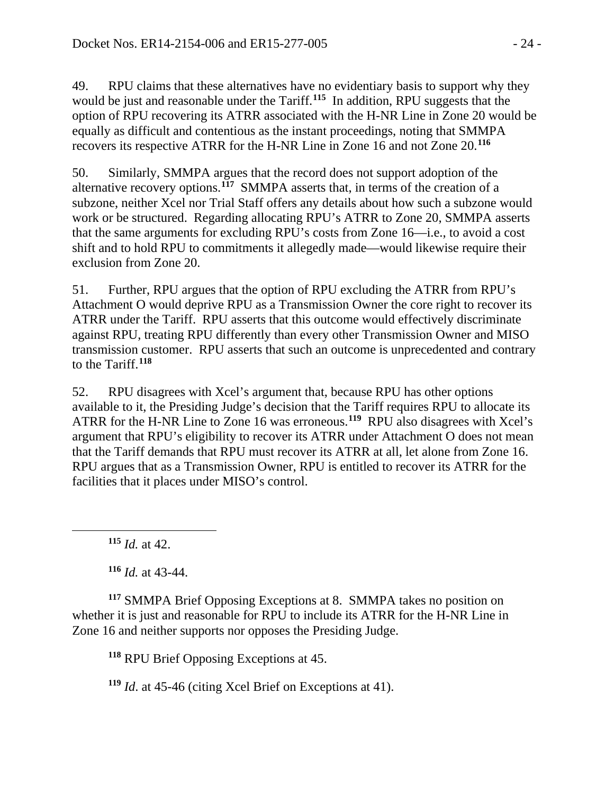49. RPU claims that these alternatives have no evidentiary basis to support why they would be just and reasonable under the Tariff.**[115](#page-23-0)** In addition, RPU suggests that the option of RPU recovering its ATRR associated with the H-NR Line in Zone 20 would be equally as difficult and contentious as the instant proceedings, noting that SMMPA recovers its respective ATRR for the H-NR Line in Zone 16 and not Zone 20. **[116](#page-23-1)**

50. Similarly, SMMPA argues that the record does not support adoption of the alternative recovery options.**[117](#page-23-2)** SMMPA asserts that, in terms of the creation of a subzone, neither Xcel nor Trial Staff offers any details about how such a subzone would work or be structured. Regarding allocating RPU's ATRR to Zone 20, SMMPA asserts that the same arguments for excluding RPU's costs from Zone 16—i.e., to avoid a cost shift and to hold RPU to commitments it allegedly made—would likewise require their exclusion from Zone 20.

51. Further, RPU argues that the option of RPU excluding the ATRR from RPU's Attachment O would deprive RPU as a Transmission Owner the core right to recover its ATRR under the Tariff. RPU asserts that this outcome would effectively discriminate against RPU, treating RPU differently than every other Transmission Owner and MISO transmission customer. RPU asserts that such an outcome is unprecedented and contrary to the Tariff.**[118](#page-23-3)**

52. RPU disagrees with Xcel's argument that, because RPU has other options available to it, the Presiding Judge's decision that the Tariff requires RPU to allocate its ATRR for the H-NR Line to Zone 16 was erroneous.**[119](#page-23-4)** RPU also disagrees with Xcel's argument that RPU's eligibility to recover its ATRR under Attachment O does not mean that the Tariff demands that RPU must recover its ATRR at all, let alone from Zone 16. RPU argues that as a Transmission Owner, RPU is entitled to recover its ATRR for the facilities that it places under MISO's control.

**<sup>115</sup>** *Id.* at 42.

<span id="page-23-0"></span> $\overline{a}$ 

**<sup>116</sup>** *Id.* at 43-44.

<span id="page-23-3"></span><span id="page-23-2"></span><span id="page-23-1"></span>**<sup>117</sup>** SMMPA Brief Opposing Exceptions at 8. SMMPA takes no position on whether it is just and reasonable for RPU to include its ATRR for the H-NR Line in Zone 16 and neither supports nor opposes the Presiding Judge.

**<sup>118</sup>** RPU Brief Opposing Exceptions at 45.

<span id="page-23-4"></span>**<sup>119</sup>** *Id*. at 45-46 (citing Xcel Brief on Exceptions at 41).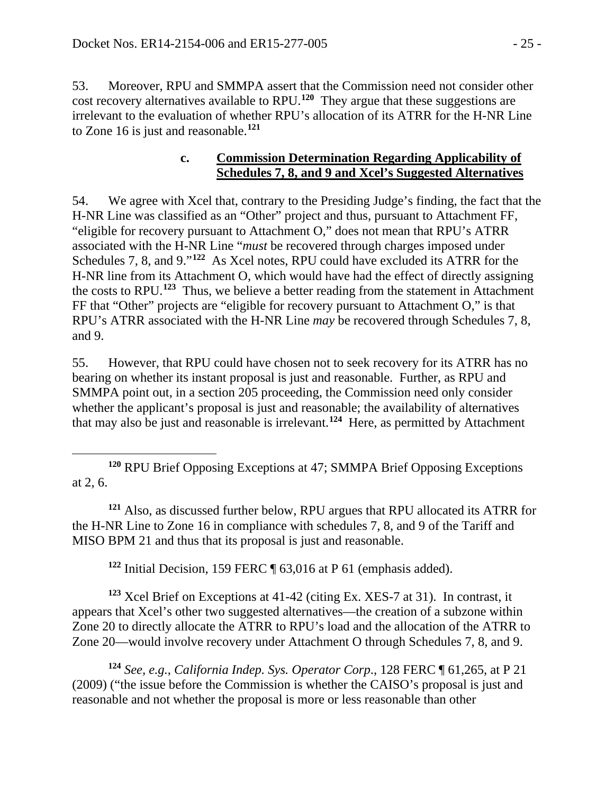53. Moreover, RPU and SMMPA assert that the Commission need not consider other cost recovery alternatives available to RPU. **[120](#page-24-0)** They argue that these suggestions are irrelevant to the evaluation of whether RPU's allocation of its ATRR for the H-NR Line to Zone 16 is just and reasonable.**[121](#page-24-1)**

#### **c. Commission Determination Regarding Applicability of Schedules 7, 8, and 9 and Xcel's Suggested Alternatives**

54. We agree with Xcel that, contrary to the Presiding Judge's finding, the fact that the H-NR Line was classified as an "Other" project and thus, pursuant to Attachment FF, "eligible for recovery pursuant to Attachment O," does not mean that RPU's ATRR associated with the H-NR Line "*must* be recovered through charges imposed under Schedules 7, 8, and 9."**[122](#page-24-2)** As Xcel notes, RPU could have excluded its ATRR for the H-NR line from its Attachment O, which would have had the effect of directly assigning the costs to RPU.**[123](#page-24-3)** Thus, we believe a better reading from the statement in Attachment FF that "Other" projects are "eligible for recovery pursuant to Attachment O," is that RPU's ATRR associated with the H-NR Line *may* be recovered through Schedules 7, 8, and 9.

55. However, that RPU could have chosen not to seek recovery for its ATRR has no bearing on whether its instant proposal is just and reasonable. Further, as RPU and SMMPA point out, in a section 205 proceeding, the Commission need only consider whether the applicant's proposal is just and reasonable; the availability of alternatives that may also be just and reasonable is irrelevant.**[124](#page-24-4)** Here, as permitted by Attachment

<span id="page-24-1"></span>**<sup>121</sup>** Also, as discussed further below, RPU argues that RPU allocated its ATRR for the H-NR Line to Zone 16 in compliance with schedules 7, 8, and 9 of the Tariff and MISO BPM 21 and thus that its proposal is just and reasonable.

**<sup>122</sup>** Initial Decision, 159 FERC ¶ 63,016 at P 61 (emphasis added).

<span id="page-24-3"></span><span id="page-24-2"></span>**<sup>123</sup>** Xcel Brief on Exceptions at 41-42 (citing Ex. XES-7 at 31). In contrast, it appears that Xcel's other two suggested alternatives—the creation of a subzone within Zone 20 to directly allocate the ATRR to RPU's load and the allocation of the ATRR to Zone 20—would involve recovery under Attachment O through Schedules 7, 8, and 9.

<span id="page-24-4"></span>**<sup>124</sup>** *See, e.g.*, *California Indep. Sys. Operator Corp*., 128 FERC ¶ 61,265, at P 21 (2009) ("the issue before the Commission is whether the CAISO's proposal is just and reasonable and not whether the proposal is more or less reasonable than other

<span id="page-24-0"></span> $\overline{a}$ **<sup>120</sup>** RPU Brief Opposing Exceptions at 47; SMMPA Brief Opposing Exceptions at 2, 6.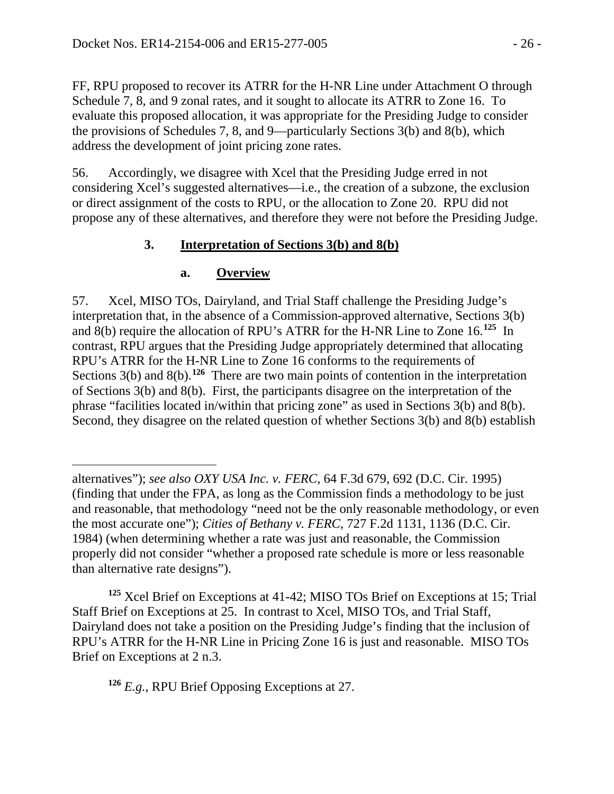FF, RPU proposed to recover its ATRR for the H-NR Line under Attachment O through Schedule 7, 8, and 9 zonal rates, and it sought to allocate its ATRR to Zone 16. To evaluate this proposed allocation, it was appropriate for the Presiding Judge to consider the provisions of Schedules 7, 8, and 9—particularly Sections 3(b) and 8(b), which address the development of joint pricing zone rates.

56. Accordingly, we disagree with Xcel that the Presiding Judge erred in not considering Xcel's suggested alternatives—i.e., the creation of a subzone, the exclusion or direct assignment of the costs to RPU, or the allocation to Zone 20. RPU did not propose any of these alternatives, and therefore they were not before the Presiding Judge.

### **3. Interpretation of Sections 3(b) and 8(b)**

#### **a. Overview**

 $\overline{a}$ 

57. Xcel, MISO TOs, Dairyland, and Trial Staff challenge the Presiding Judge's interpretation that, in the absence of a Commission-approved alternative, Sections 3(b) and 8(b) require the allocation of RPU's ATRR for the H-NR Line to Zone 16.**[125](#page-25-0)** In contrast, RPU argues that the Presiding Judge appropriately determined that allocating RPU's ATRR for the H-NR Line to Zone 16 conforms to the requirements of Sections 3(b) and 8(b).<sup>[126](#page-25-1)</sup> There are two main points of contention in the interpretation of Sections 3(b) and 8(b). First, the participants disagree on the interpretation of the phrase "facilities located in/within that pricing zone" as used in Sections 3(b) and 8(b). Second, they disagree on the related question of whether Sections 3(b) and 8(b) establish

<span id="page-25-0"></span>**<sup>125</sup>** Xcel Brief on Exceptions at 41-42; MISO TOs Brief on Exceptions at 15; Trial Staff Brief on Exceptions at 25. In contrast to Xcel, MISO TOs, and Trial Staff, Dairyland does not take a position on the Presiding Judge's finding that the inclusion of RPU's ATRR for the H-NR Line in Pricing Zone 16 is just and reasonable. MISO TOs Brief on Exceptions at 2 n.3.

<span id="page-25-1"></span>**<sup>126</sup>** *E.g.*, RPU Brief Opposing Exceptions at 27.

alternatives"); *see also OXY USA Inc. v. FERC*, 64 F.3d 679, 692 (D.C. Cir. 1995) (finding that under the FPA, as long as the Commission finds a methodology to be just and reasonable, that methodology "need not be the only reasonable methodology, or even the most accurate one"); *Cities of Bethany v. FERC*, 727 F.2d 1131, 1136 (D.C. Cir. 1984) (when determining whether a rate was just and reasonable, the Commission properly did not consider "whether a proposed rate schedule is more or less reasonable than alternative rate designs").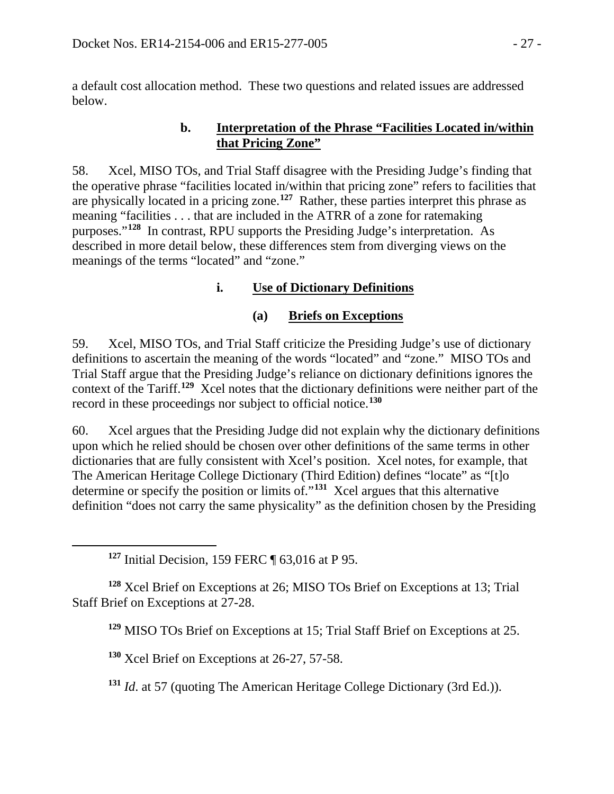a default cost allocation method. These two questions and related issues are addressed below.

#### **b. Interpretation of the Phrase "Facilities Located in/within that Pricing Zone"**

58. Xcel, MISO TOs, and Trial Staff disagree with the Presiding Judge's finding that the operative phrase "facilities located in/within that pricing zone" refers to facilities that are physically located in a pricing zone.**[127](#page-26-0)** Rather, these parties interpret this phrase as meaning "facilities . . . that are included in the ATRR of a zone for ratemaking purposes."**[128](#page-26-1)** In contrast, RPU supports the Presiding Judge's interpretation. As described in more detail below, these differences stem from diverging views on the meanings of the terms "located" and "zone."

# **i. Use of Dictionary Definitions**

## **(a) Briefs on Exceptions**

59. Xcel, MISO TOs, and Trial Staff criticize the Presiding Judge's use of dictionary definitions to ascertain the meaning of the words "located" and "zone." MISO TOs and Trial Staff argue that the Presiding Judge's reliance on dictionary definitions ignores the context of the Tariff.**[129](#page-26-2)** Xcel notes that the dictionary definitions were neither part of the record in these proceedings nor subject to official notice.**[130](#page-26-3)**

60. Xcel argues that the Presiding Judge did not explain why the dictionary definitions upon which he relied should be chosen over other definitions of the same terms in other dictionaries that are fully consistent with Xcel's position. Xcel notes, for example, that The American Heritage College Dictionary (Third Edition) defines "locate" as "[t]o determine or specify the position or limits of."**[131](#page-26-4)** Xcel argues that this alternative definition "does not carry the same physicality" as the definition chosen by the Presiding

<span id="page-26-0"></span> $\overline{a}$ 

<span id="page-26-3"></span><span id="page-26-2"></span><span id="page-26-1"></span>**<sup>128</sup>** Xcel Brief on Exceptions at 26; MISO TOs Brief on Exceptions at 13; Trial Staff Brief on Exceptions at 27-28.

**<sup>129</sup>** MISO TOs Brief on Exceptions at 15; Trial Staff Brief on Exceptions at 25.

**<sup>130</sup>** Xcel Brief on Exceptions at 26-27, 57-58.

<span id="page-26-4"></span>**<sup>131</sup>** *Id*. at 57 (quoting The American Heritage College Dictionary (3rd Ed.)).

**<sup>127</sup>** Initial Decision, 159 FERC ¶ 63,016 at P 95.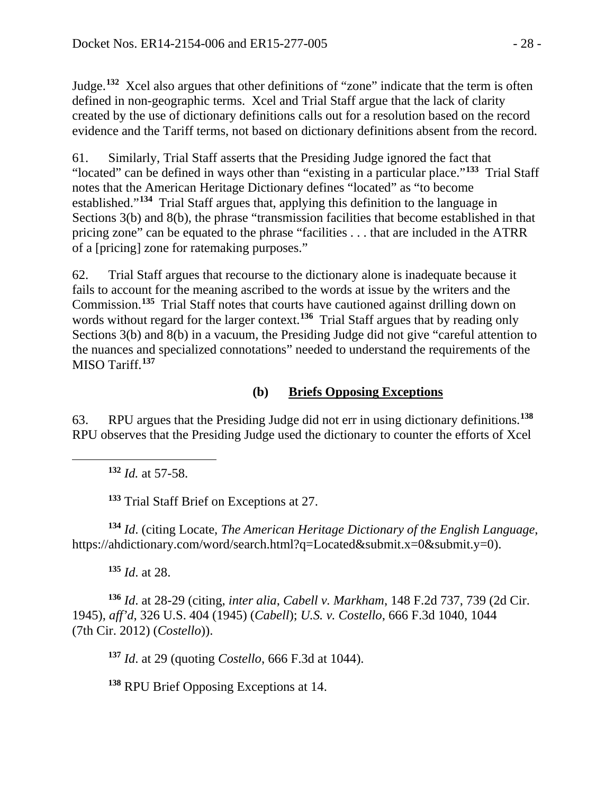Judge.**[132](#page-27-0)** Xcel also argues that other definitions of "zone" indicate that the term is often defined in non-geographic terms. Xcel and Trial Staff argue that the lack of clarity created by the use of dictionary definitions calls out for a resolution based on the record evidence and the Tariff terms, not based on dictionary definitions absent from the record.

61. Similarly, Trial Staff asserts that the Presiding Judge ignored the fact that "located" can be defined in ways other than "existing in a particular place."**[133](#page-27-1)** Trial Staff notes that the American Heritage Dictionary defines "located" as "to become established."**[134](#page-27-2)** Trial Staff argues that, applying this definition to the language in Sections 3(b) and 8(b), the phrase "transmission facilities that become established in that pricing zone" can be equated to the phrase "facilities . . . that are included in the ATRR of a [pricing] zone for ratemaking purposes."

62. Trial Staff argues that recourse to the dictionary alone is inadequate because it fails to account for the meaning ascribed to the words at issue by the writers and the Commission.**[135](#page-27-3)** Trial Staff notes that courts have cautioned against drilling down on words without regard for the larger context.<sup>[136](#page-27-4)</sup> Trial Staff argues that by reading only Sections 3(b) and 8(b) in a vacuum, the Presiding Judge did not give "careful attention to the nuances and specialized connotations" needed to understand the requirements of the MISO Tariff.**[137](#page-27-5)**

### **(b) Briefs Opposing Exceptions**

63. RPU argues that the Presiding Judge did not err in using dictionary definitions.**[138](#page-27-6)** RPU observes that the Presiding Judge used the dictionary to counter the efforts of Xcel

**<sup>132</sup>** *Id.* at 57-58.

<span id="page-27-0"></span> $\overline{a}$ 

**<sup>133</sup>** Trial Staff Brief on Exceptions at 27.

<span id="page-27-2"></span><span id="page-27-1"></span>**<sup>134</sup>** *Id*. (citing Locate, *The American Heritage Dictionary of the English Language*, https://ahdictionary.com/word/search.html?q=Located&submit.x=0&submit.y=0).

**<sup>135</sup>** *Id*. at 28.

<span id="page-27-5"></span><span id="page-27-4"></span><span id="page-27-3"></span>**<sup>136</sup>** *Id*. at 28-29 (citing, *inter alia*, *Cabell v. Markham*, 148 F.2d 737, 739 (2d Cir. 1945), *aff'd*, 326 U.S. 404 (1945) (*Cabell*); *U.S. v. Costello*, 666 F.3d 1040, 1044 (7th Cir. 2012) (*Costello*)).

**<sup>137</sup>** *Id*. at 29 (quoting *Costello*, 666 F.3d at 1044).

<span id="page-27-6"></span>**<sup>138</sup>** RPU Brief Opposing Exceptions at 14.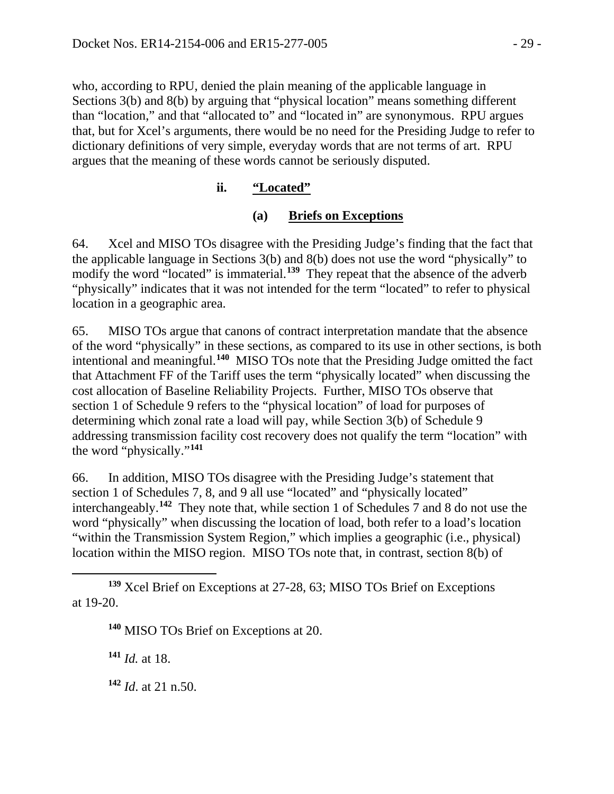who, according to RPU, denied the plain meaning of the applicable language in Sections 3(b) and 8(b) by arguing that "physical location" means something different than "location," and that "allocated to" and "located in" are synonymous. RPU argues that, but for Xcel's arguments, there would be no need for the Presiding Judge to refer to dictionary definitions of very simple, everyday words that are not terms of art. RPU argues that the meaning of these words cannot be seriously disputed.

## **ii. "Located"**

### **(a) Briefs on Exceptions**

64. Xcel and MISO TOs disagree with the Presiding Judge's finding that the fact that the applicable language in Sections 3(b) and 8(b) does not use the word "physically" to modify the word "located" is immaterial.<sup>[139](#page-28-0)</sup> They repeat that the absence of the adverb "physically" indicates that it was not intended for the term "located" to refer to physical location in a geographic area.

65. MISO TOs argue that canons of contract interpretation mandate that the absence of the word "physically" in these sections, as compared to its use in other sections, is both intentional and meaningful.**[140](#page-28-1)** MISO TOs note that the Presiding Judge omitted the fact that Attachment FF of the Tariff uses the term "physically located" when discussing the cost allocation of Baseline Reliability Projects. Further, MISO TOs observe that section 1 of Schedule 9 refers to the "physical location" of load for purposes of determining which zonal rate a load will pay, while Section 3(b) of Schedule 9 addressing transmission facility cost recovery does not qualify the term "location" with the word "physically."**[141](#page-28-2)**

66. In addition, MISO TOs disagree with the Presiding Judge's statement that section 1 of Schedules 7, 8, and 9 all use "located" and "physically located" interchangeably.**[142](#page-28-3)** They note that, while section 1 of Schedules 7 and 8 do not use the word "physically" when discussing the location of load, both refer to a load's location "within the Transmission System Region," which implies a geographic (i.e., physical) location within the MISO region. MISO TOs note that, in contrast, section 8(b) of

**<sup>140</sup>** MISO TOs Brief on Exceptions at 20.

<span id="page-28-2"></span>**<sup>141</sup>** *Id.* at 18.

<span id="page-28-3"></span>**<sup>142</sup>** *Id*. at 21 n.50.

<span id="page-28-1"></span><span id="page-28-0"></span> $\overline{a}$ **<sup>139</sup>** Xcel Brief on Exceptions at 27-28, 63; MISO TOs Brief on Exceptions at 19-20.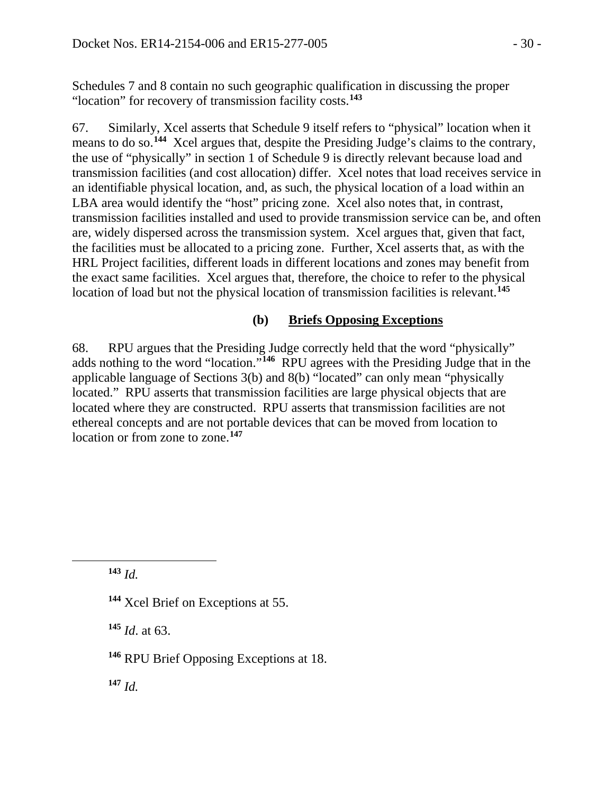Schedules 7 and 8 contain no such geographic qualification in discussing the proper "location" for recovery of transmission facility costs.**[143](#page-29-0)**

67. Similarly, Xcel asserts that Schedule 9 itself refers to "physical" location when it means to do so.**[144](#page-29-1)** Xcel argues that, despite the Presiding Judge's claims to the contrary, the use of "physically" in section 1 of Schedule 9 is directly relevant because load and transmission facilities (and cost allocation) differ. Xcel notes that load receives service in an identifiable physical location, and, as such, the physical location of a load within an LBA area would identify the "host" pricing zone. Xcel also notes that, in contrast, transmission facilities installed and used to provide transmission service can be, and often are, widely dispersed across the transmission system. Xcel argues that, given that fact, the facilities must be allocated to a pricing zone. Further, Xcel asserts that, as with the HRL Project facilities, different loads in different locations and zones may benefit from the exact same facilities. Xcel argues that, therefore, the choice to refer to the physical location of load but not the physical location of transmission facilities is relevant.**[145](#page-29-2)**

#### **(b) Briefs Opposing Exceptions**

68. RPU argues that the Presiding Judge correctly held that the word "physically" adds nothing to the word "location."**[146](#page-29-3)** RPU agrees with the Presiding Judge that in the applicable language of Sections 3(b) and 8(b) "located" can only mean "physically located." RPU asserts that transmission facilities are large physical objects that are located where they are constructed. RPU asserts that transmission facilities are not ethereal concepts and are not portable devices that can be moved from location to location or from zone to zone.**[147](#page-29-4)**

**<sup>143</sup>** *Id.*

<span id="page-29-2"></span><span id="page-29-1"></span><span id="page-29-0"></span> $\overline{a}$ 

**<sup>145</sup>** *Id*. at 63.

<span id="page-29-4"></span>**<sup>147</sup>** *Id.*

**<sup>144</sup>** Xcel Brief on Exceptions at 55.

<span id="page-29-3"></span>**<sup>146</sup>** RPU Brief Opposing Exceptions at 18.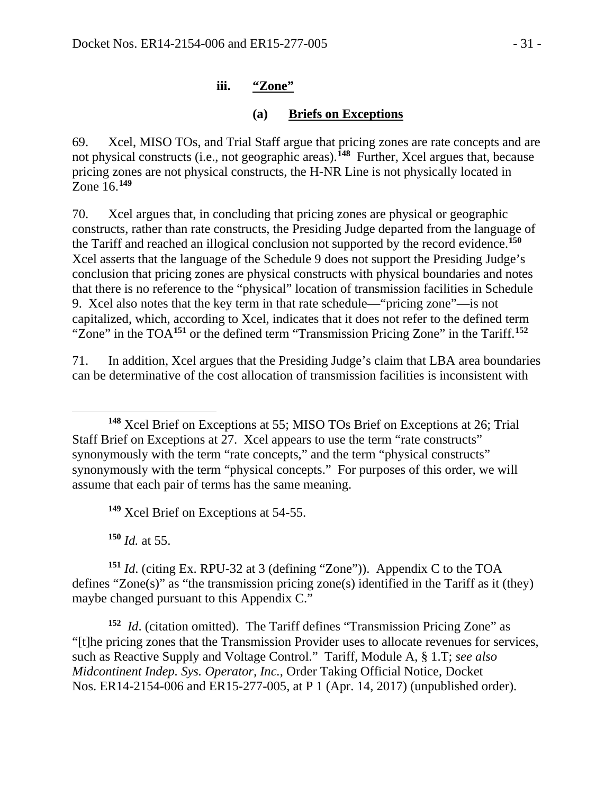#### **iii. "Zone"**

### **(a) Briefs on Exceptions**

69. Xcel, MISO TOs, and Trial Staff argue that pricing zones are rate concepts and are not physical constructs (i.e., not geographic areas). **[148](#page-30-0)** Further, Xcel argues that, because pricing zones are not physical constructs, the H-NR Line is not physically located in Zone 16.**[149](#page-30-1)**

70. Xcel argues that, in concluding that pricing zones are physical or geographic constructs, rather than rate constructs, the Presiding Judge departed from the language of the Tariff and reached an illogical conclusion not supported by the record evidence.**[150](#page-30-2)** Xcel asserts that the language of the Schedule 9 does not support the Presiding Judge's conclusion that pricing zones are physical constructs with physical boundaries and notes that there is no reference to the "physical" location of transmission facilities in Schedule 9. Xcel also notes that the key term in that rate schedule—"pricing zone"—is not capitalized, which, according to Xcel, indicates that it does not refer to the defined term "Zone" in the TOA**[151](#page-30-3)** or the defined term "Transmission Pricing Zone" in the Tariff.**[152](#page-30-4)**

71. In addition, Xcel argues that the Presiding Judge's claim that LBA area boundaries can be determinative of the cost allocation of transmission facilities is inconsistent with

**<sup>149</sup>** Xcel Brief on Exceptions at 54-55.

**<sup>150</sup>** *Id.* at 55.

<span id="page-30-3"></span><span id="page-30-2"></span><span id="page-30-1"></span>**<sup>151</sup>** *Id*. (citing Ex. RPU-32 at 3 (defining "Zone")). Appendix C to the TOA defines "Zone(s)" as "the transmission pricing zone(s) identified in the Tariff as it (they) maybe changed pursuant to this Appendix C."

<span id="page-30-4"></span>**<sup>152</sup>** *Id*. (citation omitted). The Tariff defines "Transmission Pricing Zone" as "[t]he pricing zones that the Transmission Provider uses to allocate revenues for services, such as Reactive Supply and Voltage Control." Tariff, Module A, § 1.T; *see also Midcontinent Indep. Sys. Operator, Inc.*, Order Taking Official Notice, Docket Nos. ER14-2154-006 and ER15-277-005, at P 1 (Apr. 14, 2017) (unpublished order).

<span id="page-30-0"></span> $\overline{a}$ **<sup>148</sup>** Xcel Brief on Exceptions at 55; MISO TOs Brief on Exceptions at 26; Trial Staff Brief on Exceptions at 27. Xcel appears to use the term "rate constructs" synonymously with the term "rate concepts," and the term "physical constructs" synonymously with the term "physical concepts." For purposes of this order, we will assume that each pair of terms has the same meaning.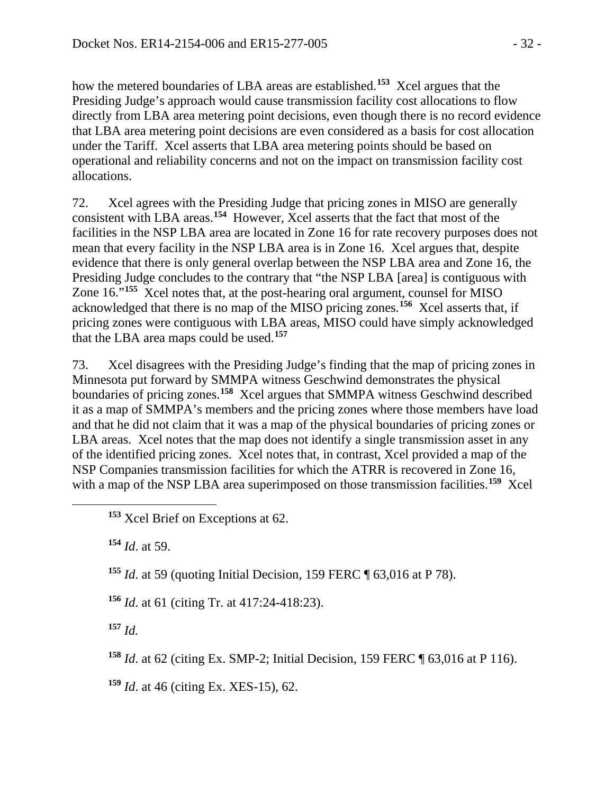how the metered boundaries of LBA areas are established.**[153](#page-31-0)** Xcel argues that the Presiding Judge's approach would cause transmission facility cost allocations to flow directly from LBA area metering point decisions, even though there is no record evidence that LBA area metering point decisions are even considered as a basis for cost allocation under the Tariff. Xcel asserts that LBA area metering points should be based on operational and reliability concerns and not on the impact on transmission facility cost allocations.

72. Xcel agrees with the Presiding Judge that pricing zones in MISO are generally consistent with LBA areas.**[154](#page-31-1)** However, Xcel asserts that the fact that most of the facilities in the NSP LBA area are located in Zone 16 for rate recovery purposes does not mean that every facility in the NSP LBA area is in Zone 16. Xcel argues that, despite evidence that there is only general overlap between the NSP LBA area and Zone 16, the Presiding Judge concludes to the contrary that "the NSP LBA [area] is contiguous with Zone 16."**[155](#page-31-2)** Xcel notes that, at the post-hearing oral argument, counsel for MISO acknowledged that there is no map of the MISO pricing zones.**[156](#page-31-3)** Xcel asserts that, if pricing zones were contiguous with LBA areas, MISO could have simply acknowledged that the LBA area maps could be used.**[157](#page-31-4)**

73. Xcel disagrees with the Presiding Judge's finding that the map of pricing zones in Minnesota put forward by SMMPA witness Geschwind demonstrates the physical boundaries of pricing zones.**[158](#page-31-5)** Xcel argues that SMMPA witness Geschwind described it as a map of SMMPA's members and the pricing zones where those members have load and that he did not claim that it was a map of the physical boundaries of pricing zones or LBA areas. Xcel notes that the map does not identify a single transmission asset in any of the identified pricing zones. Xcel notes that, in contrast, Xcel provided a map of the NSP Companies transmission facilities for which the ATRR is recovered in Zone 16, with a map of the NSP LBA area superimposed on those transmission facilities.<sup>[159](#page-31-6)</sup> Xcel

**<sup>154</sup>** *Id*. at 59.

<span id="page-31-2"></span><span id="page-31-1"></span><span id="page-31-0"></span> $\overline{a}$ 

**<sup>155</sup>** *Id*. at 59 (quoting Initial Decision, 159 FERC ¶ 63,016 at P 78).

<span id="page-31-3"></span>**<sup>156</sup>** *Id*. at 61 (citing Tr. at 417:24-418:23).

<span id="page-31-4"></span>**<sup>157</sup>** *Id.*

<span id="page-31-5"></span>**<sup>158</sup>** *Id*. at 62 (citing Ex. SMP-2; Initial Decision, 159 FERC ¶ 63,016 at P 116).

<span id="page-31-6"></span>**<sup>159</sup>** *Id*. at 46 (citing Ex. XES-15), 62.

**<sup>153</sup>** Xcel Brief on Exceptions at 62.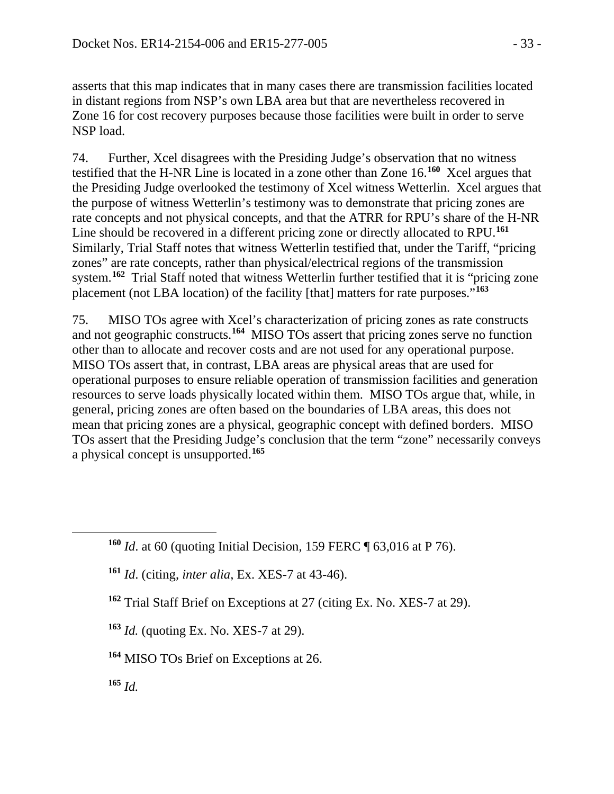asserts that this map indicates that in many cases there are transmission facilities located in distant regions from NSP's own LBA area but that are nevertheless recovered in Zone 16 for cost recovery purposes because those facilities were built in order to serve NSP load.

74. Further, Xcel disagrees with the Presiding Judge's observation that no witness testified that the H-NR Line is located in a zone other than Zone 16.**[160](#page-32-0)** Xcel argues that the Presiding Judge overlooked the testimony of Xcel witness Wetterlin. Xcel argues that the purpose of witness Wetterlin's testimony was to demonstrate that pricing zones are rate concepts and not physical concepts, and that the ATRR for RPU's share of the H-NR Line should be recovered in a different pricing zone or directly allocated to RPU.**[161](#page-32-1)** Similarly, Trial Staff notes that witness Wetterlin testified that, under the Tariff, "pricing zones" are rate concepts, rather than physical/electrical regions of the transmission system.**[162](#page-32-2)** Trial Staff noted that witness Wetterlin further testified that it is "pricing zone placement (not LBA location) of the facility [that] matters for rate purposes."**[163](#page-32-3)**

75. MISO TOs agree with Xcel's characterization of pricing zones as rate constructs and not geographic constructs. **[164](#page-32-4)** MISO TOs assert that pricing zones serve no function other than to allocate and recover costs and are not used for any operational purpose. MISO TOs assert that, in contrast, LBA areas are physical areas that are used for operational purposes to ensure reliable operation of transmission facilities and generation resources to serve loads physically located within them. MISO TOs argue that, while, in general, pricing zones are often based on the boundaries of LBA areas, this does not mean that pricing zones are a physical, geographic concept with defined borders. MISO TOs assert that the Presiding Judge's conclusion that the term "zone" necessarily conveys a physical concept is unsupported.**[165](#page-32-5)**

- **<sup>161</sup>** *Id*. (citing, *inter alia*, Ex. XES-7 at 43-46).
- **<sup>162</sup>** Trial Staff Brief on Exceptions at 27 (citing Ex. No. XES-7 at 29).
- <span id="page-32-3"></span>**<sup>163</sup>** *Id.* (quoting Ex. No. XES-7 at 29).
- <span id="page-32-4"></span>**<sup>164</sup>** MISO TOs Brief on Exceptions at 26.
- <span id="page-32-5"></span>**<sup>165</sup>** *Id.*

<span id="page-32-2"></span><span id="page-32-1"></span><span id="page-32-0"></span> $\overline{a}$ 

**<sup>160</sup>** *Id*. at 60 (quoting Initial Decision, 159 FERC ¶ 63,016 at P 76).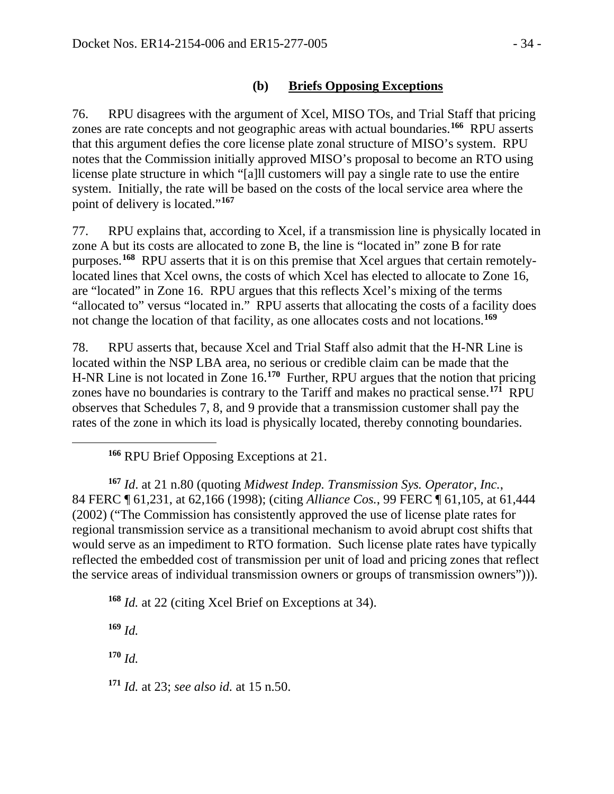### **(b) Briefs Opposing Exceptions**

76. RPU disagrees with the argument of Xcel, MISO TOs, and Trial Staff that pricing zones are rate concepts and not geographic areas with actual boundaries.**[166](#page-33-0)** RPU asserts that this argument defies the core license plate zonal structure of MISO's system. RPU notes that the Commission initially approved MISO's proposal to become an RTO using license plate structure in which "[a]ll customers will pay a single rate to use the entire system. Initially, the rate will be based on the costs of the local service area where the point of delivery is located."**[167](#page-33-1)**

77. RPU explains that, according to Xcel, if a transmission line is physically located in zone A but its costs are allocated to zone B, the line is "located in" zone B for rate purposes.**[168](#page-33-2)** RPU asserts that it is on this premise that Xcel argues that certain remotelylocated lines that Xcel owns, the costs of which Xcel has elected to allocate to Zone 16, are "located" in Zone 16. RPU argues that this reflects Xcel's mixing of the terms "allocated to" versus "located in." RPU asserts that allocating the costs of a facility does not change the location of that facility, as one allocates costs and not locations.**[169](#page-33-3)**

78. RPU asserts that, because Xcel and Trial Staff also admit that the H-NR Line is located within the NSP LBA area, no serious or credible claim can be made that the H-NR Line is not located in Zone 16.**[170](#page-33-4)** Further, RPU argues that the notion that pricing zones have no boundaries is contrary to the Tariff and makes no practical sense.**[171](#page-33-5)** RPU observes that Schedules 7, 8, and 9 provide that a transmission customer shall pay the rates of the zone in which its load is physically located, thereby connoting boundaries.

**<sup>166</sup>** RPU Brief Opposing Exceptions at 21.

<span id="page-33-1"></span>**<sup>167</sup>** *Id*. at 21 n.80 (quoting *Midwest Indep. Transmission Sys. Operator, Inc.*, 84 FERC ¶ 61,231, at 62,166 (1998); (citing *Alliance Cos.*, 99 FERC ¶ 61,105, at 61,444 (2002) ("The Commission has consistently approved the use of license plate rates for regional transmission service as a transitional mechanism to avoid abrupt cost shifts that would serve as an impediment to RTO formation. Such license plate rates have typically reflected the embedded cost of transmission per unit of load and pricing zones that reflect the service areas of individual transmission owners or groups of transmission owners"))).

<span id="page-33-2"></span>**<sup>168</sup>** *Id.* at 22 (citing Xcel Brief on Exceptions at 34).

<span id="page-33-3"></span>**<sup>169</sup>** *Id.*

<span id="page-33-0"></span> $\overline{a}$ 

<span id="page-33-4"></span>**<sup>170</sup>** *Id.*

<span id="page-33-5"></span>**<sup>171</sup>** *Id.* at 23; *see also id.* at 15 n.50.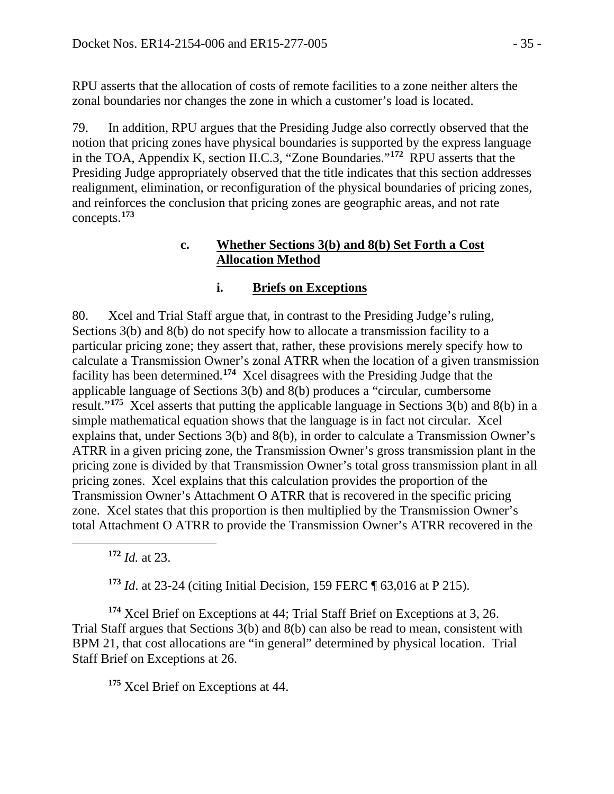RPU asserts that the allocation of costs of remote facilities to a zone neither alters the zonal boundaries nor changes the zone in which a customer's load is located.

79. In addition, RPU argues that the Presiding Judge also correctly observed that the notion that pricing zones have physical boundaries is supported by the express language in the TOA, Appendix K, section II.C.3, "Zone Boundaries."**[172](#page-34-0)** RPU asserts that the Presiding Judge appropriately observed that the title indicates that this section addresses realignment, elimination, or reconfiguration of the physical boundaries of pricing zones, and reinforces the conclusion that pricing zones are geographic areas, and not rate concepts.**[173](#page-34-1)**

#### **c. Whether Sections 3(b) and 8(b) Set Forth a Cost Allocation Method**

### **i. Briefs on Exceptions**

80. Xcel and Trial Staff argue that, in contrast to the Presiding Judge's ruling, Sections 3(b) and 8(b) do not specify how to allocate a transmission facility to a particular pricing zone; they assert that, rather, these provisions merely specify how to calculate a Transmission Owner's zonal ATRR when the location of a given transmission facility has been determined.**[174](#page-34-2)** Xcel disagrees with the Presiding Judge that the applicable language of Sections 3(b) and 8(b) produces a "circular, cumbersome result."**[175](#page-34-3)** Xcel asserts that putting the applicable language in Sections 3(b) and 8(b) in a simple mathematical equation shows that the language is in fact not circular. Xcel explains that, under Sections 3(b) and 8(b), in order to calculate a Transmission Owner's ATRR in a given pricing zone, the Transmission Owner's gross transmission plant in the pricing zone is divided by that Transmission Owner's total gross transmission plant in all pricing zones. Xcel explains that this calculation provides the proportion of the Transmission Owner's Attachment O ATRR that is recovered in the specific pricing zone. Xcel states that this proportion is then multiplied by the Transmission Owner's total Attachment O ATRR to provide the Transmission Owner's ATRR recovered in the

**<sup>172</sup>** *Id.* at 23.

<span id="page-34-0"></span> $\overline{a}$ 

**<sup>173</sup>** *Id*. at 23-24 (citing Initial Decision, 159 FERC ¶ 63,016 at P 215).

<span id="page-34-3"></span><span id="page-34-2"></span><span id="page-34-1"></span>**<sup>174</sup>** Xcel Brief on Exceptions at 44; Trial Staff Brief on Exceptions at 3, 26. Trial Staff argues that Sections 3(b) and 8(b) can also be read to mean, consistent with BPM 21, that cost allocations are "in general" determined by physical location. Trial Staff Brief on Exceptions at 26.

**<sup>175</sup>** Xcel Brief on Exceptions at 44.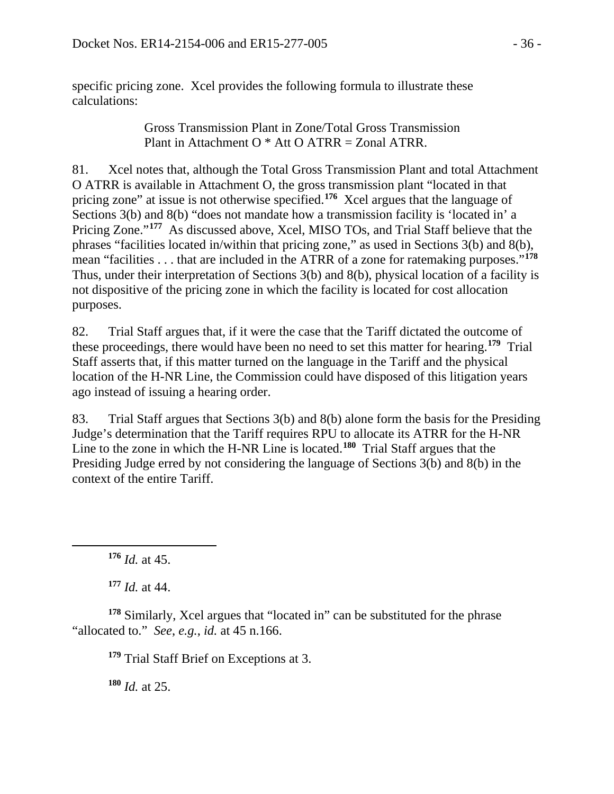specific pricing zone. Xcel provides the following formula to illustrate these calculations:

> Gross Transmission Plant in Zone/Total Gross Transmission Plant in Attachment O \* Att O ATRR = Zonal ATRR.

81. Xcel notes that, although the Total Gross Transmission Plant and total Attachment O ATRR is available in Attachment O, the gross transmission plant "located in that pricing zone" at issue is not otherwise specified.**[176](#page-35-0)** Xcel argues that the language of Sections 3(b) and 8(b) "does not mandate how a transmission facility is 'located in' a Pricing Zone."**[177](#page-35-1)** As discussed above, Xcel, MISO TOs, and Trial Staff believe that the phrases "facilities located in/within that pricing zone," as used in Sections 3(b) and 8(b), mean "facilities . . . that are included in the ATRR of a zone for ratemaking purposes."**[178](#page-35-2)** Thus, under their interpretation of Sections 3(b) and 8(b), physical location of a facility is not dispositive of the pricing zone in which the facility is located for cost allocation purposes.

82. Trial Staff argues that, if it were the case that the Tariff dictated the outcome of these proceedings, there would have been no need to set this matter for hearing. **[179](#page-35-3)** Trial Staff asserts that, if this matter turned on the language in the Tariff and the physical location of the H-NR Line, the Commission could have disposed of this litigation years ago instead of issuing a hearing order.

83. Trial Staff argues that Sections 3(b) and 8(b) alone form the basis for the Presiding Judge's determination that the Tariff requires RPU to allocate its ATRR for the H-NR Line to the zone in which the H-NR Line is located. **[180](#page-35-4)** Trial Staff argues that the Presiding Judge erred by not considering the language of Sections 3(b) and 8(b) in the context of the entire Tariff.

**<sup>176</sup>** *Id.* at 45.

<span id="page-35-0"></span> $\overline{a}$ 

**<sup>177</sup>** *Id.* at 44.

<span id="page-35-4"></span><span id="page-35-3"></span><span id="page-35-2"></span><span id="page-35-1"></span>**<sup>178</sup>** Similarly, Xcel argues that "located in" can be substituted for the phrase "allocated to." *See*, *e.g.*, *id.* at 45 n.166.

**<sup>179</sup>** Trial Staff Brief on Exceptions at 3.

**<sup>180</sup>** *Id.* at 25.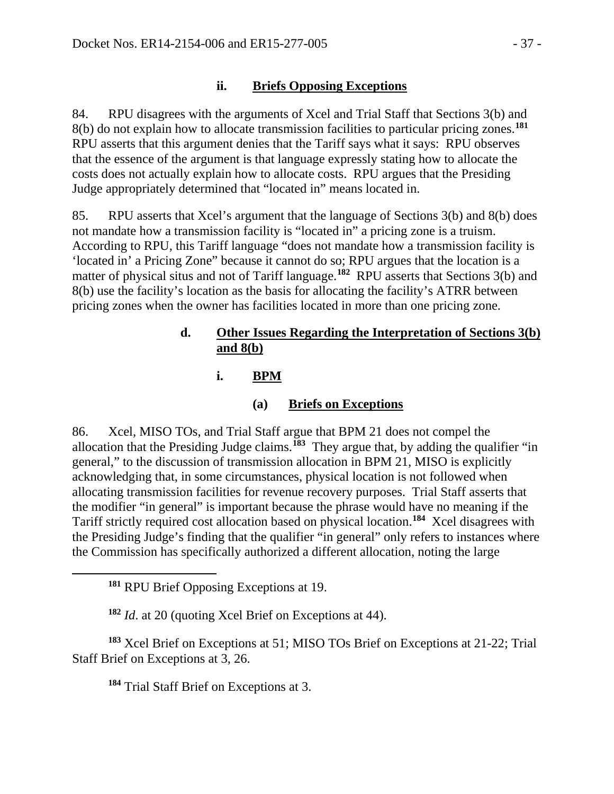## **ii. Briefs Opposing Exceptions**

84. RPU disagrees with the arguments of Xcel and Trial Staff that Sections 3(b) and 8(b) do not explain how to allocate transmission facilities to particular pricing zones.**[181](#page-36-0)** RPU asserts that this argument denies that the Tariff says what it says: RPU observes that the essence of the argument is that language expressly stating how to allocate the costs does not actually explain how to allocate costs. RPU argues that the Presiding Judge appropriately determined that "located in" means located in.

85. RPU asserts that Xcel's argument that the language of Sections 3(b) and 8(b) does not mandate how a transmission facility is "located in" a pricing zone is a truism. According to RPU, this Tariff language "does not mandate how a transmission facility is 'located in' a Pricing Zone" because it cannot do so; RPU argues that the location is a matter of physical situs and not of Tariff language.**[182](#page-36-1)** RPU asserts that Sections 3(b) and 8(b) use the facility's location as the basis for allocating the facility's ATRR between pricing zones when the owner has facilities located in more than one pricing zone.

## **d. Other Issues Regarding the Interpretation of Sections 3(b) and 8(b)**

## **i. BPM**

## **(a) Briefs on Exceptions**

86. Xcel, MISO TOs, and Trial Staff argue that BPM 21 does not compel the allocation that the Presiding Judge claims.**[183](#page-36-2)** They argue that, by adding the qualifier "in general," to the discussion of transmission allocation in BPM 21, MISO is explicitly acknowledging that, in some circumstances, physical location is not followed when allocating transmission facilities for revenue recovery purposes. Trial Staff asserts that the modifier "in general" is important because the phrase would have no meaning if the Tariff strictly required cost allocation based on physical location.**[184](#page-36-3)** Xcel disagrees with the Presiding Judge's finding that the qualifier "in general" only refers to instances where the Commission has specifically authorized a different allocation, noting the large

<span id="page-36-0"></span> $\overline{a}$ 

**<sup>182</sup>** *Id*. at 20 (quoting Xcel Brief on Exceptions at 44).

<span id="page-36-3"></span><span id="page-36-2"></span><span id="page-36-1"></span>**<sup>183</sup>** Xcel Brief on Exceptions at 51; MISO TOs Brief on Exceptions at 21-22; Trial Staff Brief on Exceptions at 3, 26.

**<sup>184</sup>** Trial Staff Brief on Exceptions at 3.

**<sup>181</sup>** RPU Brief Opposing Exceptions at 19.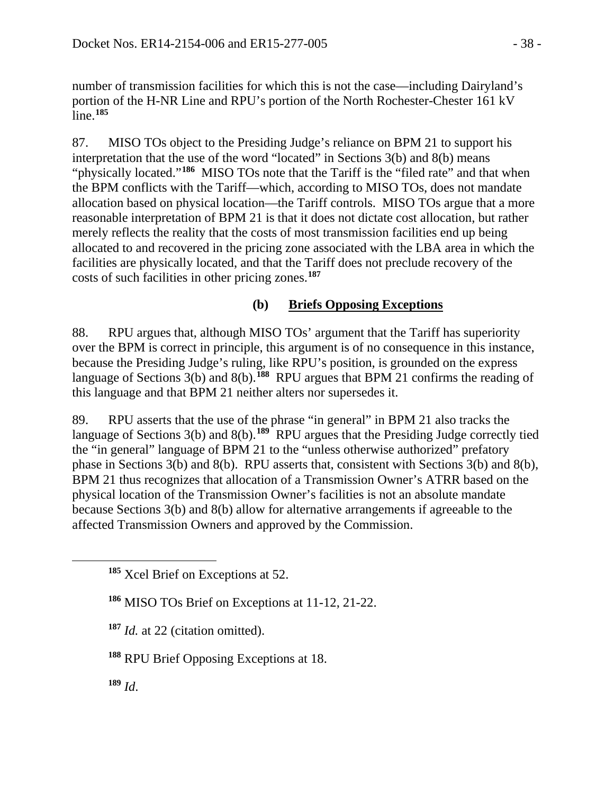number of transmission facilities for which this is not the case—including Dairyland's portion of the H-NR Line and RPU's portion of the North Rochester-Chester 161 kV line.**[185](#page-37-0)**

87. MISO TOs object to the Presiding Judge's reliance on BPM 21 to support his interpretation that the use of the word "located" in Sections 3(b) and 8(b) means "physically located."<sup>[186](#page-37-1)</sup> MISO TOs note that the Tariff is the "filed rate" and that when the BPM conflicts with the Tariff—which, according to MISO TOs, does not mandate allocation based on physical location—the Tariff controls. MISO TOs argue that a more reasonable interpretation of BPM 21 is that it does not dictate cost allocation, but rather merely reflects the reality that the costs of most transmission facilities end up being allocated to and recovered in the pricing zone associated with the LBA area in which the facilities are physically located, and that the Tariff does not preclude recovery of the costs of such facilities in other pricing zones.**[187](#page-37-2)**

## **(b) Briefs Opposing Exceptions**

88. RPU argues that, although MISO TOs' argument that the Tariff has superiority over the BPM is correct in principle, this argument is of no consequence in this instance, because the Presiding Judge's ruling, like RPU's position, is grounded on the express language of Sections 3(b) and 8(b).<sup>[188](#page-37-3)</sup> RPU argues that BPM 21 confirms the reading of this language and that BPM 21 neither alters nor supersedes it.

89. RPU asserts that the use of the phrase "in general" in BPM 21 also tracks the language of Sections 3(b) and 8(b).<sup>[189](#page-37-4)</sup> RPU argues that the Presiding Judge correctly tied the "in general" language of BPM 21 to the "unless otherwise authorized" prefatory phase in Sections 3(b) and 8(b). RPU asserts that, consistent with Sections 3(b) and 8(b), BPM 21 thus recognizes that allocation of a Transmission Owner's ATRR based on the physical location of the Transmission Owner's facilities is not an absolute mandate because Sections 3(b) and 8(b) allow for alternative arrangements if agreeable to the affected Transmission Owners and approved by the Commission.

- **<sup>187</sup>** *Id.* at 22 (citation omitted).
- <span id="page-37-3"></span>**<sup>188</sup>** RPU Brief Opposing Exceptions at 18.
- <span id="page-37-4"></span>**<sup>189</sup>** *Id*.

<span id="page-37-2"></span><span id="page-37-1"></span><span id="page-37-0"></span> $\overline{a}$ 

**<sup>185</sup>** Xcel Brief on Exceptions at 52.

**<sup>186</sup>** MISO TOs Brief on Exceptions at 11-12, 21-22.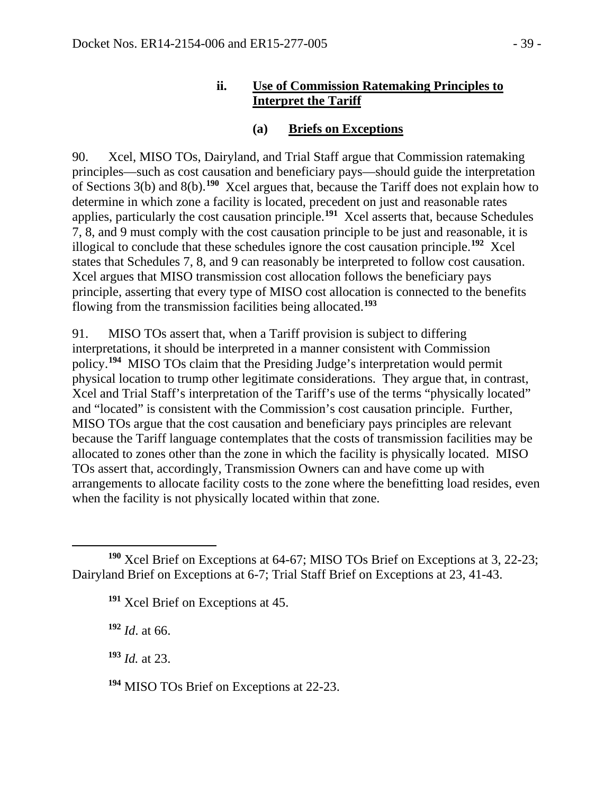### **ii. Use of Commission Ratemaking Principles to Interpret the Tariff**

### **(a) Briefs on Exceptions**

90. Xcel, MISO TOs, Dairyland, and Trial Staff argue that Commission ratemaking principles—such as cost causation and beneficiary pays—should guide the interpretation of Sections 3(b) and 8(b).**[190](#page-38-0)** Xcel argues that, because the Tariff does not explain how to determine in which zone a facility is located, precedent on just and reasonable rates applies, particularly the cost causation principle. **[191](#page-38-1)** Xcel asserts that, because Schedules 7, 8, and 9 must comply with the cost causation principle to be just and reasonable, it is illogical to conclude that these schedules ignore the cost causation principle.**[192](#page-38-2)** Xcel states that Schedules 7, 8, and 9 can reasonably be interpreted to follow cost causation. Xcel argues that MISO transmission cost allocation follows the beneficiary pays principle, asserting that every type of MISO cost allocation is connected to the benefits flowing from the transmission facilities being allocated.**[193](#page-38-3)**

91. MISO TOs assert that, when a Tariff provision is subject to differing interpretations, it should be interpreted in a manner consistent with Commission policy.**[194](#page-38-4)** MISO TOs claim that the Presiding Judge's interpretation would permit physical location to trump other legitimate considerations. They argue that, in contrast, Xcel and Trial Staff's interpretation of the Tariff's use of the terms "physically located" and "located" is consistent with the Commission's cost causation principle. Further, MISO TOs argue that the cost causation and beneficiary pays principles are relevant because the Tariff language contemplates that the costs of transmission facilities may be allocated to zones other than the zone in which the facility is physically located. MISO TOs assert that, accordingly, Transmission Owners can and have come up with arrangements to allocate facility costs to the zone where the benefitting load resides, even when the facility is not physically located within that zone.

<span id="page-38-2"></span>**<sup>192</sup>** *Id*. at 66.

<span id="page-38-3"></span>**<sup>193</sup>** *Id.* at 23.

<span id="page-38-1"></span><span id="page-38-0"></span> $\overline{a}$ **<sup>190</sup>** Xcel Brief on Exceptions at 64-67; MISO TOs Brief on Exceptions at 3, 22-23; Dairyland Brief on Exceptions at 6-7; Trial Staff Brief on Exceptions at 23, 41-43.

**<sup>191</sup>** Xcel Brief on Exceptions at 45.

<span id="page-38-4"></span>**<sup>194</sup>** MISO TOs Brief on Exceptions at 22-23.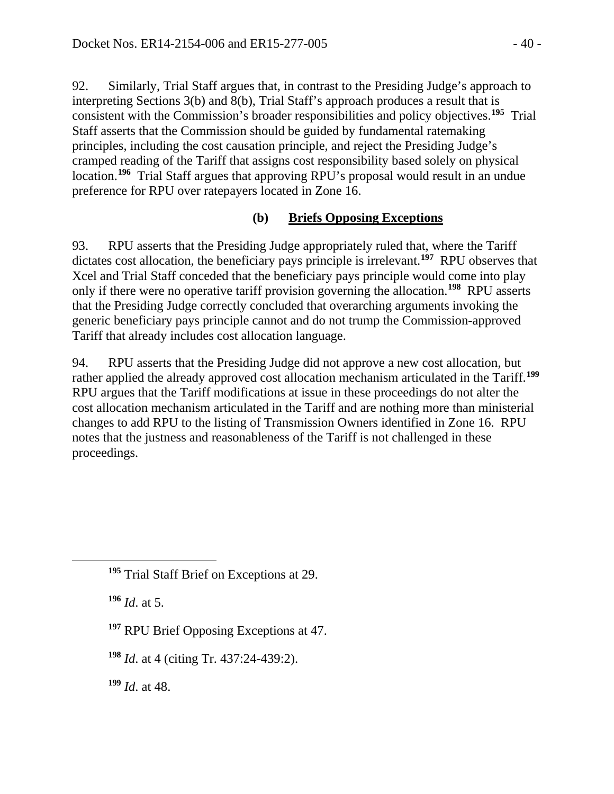92. Similarly, Trial Staff argues that, in contrast to the Presiding Judge's approach to interpreting Sections 3(b) and 8(b), Trial Staff's approach produces a result that is consistent with the Commission's broader responsibilities and policy objectives.**[195](#page-39-0)** Trial Staff asserts that the Commission should be guided by fundamental ratemaking principles, including the cost causation principle, and reject the Presiding Judge's cramped reading of the Tariff that assigns cost responsibility based solely on physical location.**[196](#page-39-1)** Trial Staff argues that approving RPU's proposal would result in an undue preference for RPU over ratepayers located in Zone 16.

### **(b) Briefs Opposing Exceptions**

93. RPU asserts that the Presiding Judge appropriately ruled that, where the Tariff dictates cost allocation, the beneficiary pays principle is irrelevant.**[197](#page-39-2)** RPU observes that Xcel and Trial Staff conceded that the beneficiary pays principle would come into play only if there were no operative tariff provision governing the allocation.**[198](#page-39-3)** RPU asserts that the Presiding Judge correctly concluded that overarching arguments invoking the generic beneficiary pays principle cannot and do not trump the Commission-approved Tariff that already includes cost allocation language.

94. RPU asserts that the Presiding Judge did not approve a new cost allocation, but rather applied the already approved cost allocation mechanism articulated in the Tariff.**[199](#page-39-4)** RPU argues that the Tariff modifications at issue in these proceedings do not alter the cost allocation mechanism articulated in the Tariff and are nothing more than ministerial changes to add RPU to the listing of Transmission Owners identified in Zone 16. RPU notes that the justness and reasonableness of the Tariff is not challenged in these proceedings.

**<sup>196</sup>** *Id*. at 5.

<span id="page-39-2"></span><span id="page-39-1"></span><span id="page-39-0"></span> $\overline{a}$ 

**<sup>197</sup>** RPU Brief Opposing Exceptions at 47.

<span id="page-39-3"></span>**<sup>198</sup>** *Id*. at 4 (citing Tr. 437:24-439:2).

<span id="page-39-4"></span>**<sup>199</sup>** *Id*. at 48.

**<sup>195</sup>** Trial Staff Brief on Exceptions at 29.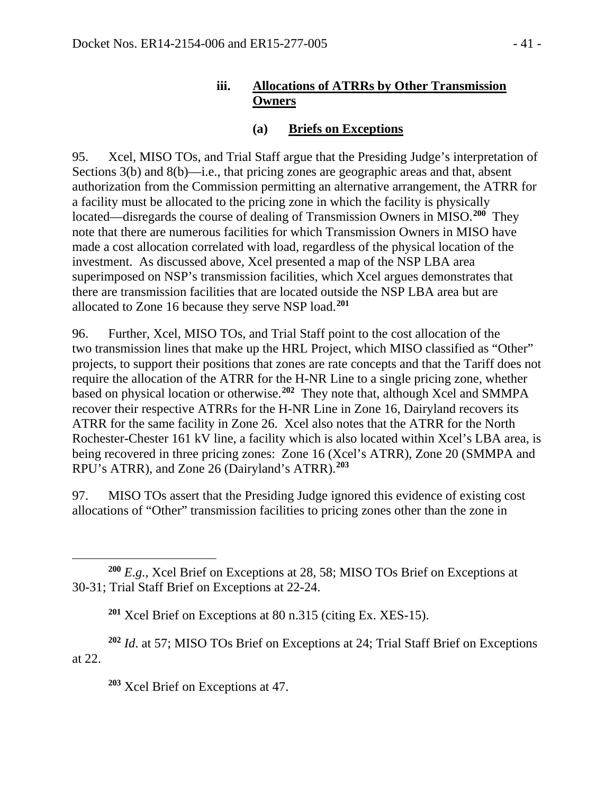## **iii. Allocations of ATRRs by Other Transmission Owners**

## **(a) Briefs on Exceptions**

95. Xcel, MISO TOs, and Trial Staff argue that the Presiding Judge's interpretation of Sections 3(b) and 8(b)—i.e., that pricing zones are geographic areas and that, absent authorization from the Commission permitting an alternative arrangement, the ATRR for a facility must be allocated to the pricing zone in which the facility is physically located—disregards the course of dealing of Transmission Owners in MISO.**[200](#page-40-0)** They note that there are numerous facilities for which Transmission Owners in MISO have made a cost allocation correlated with load, regardless of the physical location of the investment. As discussed above, Xcel presented a map of the NSP LBA area superimposed on NSP's transmission facilities, which Xcel argues demonstrates that there are transmission facilities that are located outside the NSP LBA area but are allocated to Zone 16 because they serve NSP load. **[201](#page-40-1)**

96. Further, Xcel, MISO TOs, and Trial Staff point to the cost allocation of the two transmission lines that make up the HRL Project, which MISO classified as "Other" projects, to support their positions that zones are rate concepts and that the Tariff does not require the allocation of the ATRR for the H-NR Line to a single pricing zone, whether based on physical location or otherwise. **[202](#page-40-2)** They note that, although Xcel and SMMPA recover their respective ATRRs for the H-NR Line in Zone 16, Dairyland recovers its ATRR for the same facility in Zone 26. Xcel also notes that the ATRR for the North Rochester-Chester 161 kV line, a facility which is also located within Xcel's LBA area, is being recovered in three pricing zones: Zone 16 (Xcel's ATRR), Zone 20 (SMMPA and RPU's ATRR), and Zone 26 (Dairyland's ATRR).**[203](#page-40-3)**

97. MISO TOs assert that the Presiding Judge ignored this evidence of existing cost allocations of "Other" transmission facilities to pricing zones other than the zone in

**<sup>201</sup>** Xcel Brief on Exceptions at 80 n.315 (citing Ex. XES-15).

<span id="page-40-3"></span><span id="page-40-2"></span><span id="page-40-1"></span>**<sup>202</sup>** *Id*. at 57; MISO TOs Brief on Exceptions at 24; Trial Staff Brief on Exceptions at 22.

**<sup>203</sup>** Xcel Brief on Exceptions at 47.

<span id="page-40-0"></span> $\overline{a}$ **<sup>200</sup>** *E.g.*, Xcel Brief on Exceptions at 28, 58; MISO TOs Brief on Exceptions at 30-31; Trial Staff Brief on Exceptions at 22-24.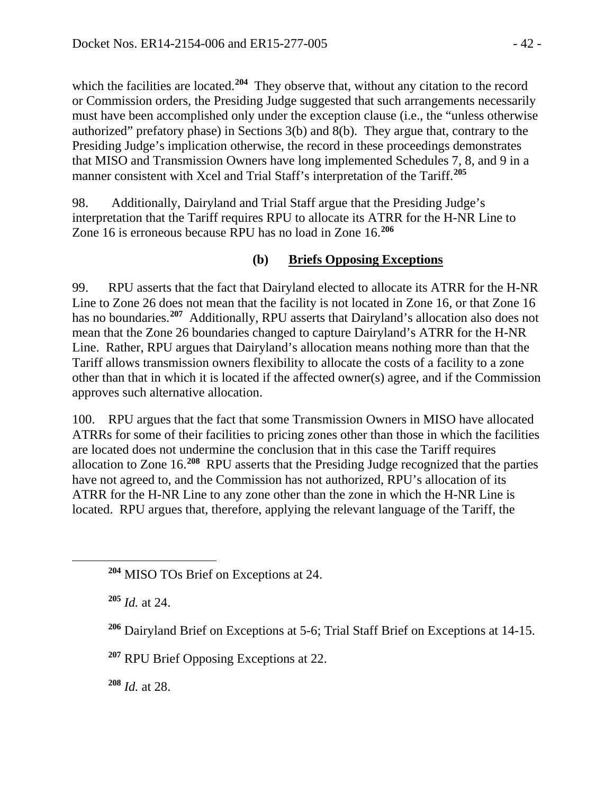which the facilities are located.<sup>[204](#page-41-0)</sup> They observe that, without any citation to the record or Commission orders, the Presiding Judge suggested that such arrangements necessarily must have been accomplished only under the exception clause (i.e., the "unless otherwise authorized" prefatory phase) in Sections 3(b) and 8(b). They argue that, contrary to the Presiding Judge's implication otherwise, the record in these proceedings demonstrates that MISO and Transmission Owners have long implemented Schedules 7, 8, and 9 in a manner consistent with Xcel and Trial Staff's interpretation of the Tariff.**[205](#page-41-1)**

98. Additionally, Dairyland and Trial Staff argue that the Presiding Judge's interpretation that the Tariff requires RPU to allocate its ATRR for the H-NR Line to Zone 16 is erroneous because RPU has no load in Zone 16.**[206](#page-41-2)**

## **(b) Briefs Opposing Exceptions**

99. RPU asserts that the fact that Dairyland elected to allocate its ATRR for the H-NR Line to Zone 26 does not mean that the facility is not located in Zone 16, or that Zone 16 has no boundaries.**[207](#page-41-3)** Additionally, RPU asserts that Dairyland's allocation also does not mean that the Zone 26 boundaries changed to capture Dairyland's ATRR for the H-NR Line. Rather, RPU argues that Dairyland's allocation means nothing more than that the Tariff allows transmission owners flexibility to allocate the costs of a facility to a zone other than that in which it is located if the affected owner(s) agree, and if the Commission approves such alternative allocation.

100. RPU argues that the fact that some Transmission Owners in MISO have allocated ATRRs for some of their facilities to pricing zones other than those in which the facilities are located does not undermine the conclusion that in this case the Tariff requires allocation to Zone 16.**[208](#page-41-4)** RPU asserts that the Presiding Judge recognized that the parties have not agreed to, and the Commission has not authorized, RPU's allocation of its ATRR for the H-NR Line to any zone other than the zone in which the H-NR Line is located. RPU argues that, therefore, applying the relevant language of the Tariff, the

**<sup>205</sup>** *Id.* at 24.

<span id="page-41-2"></span><span id="page-41-1"></span><span id="page-41-0"></span> $\overline{a}$ 

<span id="page-41-3"></span>**<sup>207</sup>** RPU Brief Opposing Exceptions at 22.

<span id="page-41-4"></span>**<sup>208</sup>** *Id.* at 28.

**<sup>204</sup>** MISO TOs Brief on Exceptions at 24.

**<sup>206</sup>** Dairyland Brief on Exceptions at 5-6; Trial Staff Brief on Exceptions at 14-15.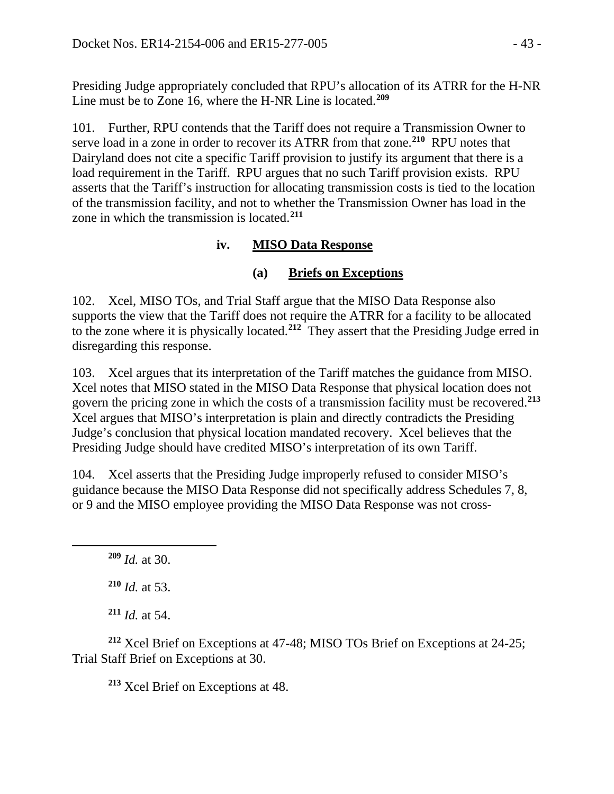Presiding Judge appropriately concluded that RPU's allocation of its ATRR for the H-NR Line must be to Zone 16, where the H-NR Line is located.**[209](#page-42-0)**

101. Further, RPU contends that the Tariff does not require a Transmission Owner to serve load in a zone in order to recover its ATRR from that zone.**[210](#page-42-1)** RPU notes that Dairyland does not cite a specific Tariff provision to justify its argument that there is a load requirement in the Tariff. RPU argues that no such Tariff provision exists. RPU asserts that the Tariff's instruction for allocating transmission costs is tied to the location of the transmission facility, and not to whether the Transmission Owner has load in the zone in which the transmission is located.**[211](#page-42-2)**

## **iv. MISO Data Response**

### **(a) Briefs on Exceptions**

102. Xcel, MISO TOs, and Trial Staff argue that the MISO Data Response also supports the view that the Tariff does not require the ATRR for a facility to be allocated to the zone where it is physically located.**[212](#page-42-3)** They assert that the Presiding Judge erred in disregarding this response.

103. Xcel argues that its interpretation of the Tariff matches the guidance from MISO. Xcel notes that MISO stated in the MISO Data Response that physical location does not govern the pricing zone in which the costs of a transmission facility must be recovered.**[213](#page-42-4)** Xcel argues that MISO's interpretation is plain and directly contradicts the Presiding Judge's conclusion that physical location mandated recovery. Xcel believes that the Presiding Judge should have credited MISO's interpretation of its own Tariff.

104. Xcel asserts that the Presiding Judge improperly refused to consider MISO's guidance because the MISO Data Response did not specifically address Schedules 7, 8, or 9 and the MISO employee providing the MISO Data Response was not cross-

**<sup>209</sup>** *Id.* at 30. **<sup>210</sup>** *Id.* at 53.

<span id="page-42-1"></span><span id="page-42-0"></span> $\overline{a}$ 

**<sup>211</sup>** *Id.* at 54.

<span id="page-42-4"></span><span id="page-42-3"></span><span id="page-42-2"></span>**<sup>212</sup>** Xcel Brief on Exceptions at 47-48; MISO TOs Brief on Exceptions at 24-25; Trial Staff Brief on Exceptions at 30.

**<sup>213</sup>** Xcel Brief on Exceptions at 48.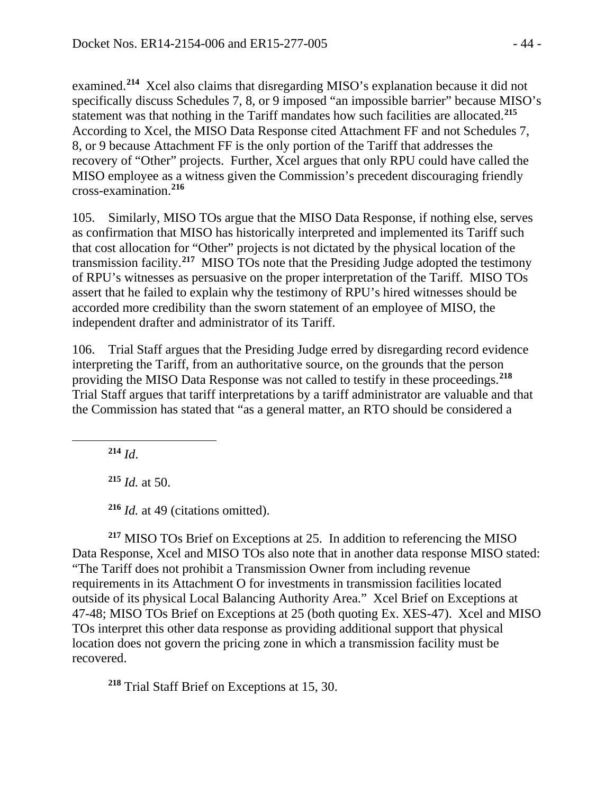examined.**[214](#page-43-0)** Xcel also claims that disregarding MISO's explanation because it did not specifically discuss Schedules 7, 8, or 9 imposed "an impossible barrier" because MISO's statement was that nothing in the Tariff mandates how such facilities are allocated.**[215](#page-43-1)** According to Xcel, the MISO Data Response cited Attachment FF and not Schedules 7, 8, or 9 because Attachment FF is the only portion of the Tariff that addresses the recovery of "Other" projects. Further, Xcel argues that only RPU could have called the MISO employee as a witness given the Commission's precedent discouraging friendly cross-examination.**[216](#page-43-2)**

105. Similarly, MISO TOs argue that the MISO Data Response, if nothing else, serves as confirmation that MISO has historically interpreted and implemented its Tariff such that cost allocation for "Other" projects is not dictated by the physical location of the transmission facility.**[217](#page-43-3)** MISO TOs note that the Presiding Judge adopted the testimony of RPU's witnesses as persuasive on the proper interpretation of the Tariff. MISO TOs assert that he failed to explain why the testimony of RPU's hired witnesses should be accorded more credibility than the sworn statement of an employee of MISO, the independent drafter and administrator of its Tariff.

106. Trial Staff argues that the Presiding Judge erred by disregarding record evidence interpreting the Tariff, from an authoritative source, on the grounds that the person providing the MISO Data Response was not called to testify in these proceedings. **[218](#page-43-4)** Trial Staff argues that tariff interpretations by a tariff administrator are valuable and that the Commission has stated that "as a general matter, an RTO should be considered a

**<sup>214</sup>** *Id*.

<span id="page-43-1"></span><span id="page-43-0"></span> $\overline{a}$ 

**<sup>215</sup>** *Id.* at 50.

**<sup>216</sup>** *Id.* at 49 (citations omitted).

<span id="page-43-3"></span><span id="page-43-2"></span>**<sup>217</sup>** MISO TOs Brief on Exceptions at 25. In addition to referencing the MISO Data Response, Xcel and MISO TOs also note that in another data response MISO stated: "The Tariff does not prohibit a Transmission Owner from including revenue requirements in its Attachment O for investments in transmission facilities located outside of its physical Local Balancing Authority Area." Xcel Brief on Exceptions at 47-48; MISO TOs Brief on Exceptions at 25 (both quoting Ex. XES-47). Xcel and MISO TOs interpret this other data response as providing additional support that physical location does not govern the pricing zone in which a transmission facility must be recovered.

<span id="page-43-4"></span>**<sup>218</sup>** Trial Staff Brief on Exceptions at 15, 30.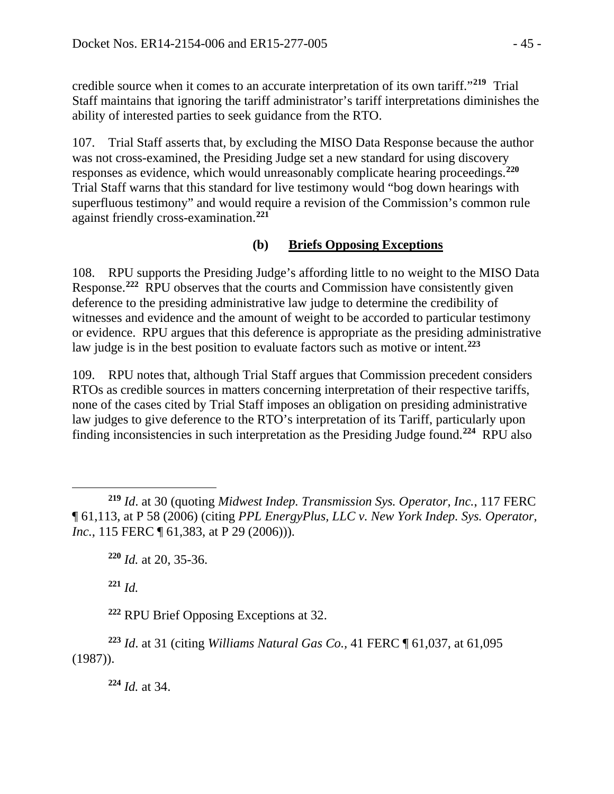credible source when it comes to an accurate interpretation of its own tariff."**[219](#page-44-0)** Trial Staff maintains that ignoring the tariff administrator's tariff interpretations diminishes the ability of interested parties to seek guidance from the RTO.

107. Trial Staff asserts that, by excluding the MISO Data Response because the author was not cross-examined, the Presiding Judge set a new standard for using discovery responses as evidence, which would unreasonably complicate hearing proceedings.**[220](#page-44-1)** Trial Staff warns that this standard for live testimony would "bog down hearings with superfluous testimony" and would require a revision of the Commission's common rule against friendly cross-examination.**[221](#page-44-2)**

## **(b) Briefs Opposing Exceptions**

108. RPU supports the Presiding Judge's affording little to no weight to the MISO Data Response.**[222](#page-44-3)** RPU observes that the courts and Commission have consistently given deference to the presiding administrative law judge to determine the credibility of witnesses and evidence and the amount of weight to be accorded to particular testimony or evidence. RPU argues that this deference is appropriate as the presiding administrative law judge is in the best position to evaluate factors such as motive or intent.**[223](#page-44-4)**

109. RPU notes that, although Trial Staff argues that Commission precedent considers RTOs as credible sources in matters concerning interpretation of their respective tariffs, none of the cases cited by Trial Staff imposes an obligation on presiding administrative law judges to give deference to the RTO's interpretation of its Tariff, particularly upon finding inconsistencies in such interpretation as the Presiding Judge found.**[224](#page-44-5)** RPU also

**<sup>220</sup>** *Id.* at 20, 35-36.

**<sup>221</sup>** *Id.*

 $\overline{a}$ 

**<sup>222</sup>** RPU Brief Opposing Exceptions at 32.

<span id="page-44-5"></span><span id="page-44-4"></span><span id="page-44-3"></span><span id="page-44-2"></span>**<sup>223</sup>** *Id*. at 31 (citing *Williams Natural Gas Co.,* 41 FERC ¶ 61,037, at 61,095 (1987)).

**<sup>224</sup>** *Id.* at 34.

<span id="page-44-1"></span><span id="page-44-0"></span>**<sup>219</sup>** *Id*. at 30 (quoting *Midwest Indep. Transmission Sys. Operator, Inc.*, 117 FERC ¶ 61,113, at P 58 (2006) (citing *PPL EnergyPlus, LLC v. New York Indep. Sys. Operator, Inc.*, 115 FERC ¶ 61,383, at P 29 (2006)).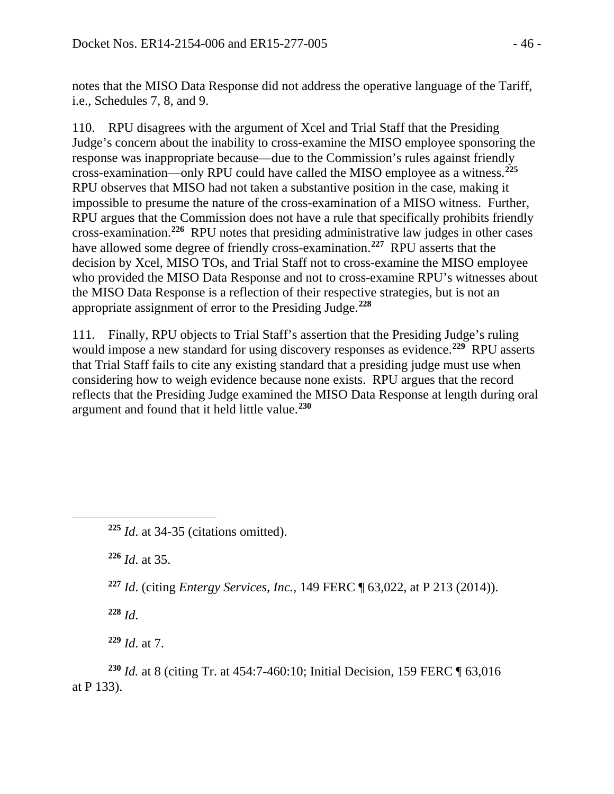notes that the MISO Data Response did not address the operative language of the Tariff, i.e., Schedules 7, 8, and 9.

110. RPU disagrees with the argument of Xcel and Trial Staff that the Presiding Judge's concern about the inability to cross-examine the MISO employee sponsoring the response was inappropriate because—due to the Commission's rules against friendly cross-examination—only RPU could have called the MISO employee as a witness. **[225](#page-45-0)** RPU observes that MISO had not taken a substantive position in the case, making it impossible to presume the nature of the cross-examination of a MISO witness. Further, RPU argues that the Commission does not have a rule that specifically prohibits friendly cross-examination.**[226](#page-45-1)** RPU notes that presiding administrative law judges in other cases have allowed some degree of friendly cross-examination.**[227](#page-45-2)** RPU asserts that the decision by Xcel, MISO TOs, and Trial Staff not to cross-examine the MISO employee who provided the MISO Data Response and not to cross-examine RPU's witnesses about the MISO Data Response is a reflection of their respective strategies, but is not an appropriate assignment of error to the Presiding Judge. **[228](#page-45-3)**

111. Finally, RPU objects to Trial Staff's assertion that the Presiding Judge's ruling would impose a new standard for using discovery responses as evidence.**[229](#page-45-4)** RPU asserts that Trial Staff fails to cite any existing standard that a presiding judge must use when considering how to weigh evidence because none exists. RPU argues that the record reflects that the Presiding Judge examined the MISO Data Response at length during oral argument and found that it held little value.**[230](#page-45-5)**

**<sup>226</sup>** *Id*. at 35.

**<sup>227</sup>** *Id*. (citing *Entergy Services, Inc.*, 149 FERC ¶ 63,022, at P 213 (2014)).

**<sup>228</sup>** *Id*.

<span id="page-45-2"></span><span id="page-45-1"></span><span id="page-45-0"></span> $\overline{a}$ 

**<sup>229</sup>** *Id*. at 7.

<span id="page-45-5"></span><span id="page-45-4"></span><span id="page-45-3"></span>**<sup>230</sup>** *Id.* at 8 (citing Tr. at 454:7-460:10; Initial Decision, 159 FERC ¶ 63,016 at P 133).

**<sup>225</sup>** *Id*. at 34-35 (citations omitted).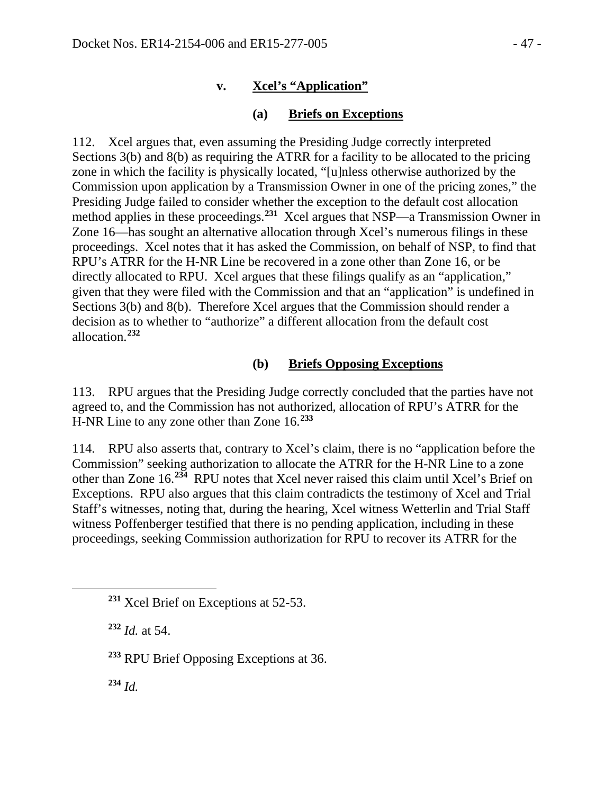### **v. Xcel's "Application"**

### **(a) Briefs on Exceptions**

112. Xcel argues that, even assuming the Presiding Judge correctly interpreted Sections 3(b) and 8(b) as requiring the ATRR for a facility to be allocated to the pricing zone in which the facility is physically located, "[u]nless otherwise authorized by the Commission upon application by a Transmission Owner in one of the pricing zones," the Presiding Judge failed to consider whether the exception to the default cost allocation method applies in these proceedings.**[231](#page-46-0)** Xcel argues that NSP—a Transmission Owner in Zone 16—has sought an alternative allocation through Xcel's numerous filings in these proceedings. Xcel notes that it has asked the Commission, on behalf of NSP, to find that RPU's ATRR for the H-NR Line be recovered in a zone other than Zone 16, or be directly allocated to RPU. Xcel argues that these filings qualify as an "application," given that they were filed with the Commission and that an "application" is undefined in Sections 3(b) and 8(b). Therefore Xcel argues that the Commission should render a decision as to whether to "authorize" a different allocation from the default cost allocation.**[232](#page-46-1)**

#### **(b) Briefs Opposing Exceptions**

113. RPU argues that the Presiding Judge correctly concluded that the parties have not agreed to, and the Commission has not authorized, allocation of RPU's ATRR for the H-NR Line to any zone other than Zone 16.**[233](#page-46-2)**

114. RPU also asserts that, contrary to Xcel's claim, there is no "application before the Commission" seeking authorization to allocate the ATRR for the H-NR Line to a zone other than Zone 16.**[234](#page-46-3)** RPU notes that Xcel never raised this claim until Xcel's Brief on Exceptions. RPU also argues that this claim contradicts the testimony of Xcel and Trial Staff's witnesses, noting that, during the hearing, Xcel witness Wetterlin and Trial Staff witness Poffenberger testified that there is no pending application, including in these proceedings, seeking Commission authorization for RPU to recover its ATRR for the

**<sup>232</sup>** *Id.* at 54.

**<sup>233</sup>** RPU Brief Opposing Exceptions at 36.

<span id="page-46-3"></span>**<sup>234</sup>** *Id.*

<span id="page-46-2"></span><span id="page-46-1"></span><span id="page-46-0"></span> $\overline{a}$ 

**<sup>231</sup>** Xcel Brief on Exceptions at 52-53.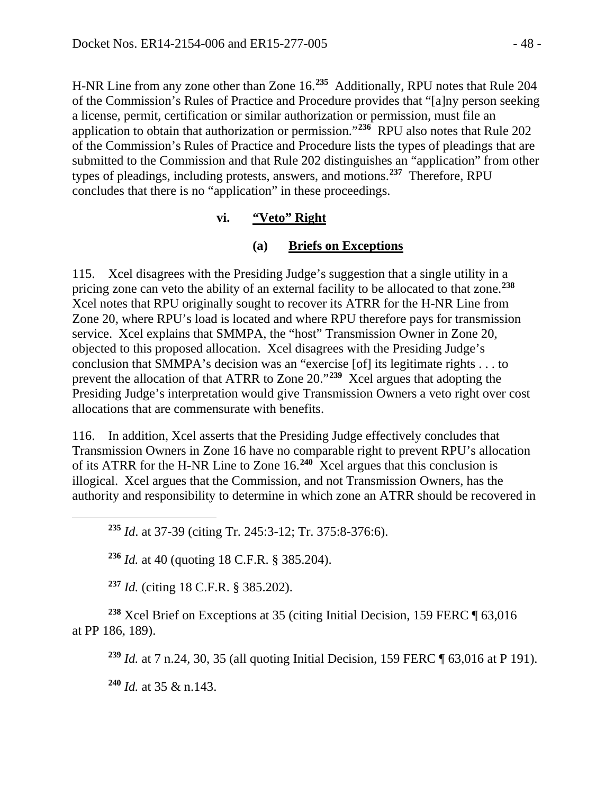H-NR Line from any zone other than Zone 16.**[235](#page-47-0)** Additionally, RPU notes that Rule 204 of the Commission's Rules of Practice and Procedure provides that "[a]ny person seeking a license, permit, certification or similar authorization or permission, must file an application to obtain that authorization or permission."**[236](#page-47-1)** RPU also notes that Rule 202 of the Commission's Rules of Practice and Procedure lists the types of pleadings that are submitted to the Commission and that Rule 202 distinguishes an "application" from other types of pleadings, including protests, answers, and motions.**[237](#page-47-2)** Therefore, RPU concludes that there is no "application" in these proceedings.

### **vi. "Veto" Right**

## **(a) Briefs on Exceptions**

115. Xcel disagrees with the Presiding Judge's suggestion that a single utility in a pricing zone can veto the ability of an external facility to be allocated to that zone.**[238](#page-47-3)** Xcel notes that RPU originally sought to recover its ATRR for the H-NR Line from Zone 20, where RPU's load is located and where RPU therefore pays for transmission service. Xcel explains that SMMPA, the "host" Transmission Owner in Zone 20, objected to this proposed allocation. Xcel disagrees with the Presiding Judge's conclusion that SMMPA's decision was an "exercise [of] its legitimate rights . . . to prevent the allocation of that ATRR to Zone 20."**[239](#page-47-4)** Xcel argues that adopting the Presiding Judge's interpretation would give Transmission Owners a veto right over cost allocations that are commensurate with benefits.

116. In addition, Xcel asserts that the Presiding Judge effectively concludes that Transmission Owners in Zone 16 have no comparable right to prevent RPU's allocation of its ATRR for the H-NR Line to Zone 16.**[240](#page-47-5)** Xcel argues that this conclusion is illogical. Xcel argues that the Commission, and not Transmission Owners, has the authority and responsibility to determine in which zone an ATRR should be recovered in

**<sup>235</sup>** *Id*. at 37-39 (citing Tr. 245:3-12; Tr. 375:8-376:6).

**<sup>236</sup>** *Id.* at 40 (quoting 18 C.F.R. § 385.204).

**<sup>237</sup>** *Id.* (citing 18 C.F.R. § 385.202).

<span id="page-47-5"></span><span id="page-47-4"></span><span id="page-47-3"></span><span id="page-47-2"></span>**<sup>238</sup>** Xcel Brief on Exceptions at 35 (citing Initial Decision, 159 FERC ¶ 63,016 at PP 186, 189).

**<sup>239</sup>** *Id.* at 7 n.24, 30, 35 (all quoting Initial Decision, 159 FERC ¶ 63,016 at P 191).

**<sup>240</sup>** *Id.* at 35 & n.143.

<span id="page-47-1"></span><span id="page-47-0"></span> $\overline{a}$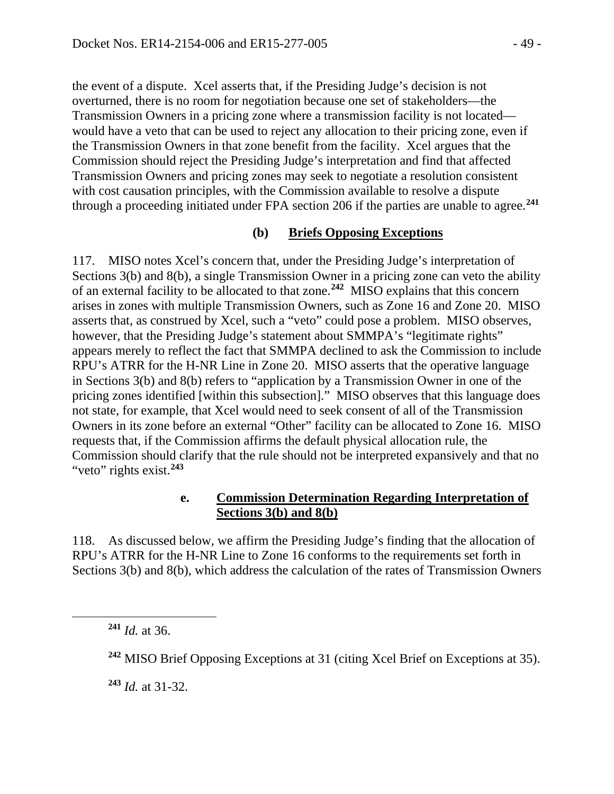the event of a dispute. Xcel asserts that, if the Presiding Judge's decision is not overturned, there is no room for negotiation because one set of stakeholders—the Transmission Owners in a pricing zone where a transmission facility is not located would have a veto that can be used to reject any allocation to their pricing zone, even if the Transmission Owners in that zone benefit from the facility. Xcel argues that the Commission should reject the Presiding Judge's interpretation and find that affected Transmission Owners and pricing zones may seek to negotiate a resolution consistent with cost causation principles, with the Commission available to resolve a dispute through a proceeding initiated under FPA section 206 if the parties are unable to agree.**[241](#page-48-0)**

#### **(b) Briefs Opposing Exceptions**

117. MISO notes Xcel's concern that, under the Presiding Judge's interpretation of Sections 3(b) and 8(b), a single Transmission Owner in a pricing zone can veto the ability of an external facility to be allocated to that zone.**[242](#page-48-1)** MISO explains that this concern arises in zones with multiple Transmission Owners, such as Zone 16 and Zone 20. MISO asserts that, as construed by Xcel, such a "veto" could pose a problem. MISO observes, however, that the Presiding Judge's statement about SMMPA's "legitimate rights" appears merely to reflect the fact that SMMPA declined to ask the Commission to include RPU's ATRR for the H-NR Line in Zone 20. MISO asserts that the operative language in Sections 3(b) and 8(b) refers to "application by a Transmission Owner in one of the pricing zones identified [within this subsection]." MISO observes that this language does not state, for example, that Xcel would need to seek consent of all of the Transmission Owners in its zone before an external "Other" facility can be allocated to Zone 16. MISO requests that, if the Commission affirms the default physical allocation rule, the Commission should clarify that the rule should not be interpreted expansively and that no "veto" rights exist.**[243](#page-48-2)**

#### **e. Commission Determination Regarding Interpretation of Sections 3(b) and 8(b)**

118. As discussed below, we affirm the Presiding Judge's finding that the allocation of RPU's ATRR for the H-NR Line to Zone 16 conforms to the requirements set forth in Sections 3(b) and 8(b), which address the calculation of the rates of Transmission Owners

**<sup>241</sup>** *Id.* at 36.

<span id="page-48-2"></span><span id="page-48-1"></span><span id="page-48-0"></span> $\overline{a}$ 

**<sup>243</sup>** *Id.* at 31-32.

**<sup>242</sup>** MISO Brief Opposing Exceptions at 31 (citing Xcel Brief on Exceptions at 35).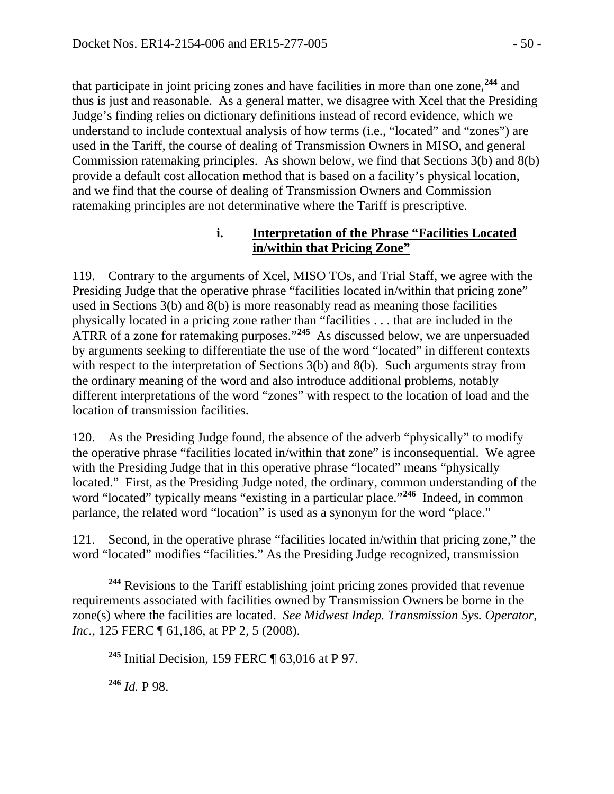that participate in joint pricing zones and have facilities in more than one zone,**[244](#page-49-0)** and thus is just and reasonable. As a general matter, we disagree with Xcel that the Presiding Judge's finding relies on dictionary definitions instead of record evidence, which we understand to include contextual analysis of how terms (i.e., "located" and "zones") are used in the Tariff, the course of dealing of Transmission Owners in MISO, and general Commission ratemaking principles. As shown below, we find that Sections 3(b) and 8(b) provide a default cost allocation method that is based on a facility's physical location, and we find that the course of dealing of Transmission Owners and Commission ratemaking principles are not determinative where the Tariff is prescriptive.

### **i. Interpretation of the Phrase "Facilities Located in/within that Pricing Zone"**

119. Contrary to the arguments of Xcel, MISO TOs, and Trial Staff, we agree with the Presiding Judge that the operative phrase "facilities located in/within that pricing zone" used in Sections 3(b) and 8(b) is more reasonably read as meaning those facilities physically located in a pricing zone rather than "facilities . . . that are included in the ATRR of a zone for ratemaking purposes."**[245](#page-49-1)** As discussed below, we are unpersuaded by arguments seeking to differentiate the use of the word "located" in different contexts with respect to the interpretation of Sections 3(b) and 8(b). Such arguments stray from the ordinary meaning of the word and also introduce additional problems, notably different interpretations of the word "zones" with respect to the location of load and the location of transmission facilities.

120. As the Presiding Judge found, the absence of the adverb "physically" to modify the operative phrase "facilities located in/within that zone" is inconsequential. We agree with the Presiding Judge that in this operative phrase "located" means "physically located." First, as the Presiding Judge noted, the ordinary, common understanding of the word "located" typically means "existing in a particular place."**[246](#page-49-2)** Indeed, in common parlance, the related word "location" is used as a synonym for the word "place."

121. Second, in the operative phrase "facilities located in/within that pricing zone," the word "located" modifies "facilities." As the Presiding Judge recognized, transmission

<span id="page-49-2"></span>**<sup>246</sup>** *Id.* P 98.

 $\overline{a}$ 

<span id="page-49-1"></span><span id="page-49-0"></span>**<sup>244</sup>** Revisions to the Tariff establishing joint pricing zones provided that revenue requirements associated with facilities owned by Transmission Owners be borne in the zone(s) where the facilities are located. *See Midwest Indep. Transmission Sys. Operator, Inc.*, 125 FERC ¶ 61,186, at PP 2, 5 (2008).

**<sup>245</sup>** Initial Decision, 159 FERC ¶ 63,016 at P 97.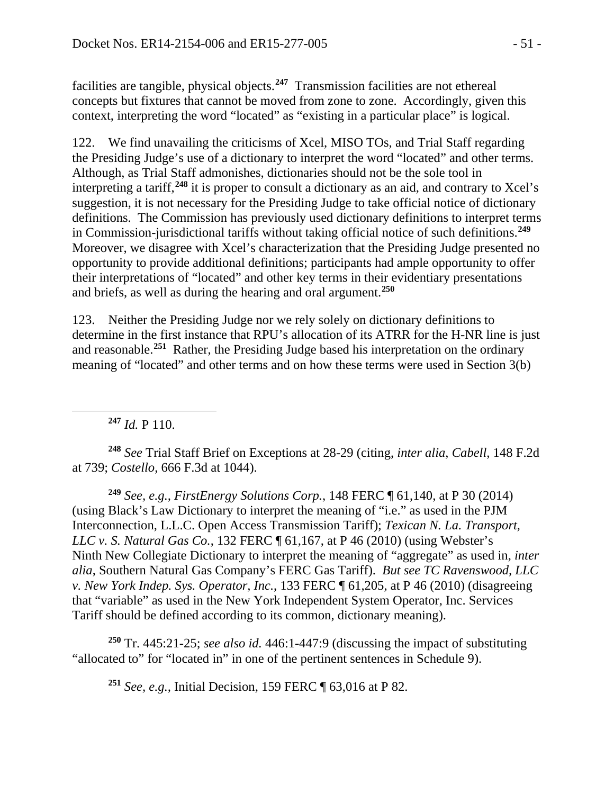facilities are tangible, physical objects.**[247](#page-50-0)** Transmission facilities are not ethereal concepts but fixtures that cannot be moved from zone to zone. Accordingly, given this context, interpreting the word "located" as "existing in a particular place" is logical.

122. We find unavailing the criticisms of Xcel, MISO TOs, and Trial Staff regarding the Presiding Judge's use of a dictionary to interpret the word "located" and other terms. Although, as Trial Staff admonishes, dictionaries should not be the sole tool in interpreting a tariff,**[248](#page-50-1)** it is proper to consult a dictionary as an aid, and contrary to Xcel's suggestion, it is not necessary for the Presiding Judge to take official notice of dictionary definitions. The Commission has previously used dictionary definitions to interpret terms in Commission-jurisdictional tariffs without taking official notice of such definitions.**[249](#page-50-2)** Moreover, we disagree with Xcel's characterization that the Presiding Judge presented no opportunity to provide additional definitions; participants had ample opportunity to offer their interpretations of "located" and other key terms in their evidentiary presentations and briefs, as well as during the hearing and oral argument.**[250](#page-50-3)**

123. Neither the Presiding Judge nor we rely solely on dictionary definitions to determine in the first instance that RPU's allocation of its ATRR for the H-NR line is just and reasonable.**[251](#page-50-4)** Rather, the Presiding Judge based his interpretation on the ordinary meaning of "located" and other terms and on how these terms were used in Section 3(b)

**<sup>247</sup>** *Id.* P 110.

<span id="page-50-0"></span> $\overline{a}$ 

<span id="page-50-1"></span>**<sup>248</sup>** *See* Trial Staff Brief on Exceptions at 28-29 (citing, *inter alia*, *Cabell*, 148 F.2d at 739; *Costello*, 666 F.3d at 1044).

<span id="page-50-2"></span>**<sup>249</sup>** *See, e.g., FirstEnergy Solutions Corp.*, 148 FERC ¶ 61,140, at P 30 (2014) (using Black's Law Dictionary to interpret the meaning of "i.e." as used in the PJM Interconnection, L.L.C. Open Access Transmission Tariff); *Texican N. La. Transport, LLC v. S. Natural Gas Co.*, 132 FERC ¶ 61,167, at P 46 (2010) (using Webster's Ninth New Collegiate Dictionary to interpret the meaning of "aggregate" as used in, *inter alia*, Southern Natural Gas Company's FERC Gas Tariff). *But see TC Ravenswood, LLC v. New York Indep. Sys. Operator, Inc.*, 133 FERC ¶ 61,205, at P 46 (2010) (disagreeing that "variable" as used in the New York Independent System Operator, Inc. Services Tariff should be defined according to its common, dictionary meaning).

<span id="page-50-4"></span><span id="page-50-3"></span>**<sup>250</sup>** Tr. 445:21-25; *see also id.* 446:1-447:9 (discussing the impact of substituting "allocated to" for "located in" in one of the pertinent sentences in Schedule 9).

**<sup>251</sup>** *See, e.g.,* Initial Decision, 159 FERC ¶ 63,016 at P 82.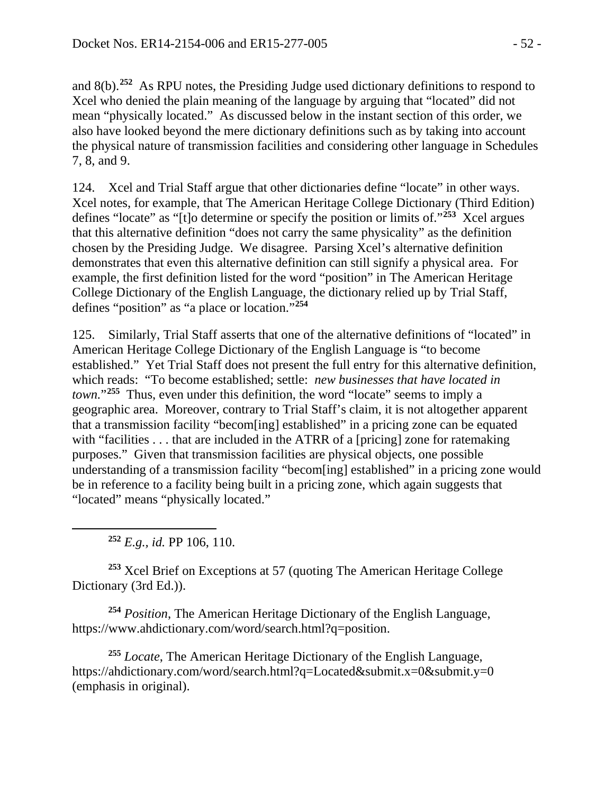and 8(b).**[252](#page-51-0)** As RPU notes, the Presiding Judge used dictionary definitions to respond to Xcel who denied the plain meaning of the language by arguing that "located" did not mean "physically located." As discussed below in the instant section of this order, we also have looked beyond the mere dictionary definitions such as by taking into account the physical nature of transmission facilities and considering other language in Schedules 7, 8, and 9.

124. Xcel and Trial Staff argue that other dictionaries define "locate" in other ways. Xcel notes, for example, that The American Heritage College Dictionary (Third Edition) defines "locate" as "[t]o determine or specify the position or limits of."**[253](#page-51-1)** Xcel argues that this alternative definition "does not carry the same physicality" as the definition chosen by the Presiding Judge. We disagree. Parsing Xcel's alternative definition demonstrates that even this alternative definition can still signify a physical area. For example, the first definition listed for the word "position" in The American Heritage College Dictionary of the English Language, the dictionary relied up by Trial Staff, defines "position" as "a place or location."**[254](#page-51-2)**

125. Similarly, Trial Staff asserts that one of the alternative definitions of "located" in American Heritage College Dictionary of the English Language is "to become established." Yet Trial Staff does not present the full entry for this alternative definition, which reads: "To become established; settle: *new businesses that have located in town.*"**[255](#page-51-3)** Thus, even under this definition, the word "locate" seems to imply a geographic area. Moreover, contrary to Trial Staff's claim, it is not altogether apparent that a transmission facility "becom[ing] established" in a pricing zone can be equated with "facilities . . . that are included in the ATRR of a [pricing] zone for ratemaking purposes." Given that transmission facilities are physical objects, one possible understanding of a transmission facility "becom[ing] established" in a pricing zone would be in reference to a facility being built in a pricing zone, which again suggests that "located" means "physically located."

**<sup>252</sup>** *E.g., id.* PP 106, 110.

<span id="page-51-0"></span> $\overline{a}$ 

<span id="page-51-1"></span>**<sup>253</sup>** Xcel Brief on Exceptions at 57 (quoting The American Heritage College Dictionary (3rd Ed.)).

<span id="page-51-2"></span>**<sup>254</sup>** *Position*, The American Heritage Dictionary of the English Language, https://www.ahdictionary.com/word/search.html?q=position.

<span id="page-51-3"></span>**<sup>255</sup>** *Locate*, The American Heritage Dictionary of the English Language, <https://ahdictionary.com/word/search.html?q=Located&submit.x=0&submit.y=0> (emphasis in original).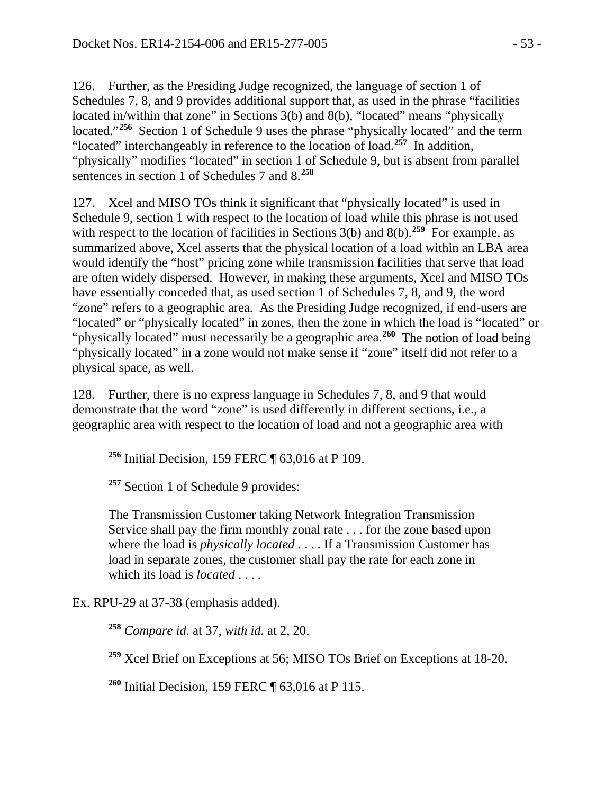126. Further, as the Presiding Judge recognized, the language of section 1 of Schedules 7, 8, and 9 provides additional support that, as used in the phrase "facilities located in/within that zone" in Sections 3(b) and 8(b), "located" means "physically located."**[256](#page-52-0)** Section 1 of Schedule 9 uses the phrase "physically located" and the term "located" interchangeably in reference to the location of load.**[257](#page-52-1)** In addition, "physically" modifies "located" in section 1 of Schedule 9, but is absent from parallel sentences in section 1 of Schedules 7 and 8.**[258](#page-52-2)**

127. Xcel and MISO TOs think it significant that "physically located" is used in Schedule 9, section 1 with respect to the location of load while this phrase is not used with respect to the location of facilities in Sections 3(b) and 8(b).<sup>[259](#page-52-3)</sup> For example, as summarized above, Xcel asserts that the physical location of a load within an LBA area would identify the "host" pricing zone while transmission facilities that serve that load are often widely dispersed. However, in making these arguments, Xcel and MISO TOs have essentially conceded that, as used section 1 of Schedules 7, 8, and 9, the word "zone" refers to a geographic area. As the Presiding Judge recognized, if end-users are "located" or "physically located" in zones, then the zone in which the load is "located" or "physically located" must necessarily be a geographic area.**[260](#page-52-4)** The notion of load being "physically located" in a zone would not make sense if "zone" itself did not refer to a physical space, as well.

128. Further, there is no express language in Schedules 7, 8, and 9 that would demonstrate that the word "zone" is used differently in different sections, i.e., a geographic area with respect to the location of load and not a geographic area with

**<sup>256</sup>** Initial Decision, 159 FERC ¶ 63,016 at P 109.

**<sup>257</sup>** Section 1 of Schedule 9 provides:

The Transmission Customer taking Network Integration Transmission Service shall pay the firm monthly zonal rate . . . for the zone based upon where the load is *physically located* . . . . If a Transmission Customer has load in separate zones, the customer shall pay the rate for each zone in which its load is *located* . . . .

<span id="page-52-3"></span><span id="page-52-2"></span>Ex. RPU-29 at 37-38 (emphasis added).

<span id="page-52-1"></span><span id="page-52-0"></span> $\overline{a}$ 

**<sup>258</sup>** *Compare id.* at 37, *with id.* at 2, 20.

**<sup>259</sup>** Xcel Brief on Exceptions at 56; MISO TOs Brief on Exceptions at 18-20.

<span id="page-52-4"></span>**<sup>260</sup>** Initial Decision, 159 FERC ¶ 63,016 at P 115.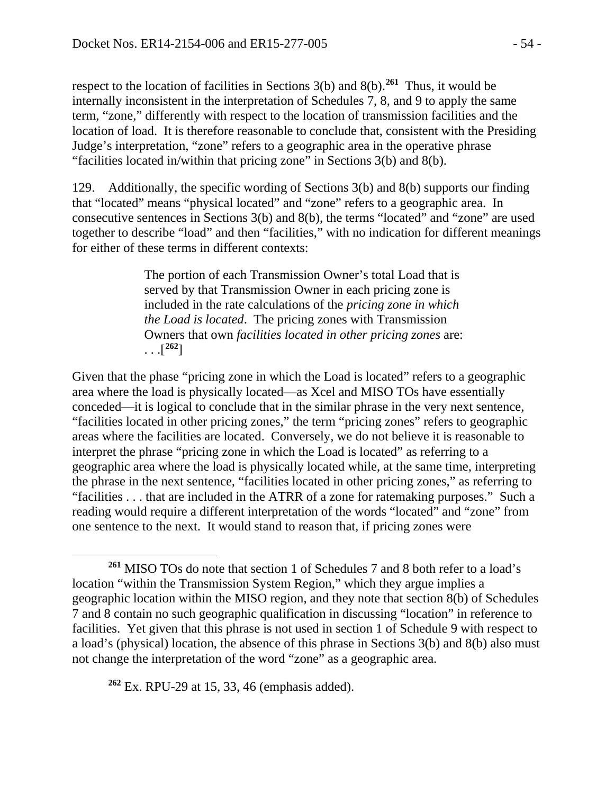respect to the location of facilities in Sections 3(b) and 8(b). **[261](#page-53-0)** Thus, it would be internally inconsistent in the interpretation of Schedules 7, 8, and 9 to apply the same term, "zone," differently with respect to the location of transmission facilities and the location of load. It is therefore reasonable to conclude that, consistent with the Presiding Judge's interpretation, "zone" refers to a geographic area in the operative phrase "facilities located in/within that pricing zone" in Sections 3(b) and 8(b).

129. Additionally, the specific wording of Sections 3(b) and 8(b) supports our finding that "located" means "physical located" and "zone" refers to a geographic area. In consecutive sentences in Sections 3(b) and 8(b), the terms "located" and "zone" are used together to describe "load" and then "facilities," with no indication for different meanings for either of these terms in different contexts:

> The portion of each Transmission Owner's total Load that is served by that Transmission Owner in each pricing zone is included in the rate calculations of the *pricing zone in which the Load is located*. The pricing zones with Transmission Owners that own *facilities located in other pricing zones* are:  $\ldots [^{262}]$  $\ldots [^{262}]$  $\ldots [^{262}]$

Given that the phase "pricing zone in which the Load is located" refers to a geographic area where the load is physically located—as Xcel and MISO TOs have essentially conceded—it is logical to conclude that in the similar phrase in the very next sentence, "facilities located in other pricing zones," the term "pricing zones" refers to geographic areas where the facilities are located. Conversely, we do not believe it is reasonable to interpret the phrase "pricing zone in which the Load is located" as referring to a geographic area where the load is physically located while, at the same time, interpreting the phrase in the next sentence, "facilities located in other pricing zones," as referring to "facilities . . . that are included in the ATRR of a zone for ratemaking purposes." Such a reading would require a different interpretation of the words "located" and "zone" from one sentence to the next. It would stand to reason that, if pricing zones were

<span id="page-53-1"></span>**<sup>262</sup>** Ex. RPU-29 at 15, 33, 46 (emphasis added).

 $\overline{a}$ 

<span id="page-53-0"></span>**<sup>261</sup>** MISO TOs do note that section 1 of Schedules 7 and 8 both refer to a load's location "within the Transmission System Region," which they argue implies a geographic location within the MISO region, and they note that section 8(b) of Schedules 7 and 8 contain no such geographic qualification in discussing "location" in reference to facilities. Yet given that this phrase is not used in section 1 of Schedule 9 with respect to a load's (physical) location, the absence of this phrase in Sections 3(b) and 8(b) also must not change the interpretation of the word "zone" as a geographic area.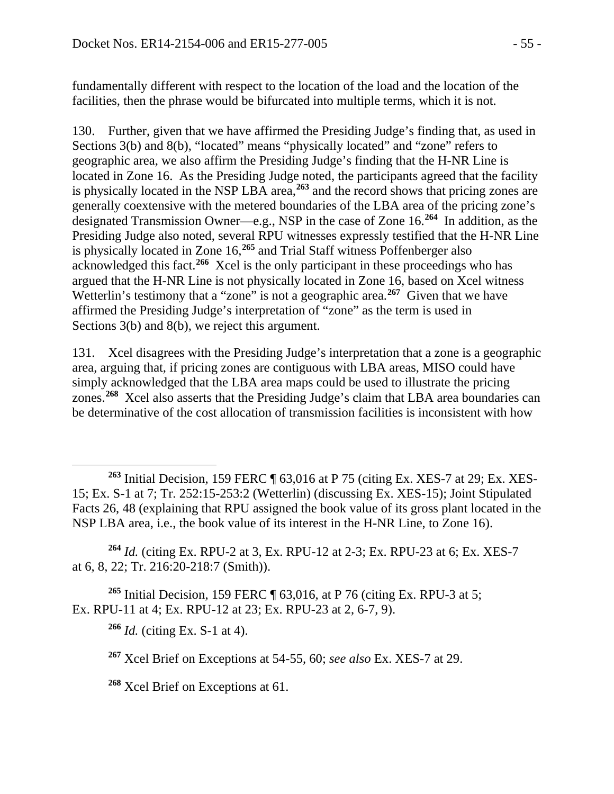fundamentally different with respect to the location of the load and the location of the facilities, then the phrase would be bifurcated into multiple terms, which it is not.

130. Further, given that we have affirmed the Presiding Judge's finding that, as used in Sections 3(b) and 8(b), "located" means "physically located" and "zone" refers to geographic area, we also affirm the Presiding Judge's finding that the H-NR Line is located in Zone 16. As the Presiding Judge noted, the participants agreed that the facility is physically located in the NSP LBA area,**[263](#page-54-0)** and the record shows that pricing zones are generally coextensive with the metered boundaries of the LBA area of the pricing zone's designated Transmission Owner—e.g., NSP in the case of Zone 16.**[264](#page-54-1)** In addition, as the Presiding Judge also noted, several RPU witnesses expressly testified that the H-NR Line is physically located in Zone 16,**[265](#page-54-2)** and Trial Staff witness Poffenberger also acknowledged this fact.**[266](#page-54-3)** Xcel is the only participant in these proceedings who has argued that the H-NR Line is not physically located in Zone 16, based on Xcel witness Wetterlin's testimony that a "zone" is not a geographic area.<sup>[267](#page-54-4)</sup> Given that we have affirmed the Presiding Judge's interpretation of "zone" as the term is used in Sections 3(b) and 8(b), we reject this argument.

131. Xcel disagrees with the Presiding Judge's interpretation that a zone is a geographic area, arguing that, if pricing zones are contiguous with LBA areas, MISO could have simply acknowledged that the LBA area maps could be used to illustrate the pricing zones.**[268](#page-54-5)** Xcel also asserts that the Presiding Judge's claim that LBA area boundaries can be determinative of the cost allocation of transmission facilities is inconsistent with how

<span id="page-54-1"></span>**<sup>264</sup>** *Id.* (citing Ex. RPU-2 at 3, Ex. RPU-12 at 2-3; Ex. RPU-23 at 6; Ex. XES-7 at 6, 8, 22; Tr. 216:20-218:7 (Smith)).

<span id="page-54-4"></span><span id="page-54-3"></span><span id="page-54-2"></span>**<sup>265</sup>** Initial Decision, 159 FERC ¶ 63,016, at P 76 (citing Ex. RPU-3 at 5; Ex. RPU-11 at 4; Ex. RPU-12 at 23; Ex. RPU-23 at 2, 6-7, 9).

**<sup>266</sup>** *Id.* (citing Ex. S-1 at 4).

**<sup>267</sup>** Xcel Brief on Exceptions at 54-55, 60; *see also* Ex. XES-7 at 29.

<span id="page-54-5"></span>**<sup>268</sup>** Xcel Brief on Exceptions at 61.

<span id="page-54-0"></span> $\overline{a}$ **<sup>263</sup>** Initial Decision, 159 FERC ¶ 63,016 at P 75 (citing Ex. XES-7 at 29; Ex. XES-15; Ex. S-1 at 7; Tr. 252:15-253:2 (Wetterlin) (discussing Ex. XES-15); Joint Stipulated Facts 26, 48 (explaining that RPU assigned the book value of its gross plant located in the NSP LBA area, i.e., the book value of its interest in the H-NR Line, to Zone 16).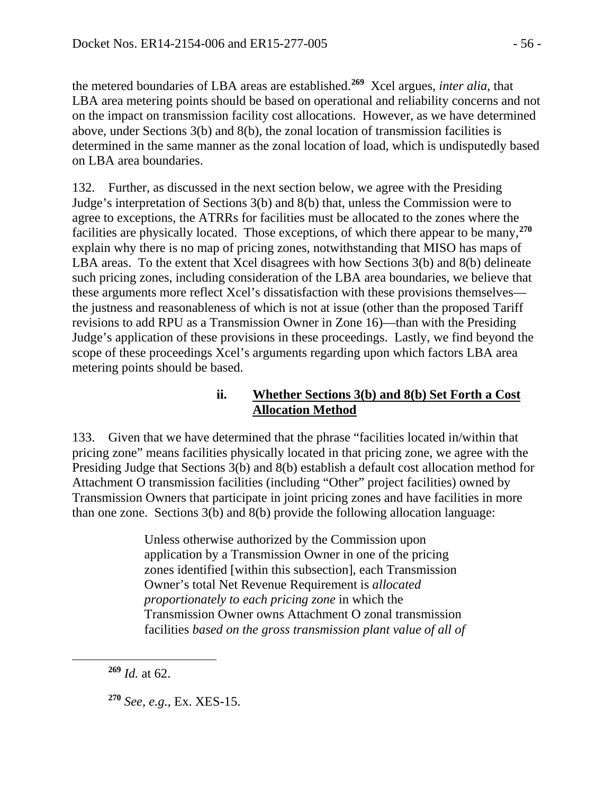the metered boundaries of LBA areas are established.**[269](#page-55-0)** Xcel argues, *inter alia*, that LBA area metering points should be based on operational and reliability concerns and not on the impact on transmission facility cost allocations. However, as we have determined above, under Sections 3(b) and 8(b), the zonal location of transmission facilities is determined in the same manner as the zonal location of load, which is undisputedly based on LBA area boundaries.

132. Further, as discussed in the next section below, we agree with the Presiding Judge's interpretation of Sections 3(b) and 8(b) that, unless the Commission were to agree to exceptions, the ATRRs for facilities must be allocated to the zones where the facilities are physically located. Those exceptions, of which there appear to be many,**[270](#page-55-1)** explain why there is no map of pricing zones, notwithstanding that MISO has maps of LBA areas. To the extent that Xcel disagrees with how Sections 3(b) and 8(b) delineate such pricing zones, including consideration of the LBA area boundaries, we believe that these arguments more reflect Xcel's dissatisfaction with these provisions themselves the justness and reasonableness of which is not at issue (other than the proposed Tariff revisions to add RPU as a Transmission Owner in Zone 16)—than with the Presiding Judge's application of these provisions in these proceedings. Lastly, we find beyond the scope of these proceedings Xcel's arguments regarding upon which factors LBA area metering points should be based.

## **ii. Whether Sections 3(b) and 8(b) Set Forth a Cost Allocation Method**

133. Given that we have determined that the phrase "facilities located in/within that pricing zone" means facilities physically located in that pricing zone, we agree with the Presiding Judge that Sections 3(b) and 8(b) establish a default cost allocation method for Attachment O transmission facilities (including "Other" project facilities) owned by Transmission Owners that participate in joint pricing zones and have facilities in more than one zone. Sections 3(b) and 8(b) provide the following allocation language:

> Unless otherwise authorized by the Commission upon application by a Transmission Owner in one of the pricing zones identified [within this subsection], each Transmission Owner's total Net Revenue Requirement is *allocated proportionately to each pricing zone* in which the Transmission Owner owns Attachment O zonal transmission facilities *based on the gross transmission plant value of all of*

<span id="page-55-1"></span><span id="page-55-0"></span> $\overline{a}$ 

**<sup>270</sup>** *See, e.g.*, Ex. XES-15.

**<sup>269</sup>** *Id.* at 62.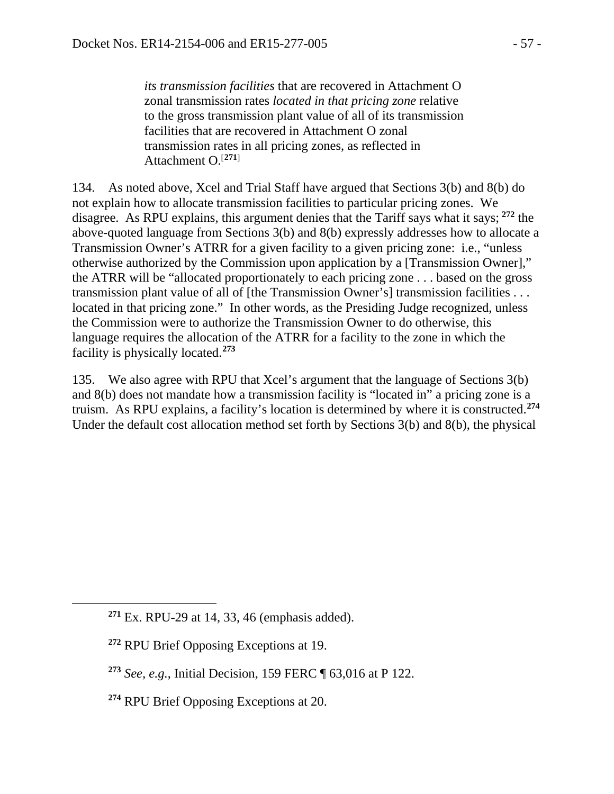*its transmission facilities* that are recovered in Attachment O zonal transmission rates *located in that pricing zone* relative to the gross transmission plant value of all of its transmission facilities that are recovered in Attachment O zonal transmission rates in all pricing zones, as reflected in Attachment O.[**[271](#page-56-0)**]

134. As noted above, Xcel and Trial Staff have argued that Sections 3(b) and 8(b) do not explain how to allocate transmission facilities to particular pricing zones. We disagree. As RPU explains, this argument denies that the Tariff says what it says; **[272](#page-56-1)** the above-quoted language from Sections 3(b) and 8(b) expressly addresses how to allocate a Transmission Owner's ATRR for a given facility to a given pricing zone: i.e., "unless otherwise authorized by the Commission upon application by a [Transmission Owner]," the ATRR will be "allocated proportionately to each pricing zone . . . based on the gross transmission plant value of all of [the Transmission Owner's] transmission facilities . . . located in that pricing zone." In other words, as the Presiding Judge recognized, unless the Commission were to authorize the Transmission Owner to do otherwise, this language requires the allocation of the ATRR for a facility to the zone in which the facility is physically located.**[273](#page-56-2)**

135. We also agree with RPU that Xcel's argument that the language of Sections 3(b) and 8(b) does not mandate how a transmission facility is "located in" a pricing zone is a truism. As RPU explains, a facility's location is determined by where it is constructed.**[274](#page-56-3)** Under the default cost allocation method set forth by Sections 3(b) and 8(b), the physical

<span id="page-56-2"></span><span id="page-56-1"></span><span id="page-56-0"></span> $\overline{a}$ 

**<sup>271</sup>** Ex. RPU-29 at 14, 33, 46 (emphasis added).

**<sup>272</sup>** RPU Brief Opposing Exceptions at 19.

**<sup>273</sup>** *See, e.g.*, Initial Decision, 159 FERC ¶ 63,016 at P 122.

<span id="page-56-3"></span>**<sup>274</sup>** RPU Brief Opposing Exceptions at 20.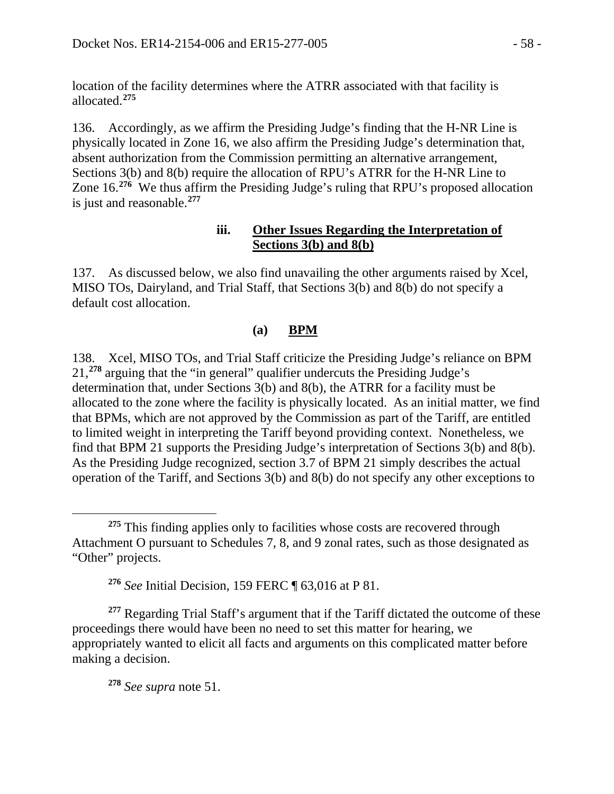location of the facility determines where the ATRR associated with that facility is allocated.**[275](#page-57-0)**

136. Accordingly, as we affirm the Presiding Judge's finding that the H-NR Line is physically located in Zone 16, we also affirm the Presiding Judge's determination that, absent authorization from the Commission permitting an alternative arrangement, Sections 3(b) and 8(b) require the allocation of RPU's ATRR for the H-NR Line to Zone 16. **[276](#page-57-1)** We thus affirm the Presiding Judge's ruling that RPU's proposed allocation is just and reasonable.**[277](#page-57-2)**

#### **iii. Other Issues Regarding the Interpretation of Sections 3(b) and 8(b)**

137. As discussed below, we also find unavailing the other arguments raised by Xcel, MISO TOs, Dairyland, and Trial Staff, that Sections 3(b) and 8(b) do not specify a default cost allocation.

### **(a) BPM**

138. Xcel, MISO TOs, and Trial Staff criticize the Presiding Judge's reliance on BPM 21,**[278](#page-57-3)** arguing that the "in general" qualifier undercuts the Presiding Judge's determination that, under Sections 3(b) and 8(b), the ATRR for a facility must be allocated to the zone where the facility is physically located. As an initial matter, we find that BPMs, which are not approved by the Commission as part of the Tariff, are entitled to limited weight in interpreting the Tariff beyond providing context. Nonetheless, we find that BPM 21 supports the Presiding Judge's interpretation of Sections 3(b) and 8(b). As the Presiding Judge recognized, section 3.7 of BPM 21 simply describes the actual operation of the Tariff, and Sections 3(b) and 8(b) do not specify any other exceptions to

**<sup>278</sup>** *See supra* note 51.

<span id="page-57-0"></span> $\overline{a}$ <sup>275</sup> This finding applies only to facilities whose costs are recovered through Attachment O pursuant to Schedules 7, 8, and 9 zonal rates, such as those designated as "Other" projects.

**<sup>276</sup>** *See* Initial Decision, 159 FERC ¶ 63,016 at P 81.

<span id="page-57-3"></span><span id="page-57-2"></span><span id="page-57-1"></span><sup>&</sup>lt;sup>277</sup> Regarding Trial Staff's argument that if the Tariff dictated the outcome of these proceedings there would have been no need to set this matter for hearing, we appropriately wanted to elicit all facts and arguments on this complicated matter before making a decision.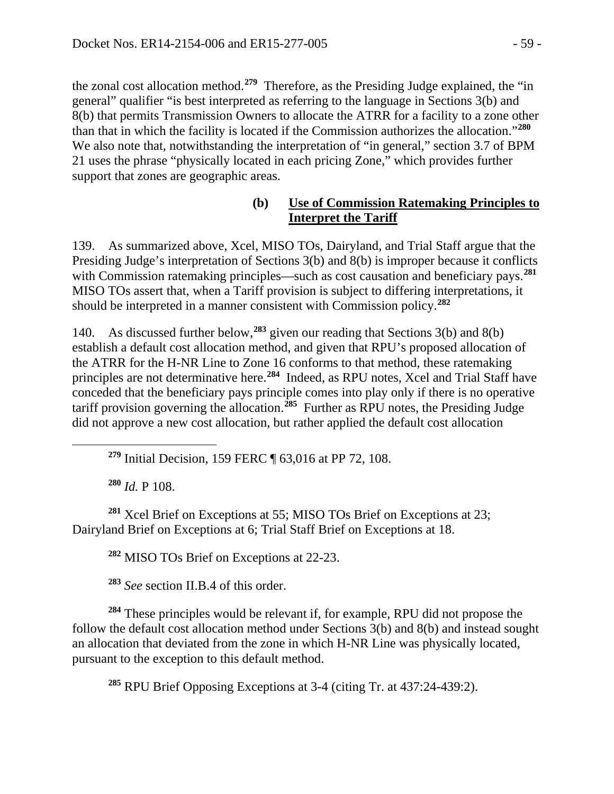the zonal cost allocation method.**[279](#page-58-0)** Therefore, as the Presiding Judge explained, the "in general" qualifier "is best interpreted as referring to the language in Sections 3(b) and 8(b) that permits Transmission Owners to allocate the ATRR for a facility to a zone other than that in which the facility is located if the Commission authorizes the allocation."**[280](#page-58-1)** We also note that, notwithstanding the interpretation of "in general," section 3.7 of BPM 21 uses the phrase "physically located in each pricing Zone," which provides further support that zones are geographic areas.

#### **(b) Use of Commission Ratemaking Principles to Interpret the Tariff**

139. As summarized above, Xcel, MISO TOs, Dairyland, and Trial Staff argue that the Presiding Judge's interpretation of Sections 3(b) and 8(b) is improper because it conflicts with Commission ratemaking principles—such as cost causation and beneficiary pays.<sup>[281](#page-58-2)</sup> MISO TOs assert that, when a Tariff provision is subject to differing interpretations, it should be interpreted in a manner consistent with Commission policy.**[282](#page-58-3)**

140. As discussed further below,**[283](#page-58-4)** given our reading that Sections 3(b) and 8(b) establish a default cost allocation method, and given that RPU's proposed allocation of the ATRR for the H-NR Line to Zone 16 conforms to that method, these ratemaking principles are not determinative here. **[284](#page-58-5)** Indeed, as RPU notes, Xcel and Trial Staff have conceded that the beneficiary pays principle comes into play only if there is no operative tariff provision governing the allocation.**[285](#page-58-6)** Further as RPU notes, the Presiding Judge did not approve a new cost allocation, but rather applied the default cost allocation

**<sup>279</sup>** Initial Decision, 159 FERC ¶ 63,016 at PP 72, 108.

**<sup>280</sup>** *Id.* P 108.

<span id="page-58-0"></span> $\overline{a}$ 

<span id="page-58-3"></span><span id="page-58-2"></span><span id="page-58-1"></span>**<sup>281</sup>** Xcel Brief on Exceptions at 55; MISO TOs Brief on Exceptions at 23; Dairyland Brief on Exceptions at 6; Trial Staff Brief on Exceptions at 18.

**<sup>282</sup>** MISO TOs Brief on Exceptions at 22-23.

**<sup>283</sup>** *See* section II.B.4 of this order.

<span id="page-58-6"></span><span id="page-58-5"></span><span id="page-58-4"></span>**<sup>284</sup>** These principles would be relevant if, for example, RPU did not propose the follow the default cost allocation method under Sections  $3(b)$  and  $8(b)$  and instead sought an allocation that deviated from the zone in which H-NR Line was physically located, pursuant to the exception to this default method.

**<sup>285</sup>** RPU Brief Opposing Exceptions at 3-4 (citing Tr. at 437:24-439:2).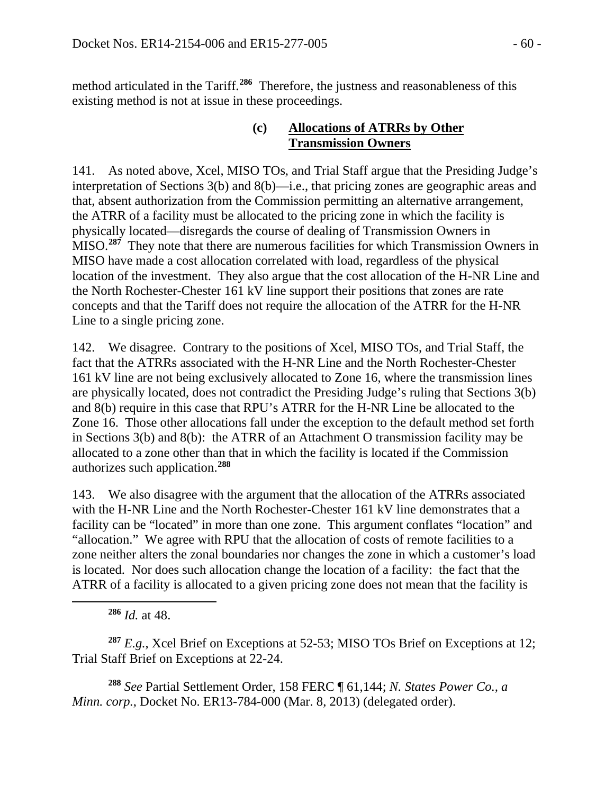method articulated in the Tariff.**[286](#page-59-0)** Therefore, the justness and reasonableness of this existing method is not at issue in these proceedings.

### **(c) Allocations of ATRRs by Other Transmission Owners**

141. As noted above, Xcel, MISO TOs, and Trial Staff argue that the Presiding Judge's interpretation of Sections 3(b) and 8(b)—i.e., that pricing zones are geographic areas and that, absent authorization from the Commission permitting an alternative arrangement, the ATRR of a facility must be allocated to the pricing zone in which the facility is physically located—disregards the course of dealing of Transmission Owners in MISO.**[287](#page-59-1)** They note that there are numerous facilities for which Transmission Owners in MISO have made a cost allocation correlated with load, regardless of the physical location of the investment. They also argue that the cost allocation of the H-NR Line and the North Rochester-Chester 161 kV line support their positions that zones are rate concepts and that the Tariff does not require the allocation of the ATRR for the H-NR Line to a single pricing zone.

142. We disagree. Contrary to the positions of Xcel, MISO TOs, and Trial Staff, the fact that the ATRRs associated with the H-NR Line and the North Rochester-Chester 161 kV line are not being exclusively allocated to Zone 16, where the transmission lines are physically located, does not contradict the Presiding Judge's ruling that Sections 3(b) and 8(b) require in this case that RPU's ATRR for the H-NR Line be allocated to the Zone 16. Those other allocations fall under the exception to the default method set forth in Sections 3(b) and 8(b): the ATRR of an Attachment O transmission facility may be allocated to a zone other than that in which the facility is located if the Commission authorizes such application.**[288](#page-59-2)**

143. We also disagree with the argument that the allocation of the ATRRs associated with the H-NR Line and the North Rochester-Chester 161 kV line demonstrates that a facility can be "located" in more than one zone. This argument conflates "location" and "allocation." We agree with RPU that the allocation of costs of remote facilities to a zone neither alters the zonal boundaries nor changes the zone in which a customer's load is located. Nor does such allocation change the location of a facility: the fact that the ATRR of a facility is allocated to a given pricing zone does not mean that the facility is

**<sup>286</sup>** *Id.* at 48.

<span id="page-59-0"></span> $\overline{a}$ 

<span id="page-59-1"></span>**<sup>287</sup>** *E.g.*, Xcel Brief on Exceptions at 52-53; MISO TOs Brief on Exceptions at 12; Trial Staff Brief on Exceptions at 22-24.

<span id="page-59-2"></span>**<sup>288</sup>** *See* Partial Settlement Order, 158 FERC ¶ 61,144; *N. States Power Co., a Minn. corp.*, Docket No. ER13-784-000 (Mar. 8, 2013) (delegated order).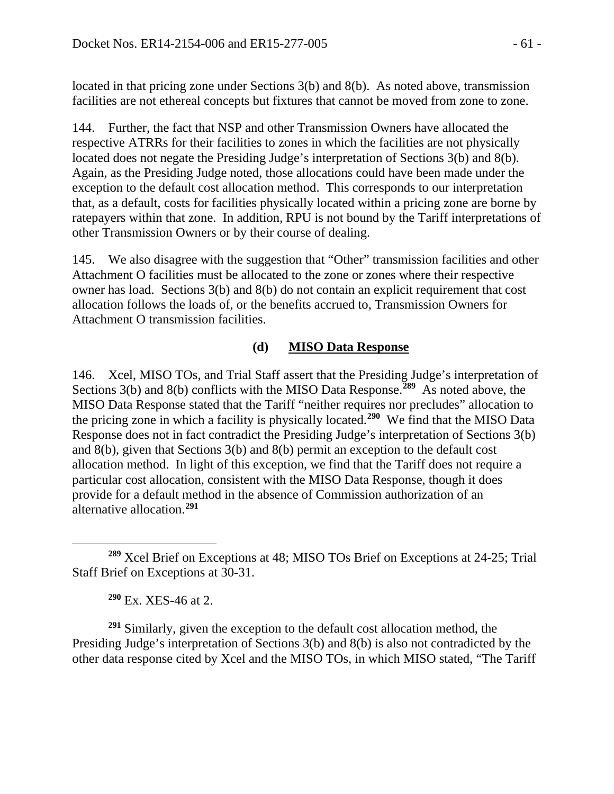located in that pricing zone under Sections 3(b) and 8(b). As noted above, transmission facilities are not ethereal concepts but fixtures that cannot be moved from zone to zone.

144. Further, the fact that NSP and other Transmission Owners have allocated the respective ATRRs for their facilities to zones in which the facilities are not physically located does not negate the Presiding Judge's interpretation of Sections 3(b) and 8(b). Again, as the Presiding Judge noted, those allocations could have been made under the exception to the default cost allocation method. This corresponds to our interpretation that, as a default, costs for facilities physically located within a pricing zone are borne by ratepayers within that zone. In addition, RPU is not bound by the Tariff interpretations of other Transmission Owners or by their course of dealing.

145. We also disagree with the suggestion that "Other" transmission facilities and other Attachment O facilities must be allocated to the zone or zones where their respective owner has load. Sections 3(b) and 8(b) do not contain an explicit requirement that cost allocation follows the loads of, or the benefits accrued to, Transmission Owners for Attachment O transmission facilities.

### **(d) MISO Data Response**

146. Xcel, MISO TOs, and Trial Staff assert that the Presiding Judge's interpretation of Sections 3(b) and 8(b) conflicts with the MISO Data Response.**[289](#page-60-0)** As noted above, the MISO Data Response stated that the Tariff "neither requires nor precludes" allocation to the pricing zone in which a facility is physically located.**[290](#page-60-1)** We find that the MISO Data Response does not in fact contradict the Presiding Judge's interpretation of Sections 3(b) and 8(b), given that Sections 3(b) and 8(b) permit an exception to the default cost allocation method. In light of this exception, we find that the Tariff does not require a particular cost allocation, consistent with the MISO Data Response, though it does provide for a default method in the absence of Commission authorization of an alternative allocation. **[291](#page-60-2)**

**<sup>290</sup>** Ex. XES-46 at 2.

<span id="page-60-2"></span><span id="page-60-1"></span>**<sup>291</sup>** Similarly, given the exception to the default cost allocation method, the Presiding Judge's interpretation of Sections 3(b) and 8(b) is also not contradicted by the other data response cited by Xcel and the MISO TOs, in which MISO stated, "The Tariff

<span id="page-60-0"></span> $\overline{a}$ **<sup>289</sup>** Xcel Brief on Exceptions at 48; MISO TOs Brief on Exceptions at 24-25; Trial Staff Brief on Exceptions at 30-31.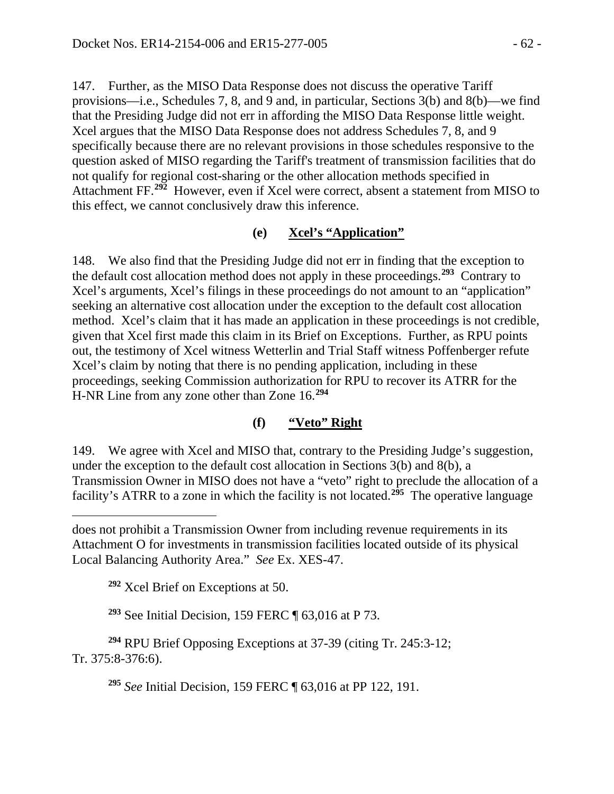147. Further, as the MISO Data Response does not discuss the operative Tariff provisions—i.e., Schedules 7, 8, and 9 and, in particular, Sections 3(b) and 8(b)—we find that the Presiding Judge did not err in affording the MISO Data Response little weight. Xcel argues that the MISO Data Response does not address Schedules 7, 8, and 9 specifically because there are no relevant provisions in those schedules responsive to the question asked of MISO regarding the Tariff's treatment of transmission facilities that do not qualify for regional cost-sharing or the other allocation methods specified in Attachment FF. **[292](#page-61-0)** However, even if Xcel were correct, absent a statement from MISO to this effect, we cannot conclusively draw this inference.

### **(e) Xcel's "Application"**

148. We also find that the Presiding Judge did not err in finding that the exception to the default cost allocation method does not apply in these proceedings.**[293](#page-61-1)** Contrary to Xcel's arguments, Xcel's filings in these proceedings do not amount to an "application" seeking an alternative cost allocation under the exception to the default cost allocation method. Xcel's claim that it has made an application in these proceedings is not credible, given that Xcel first made this claim in its Brief on Exceptions. Further, as RPU points out, the testimony of Xcel witness Wetterlin and Trial Staff witness Poffenberger refute Xcel's claim by noting that there is no pending application, including in these proceedings, seeking Commission authorization for RPU to recover its ATRR for the H-NR Line from any zone other than Zone 16. **[294](#page-61-2)**

## **(f) "Veto" Right**

149. We agree with Xcel and MISO that, contrary to the Presiding Judge's suggestion, under the exception to the default cost allocation in Sections 3(b) and 8(b), a Transmission Owner in MISO does not have a "veto" right to preclude the allocation of a facility's ATRR to a zone in which the facility is not located.**[295](#page-61-3)** The operative language

**<sup>292</sup>** Xcel Brief on Exceptions at 50.

 $\overline{a}$ 

**<sup>293</sup>** See Initial Decision, 159 FERC ¶ 63,016 at P 73.

<span id="page-61-3"></span><span id="page-61-2"></span><span id="page-61-1"></span><span id="page-61-0"></span>**<sup>294</sup>** RPU Brief Opposing Exceptions at 37-39 (citing Tr. 245:3-12; Tr. 375:8-376:6).

**<sup>295</sup>** *See* Initial Decision, 159 FERC ¶ 63,016 at PP 122, 191.

does not prohibit a Transmission Owner from including revenue requirements in its Attachment O for investments in transmission facilities located outside of its physical Local Balancing Authority Area." *See* Ex. XES-47.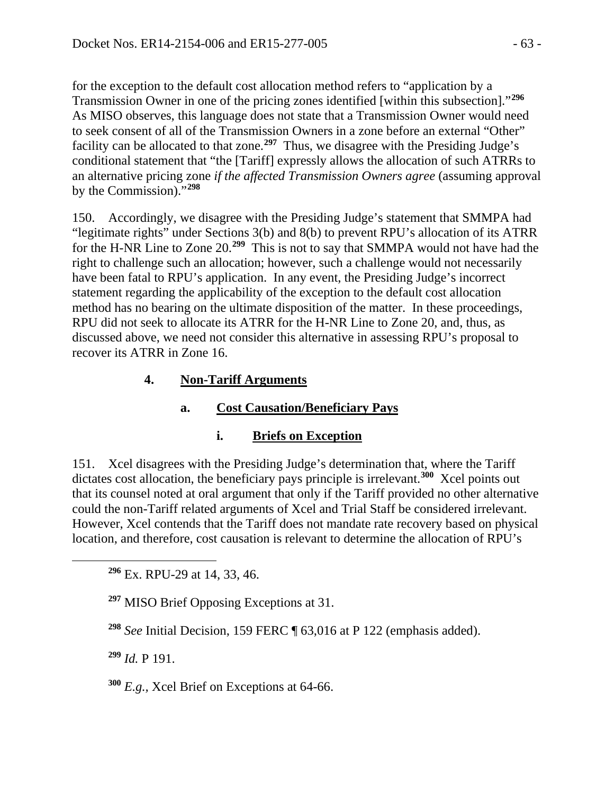for the exception to the default cost allocation method refers to "application by a Transmission Owner in one of the pricing zones identified [within this subsection]."**[296](#page-62-0)** As MISO observes, this language does not state that a Transmission Owner would need to seek consent of all of the Transmission Owners in a zone before an external "Other" facility can be allocated to that zone.**[297](#page-62-1)** Thus, we disagree with the Presiding Judge's conditional statement that "the [Tariff] expressly allows the allocation of such ATRRs to an alternative pricing zone *if the affected Transmission Owners agree* (assuming approval by the Commission)."**[298](#page-62-2)**

150. Accordingly, we disagree with the Presiding Judge's statement that SMMPA had "legitimate rights" under Sections 3(b) and 8(b) to prevent RPU's allocation of its ATRR for the H-NR Line to Zone 20.**[299](#page-62-3)** This is not to say that SMMPA would not have had the right to challenge such an allocation; however, such a challenge would not necessarily have been fatal to RPU's application. In any event, the Presiding Judge's incorrect statement regarding the applicability of the exception to the default cost allocation method has no bearing on the ultimate disposition of the matter. In these proceedings, RPU did not seek to allocate its ATRR for the H-NR Line to Zone 20, and, thus, as discussed above, we need not consider this alternative in assessing RPU's proposal to recover its ATRR in Zone 16.

## **4. Non-Tariff Arguments**

# **a. Cost Causation/Beneficiary Pays**

## **i. Briefs on Exception**

151. Xcel disagrees with the Presiding Judge's determination that, where the Tariff dictates cost allocation, the beneficiary pays principle is irrelevant.**[300](#page-62-4)** Xcel points out that its counsel noted at oral argument that only if the Tariff provided no other alternative could the non-Tariff related arguments of Xcel and Trial Staff be considered irrelevant. However, Xcel contends that the Tariff does not mandate rate recovery based on physical location, and therefore, cost causation is relevant to determine the allocation of RPU's

**<sup>296</sup>** Ex. RPU-29 at 14, 33, 46.

**<sup>297</sup>** MISO Brief Opposing Exceptions at 31.

**<sup>298</sup>** *See* Initial Decision, 159 FERC ¶ 63,016 at P 122 (emphasis added).

<span id="page-62-3"></span>**<sup>299</sup>** *Id.* P 191.

<span id="page-62-2"></span><span id="page-62-1"></span><span id="page-62-0"></span> $\overline{a}$ 

<span id="page-62-4"></span>**<sup>300</sup>** *E.g.,* Xcel Brief on Exceptions at 64-66.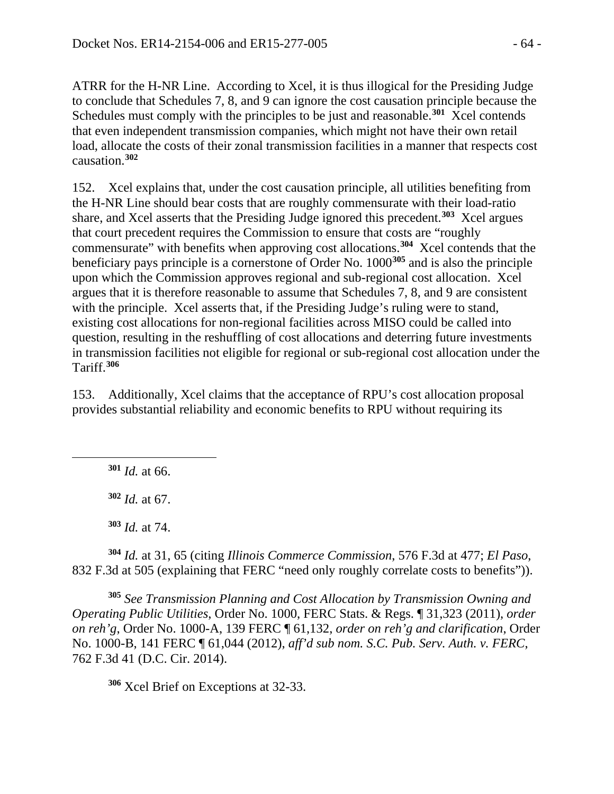ATRR for the H-NR Line. According to Xcel, it is thus illogical for the Presiding Judge to conclude that Schedules 7, 8, and 9 can ignore the cost causation principle because the Schedules must comply with the principles to be just and reasonable.<sup>[301](#page-63-0)</sup> Xcel contends that even independent transmission companies, which might not have their own retail load, allocate the costs of their zonal transmission facilities in a manner that respects cost causation. **[302](#page-63-1)**

152. Xcel explains that, under the cost causation principle, all utilities benefiting from the H-NR Line should bear costs that are roughly commensurate with their load-ratio share, and Xcel asserts that the Presiding Judge ignored this precedent.**[303](#page-63-2)** Xcel argues that court precedent requires the Commission to ensure that costs are "roughly commensurate" with benefits when approving cost allocations.**[304](#page-63-3)** Xcel contends that the beneficiary pays principle is a cornerstone of Order No. 1000**[305](#page-63-4)** and is also the principle upon which the Commission approves regional and sub-regional cost allocation. Xcel argues that it is therefore reasonable to assume that Schedules 7, 8, and 9 are consistent with the principle. Xcel asserts that, if the Presiding Judge's ruling were to stand, existing cost allocations for non-regional facilities across MISO could be called into question, resulting in the reshuffling of cost allocations and deterring future investments in transmission facilities not eligible for regional or sub-regional cost allocation under the Tariff.**[306](#page-63-5)**

153. Additionally, Xcel claims that the acceptance of RPU's cost allocation proposal provides substantial reliability and economic benefits to RPU without requiring its

**<sup>301</sup>** *Id.* at 66.

<span id="page-63-1"></span><span id="page-63-0"></span> $\overline{a}$ 

**<sup>302</sup>** *Id.* at 67.

**<sup>303</sup>** *Id.* at 74.

<span id="page-63-3"></span><span id="page-63-2"></span>**<sup>304</sup>** *Id.* at 31, 65 (citing *Illinois Commerce Commission*, 576 F.3d at 477; *El Paso*, 832 F.3d at 505 (explaining that FERC "need only roughly correlate costs to benefits")).

<span id="page-63-4"></span>**<sup>305</sup>** *See Transmission Planning and Cost Allocation by Transmission Owning and Operating Public Utilities*, Order No. 1000, FERC Stats. & Regs. ¶ 31,323 (2011), *order on reh'g*, Order No. 1000-A, 139 FERC ¶ 61,132, *order on reh'g and clarification*, Order No. 1000-B, 141 FERC ¶ 61,044 (2012), *aff'd sub nom. S.C. Pub. Serv. Auth. v. FERC*, 762 F.3d 41 (D.C. Cir. 2014).

<span id="page-63-5"></span>**<sup>306</sup>** Xcel Brief on Exceptions at 32-33.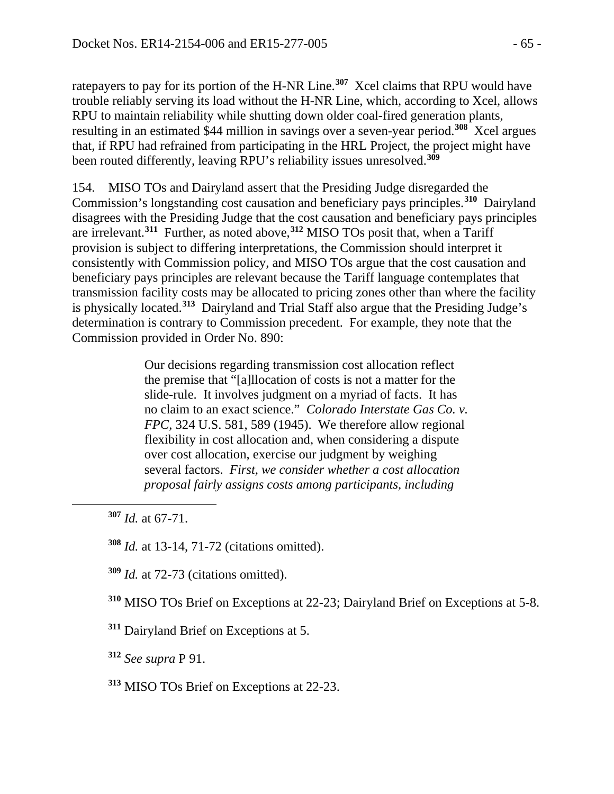ratepayers to pay for its portion of the H-NR Line. **[307](#page-64-0)** Xcel claims that RPU would have trouble reliably serving its load without the H-NR Line, which, according to Xcel, allows RPU to maintain reliability while shutting down older coal-fired generation plants, resulting in an estimated \$44 million in savings over a seven-year period.**[308](#page-64-1)** Xcel argues that, if RPU had refrained from participating in the HRL Project, the project might have been routed differently, leaving RPU's reliability issues unresolved.**[309](#page-64-2)**

154. MISO TOs and Dairyland assert that the Presiding Judge disregarded the Commission's longstanding cost causation and beneficiary pays principles. **[310](#page-64-3)** Dairyland disagrees with the Presiding Judge that the cost causation and beneficiary pays principles are irrelevant.**[311](#page-64-4)** Further, as noted above,**[312](#page-64-5)** MISO TOs posit that, when a Tariff provision is subject to differing interpretations, the Commission should interpret it consistently with Commission policy, and MISO TOs argue that the cost causation and beneficiary pays principles are relevant because the Tariff language contemplates that transmission facility costs may be allocated to pricing zones other than where the facility is physically located.**[313](#page-64-6)** Dairyland and Trial Staff also argue that the Presiding Judge's determination is contrary to Commission precedent. For example, they note that the Commission provided in Order No. 890:

> Our decisions regarding transmission cost allocation reflect the premise that "[a]llocation of costs is not a matter for the slide-rule. It involves judgment on a myriad of facts. It has no claim to an exact science." *Colorado Interstate Gas Co. v. FPC*, 324 U.S. 581, 589 (1945). We therefore allow regional flexibility in cost allocation and, when considering a dispute over cost allocation, exercise our judgment by weighing several factors. *First, we consider whether a cost allocation proposal fairly assigns costs among participants, including*

<span id="page-64-2"></span><span id="page-64-1"></span><span id="page-64-0"></span> $\overline{a}$ 

**<sup>309</sup>** *Id.* at 72-73 (citations omitted).

<span id="page-64-3"></span>**<sup>310</sup>** MISO TOs Brief on Exceptions at 22-23; Dairyland Brief on Exceptions at 5-8.

<span id="page-64-4"></span>**<sup>311</sup>** Dairyland Brief on Exceptions at 5.

<span id="page-64-5"></span>**<sup>312</sup>** *See supra* P 91.

<span id="page-64-6"></span>**<sup>313</sup>** MISO TOs Brief on Exceptions at 22-23.

**<sup>307</sup>** *Id.* at 67-71.

**<sup>308</sup>** *Id.* at 13-14, 71-72 (citations omitted).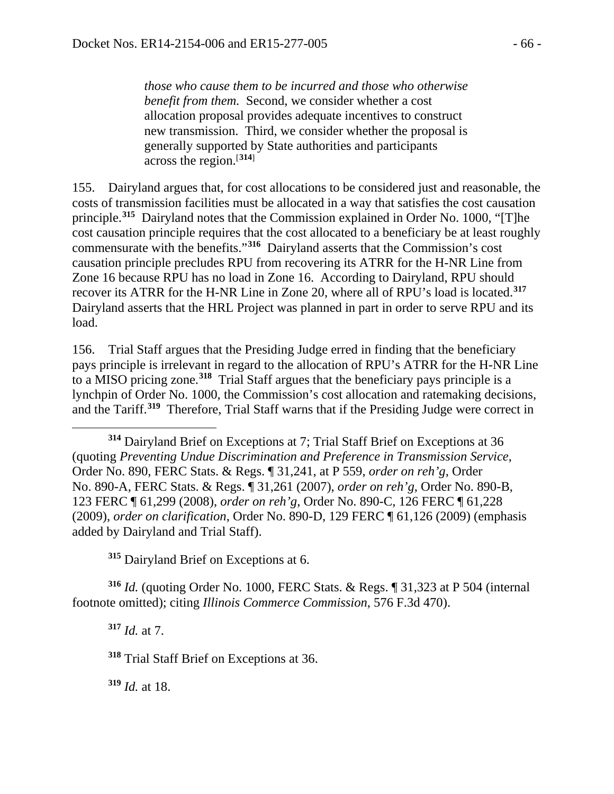*those who cause them to be incurred and those who otherwise benefit from them.* Second, we consider whether a cost allocation proposal provides adequate incentives to construct new transmission. Third, we consider whether the proposal is generally supported by State authorities and participants across the region.[**[314](#page-65-0)**]

155. Dairyland argues that, for cost allocations to be considered just and reasonable, the costs of transmission facilities must be allocated in a way that satisfies the cost causation principle.**[315](#page-65-1)** Dairyland notes that the Commission explained in Order No. 1000, "[T]he cost causation principle requires that the cost allocated to a beneficiary be at least roughly commensurate with the benefits."**[316](#page-65-2)** Dairyland asserts that the Commission's cost causation principle precludes RPU from recovering its ATRR for the H-NR Line from Zone 16 because RPU has no load in Zone 16. According to Dairyland, RPU should recover its ATRR for the H-NR Line in Zone 20, where all of RPU's load is located. **[317](#page-65-3)** Dairyland asserts that the HRL Project was planned in part in order to serve RPU and its load.

156. Trial Staff argues that the Presiding Judge erred in finding that the beneficiary pays principle is irrelevant in regard to the allocation of RPU's ATRR for the H-NR Line to a MISO pricing zone.**[318](#page-65-4)** Trial Staff argues that the beneficiary pays principle is a lynchpin of Order No. 1000, the Commission's cost allocation and ratemaking decisions, and the Tariff.**[319](#page-65-5)** Therefore, Trial Staff warns that if the Presiding Judge were correct in

<span id="page-65-0"></span>**<sup>314</sup>** Dairyland Brief on Exceptions at 7; Trial Staff Brief on Exceptions at 36 (quoting *Preventing Undue Discrimination and Preference in Transmission Service*, Order No. 890, FERC Stats. & Regs. ¶ 31,241, at P 559, *order on reh'g*, Order No. 890-A, FERC Stats. & Regs. ¶ 31,261 (2007), *order on reh'g*, Order No. 890-B, 123 FERC ¶ 61,299 (2008), *order on reh'g*, Order No. 890-C, 126 FERC ¶ 61,228 (2009), *order on clarification*, Order No. 890-D, 129 FERC ¶ 61,126 (2009) (emphasis added by Dairyland and Trial Staff).

**<sup>315</sup>** Dairyland Brief on Exceptions at 6.

<span id="page-65-4"></span><span id="page-65-3"></span><span id="page-65-2"></span><span id="page-65-1"></span>**<sup>316</sup>** *Id.* (quoting Order No. 1000, FERC Stats. & Regs. ¶ 31,323 at P 504 (internal footnote omitted); citing *Illinois Commerce Commission*, 576 F.3d 470).

**<sup>317</sup>** *Id.* at 7.

 $\overline{a}$ 

**<sup>318</sup>** Trial Staff Brief on Exceptions at 36.

<span id="page-65-5"></span>**<sup>319</sup>** *Id.* at 18.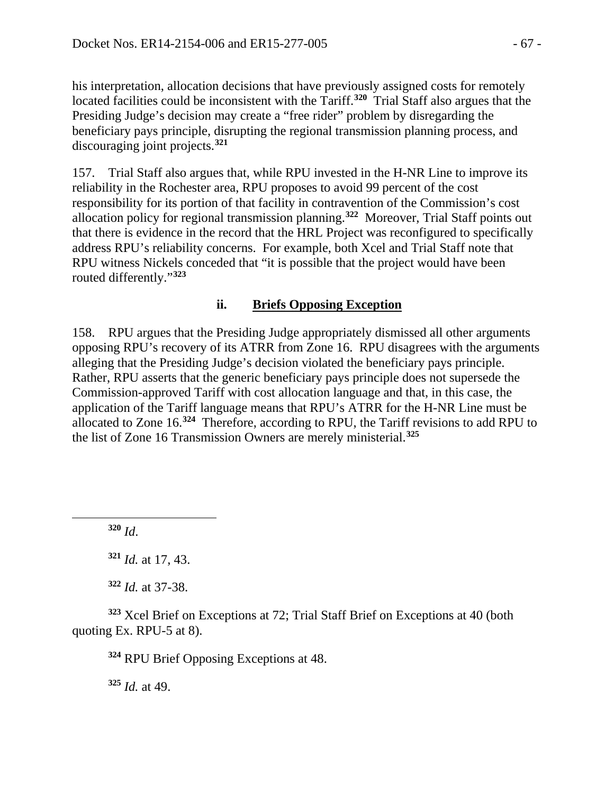his interpretation, allocation decisions that have previously assigned costs for remotely located facilities could be inconsistent with the Tariff.<sup>[320](#page-66-0)</sup> Trial Staff also argues that the Presiding Judge's decision may create a "free rider" problem by disregarding the beneficiary pays principle, disrupting the regional transmission planning process, and discouraging joint projects.**[321](#page-66-1)**

157. Trial Staff also argues that, while RPU invested in the H-NR Line to improve its reliability in the Rochester area, RPU proposes to avoid 99 percent of the cost responsibility for its portion of that facility in contravention of the Commission's cost allocation policy for regional transmission planning.**[322](#page-66-2)** Moreover, Trial Staff points out that there is evidence in the record that the HRL Project was reconfigured to specifically address RPU's reliability concerns. For example, both Xcel and Trial Staff note that RPU witness Nickels conceded that "it is possible that the project would have been routed differently."**[323](#page-66-3)**

## **ii. Briefs Opposing Exception**

158. RPU argues that the Presiding Judge appropriately dismissed all other arguments opposing RPU's recovery of its ATRR from Zone 16. RPU disagrees with the arguments alleging that the Presiding Judge's decision violated the beneficiary pays principle. Rather, RPU asserts that the generic beneficiary pays principle does not supersede the Commission-approved Tariff with cost allocation language and that, in this case, the application of the Tariff language means that RPU's ATRR for the H-NR Line must be allocated to Zone 16.**[324](#page-66-4)** Therefore, according to RPU, the Tariff revisions to add RPU to the list of Zone 16 Transmission Owners are merely ministerial.**[325](#page-66-5)** 

**<sup>320</sup>** *Id*.

<span id="page-66-1"></span><span id="page-66-0"></span> $\overline{a}$ 

**<sup>321</sup>** *Id.* at 17, 43.

**<sup>322</sup>** *Id.* at 37-38.

<span id="page-66-5"></span><span id="page-66-4"></span><span id="page-66-3"></span><span id="page-66-2"></span>**<sup>323</sup>** Xcel Brief on Exceptions at 72; Trial Staff Brief on Exceptions at 40 (both quoting Ex. RPU-5 at 8).

**<sup>324</sup>** RPU Brief Opposing Exceptions at 48.

**<sup>325</sup>** *Id.* at 49.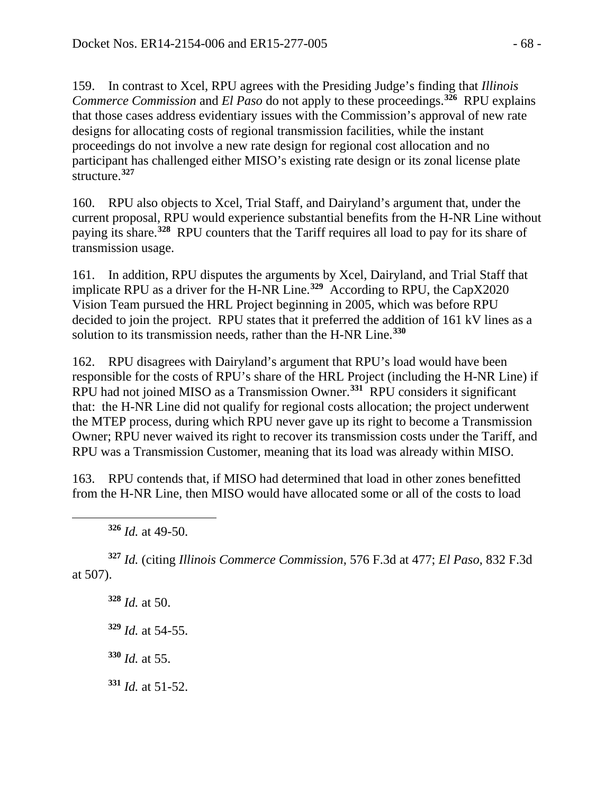159. In contrast to Xcel, RPU agrees with the Presiding Judge's finding that *Illinois Commerce Commission* and *El Paso* do not apply to these proceedings. **[326](#page-67-0)** RPU explains that those cases address evidentiary issues with the Commission's approval of new rate designs for allocating costs of regional transmission facilities, while the instant proceedings do not involve a new rate design for regional cost allocation and no participant has challenged either MISO's existing rate design or its zonal license plate structure.**[327](#page-67-1)**

160. RPU also objects to Xcel, Trial Staff, and Dairyland's argument that, under the current proposal, RPU would experience substantial benefits from the H-NR Line without paying its share.**[328](#page-67-2)** RPU counters that the Tariff requires all load to pay for its share of transmission usage.

161. In addition, RPU disputes the arguments by Xcel, Dairyland, and Trial Staff that implicate RPU as a driver for the H-NR Line.**[329](#page-67-3)** According to RPU, the CapX2020 Vision Team pursued the HRL Project beginning in 2005, which was before RPU decided to join the project. RPU states that it preferred the addition of 161 kV lines as a solution to its transmission needs, rather than the H-NR Line.**[330](#page-67-4)**

162. RPU disagrees with Dairyland's argument that RPU's load would have been responsible for the costs of RPU's share of the HRL Project (including the H-NR Line) if RPU had not joined MISO as a Transmission Owner.**[331](#page-67-5)** RPU considers it significant that: the H-NR Line did not qualify for regional costs allocation; the project underwent the MTEP process, during which RPU never gave up its right to become a Transmission Owner; RPU never waived its right to recover its transmission costs under the Tariff, and RPU was a Transmission Customer, meaning that its load was already within MISO.

163. RPU contends that, if MISO had determined that load in other zones benefitted from the H-NR Line, then MISO would have allocated some or all of the costs to load

**<sup>326</sup>** *Id.* at 49-50.

<span id="page-67-0"></span> $\overline{a}$ 

<span id="page-67-3"></span><span id="page-67-2"></span><span id="page-67-1"></span>**<sup>327</sup>** *Id.* (citing *Illinois Commerce Commission*, 576 F.3d at 477; *El Paso*, 832 F.3d at 507).

**<sup>328</sup>** *Id.* at 50.

**<sup>329</sup>** *Id.* at 54-55.

<span id="page-67-4"></span>**<sup>330</sup>** *Id.* at 55.

<span id="page-67-5"></span>**<sup>331</sup>** *Id.* at 51-52.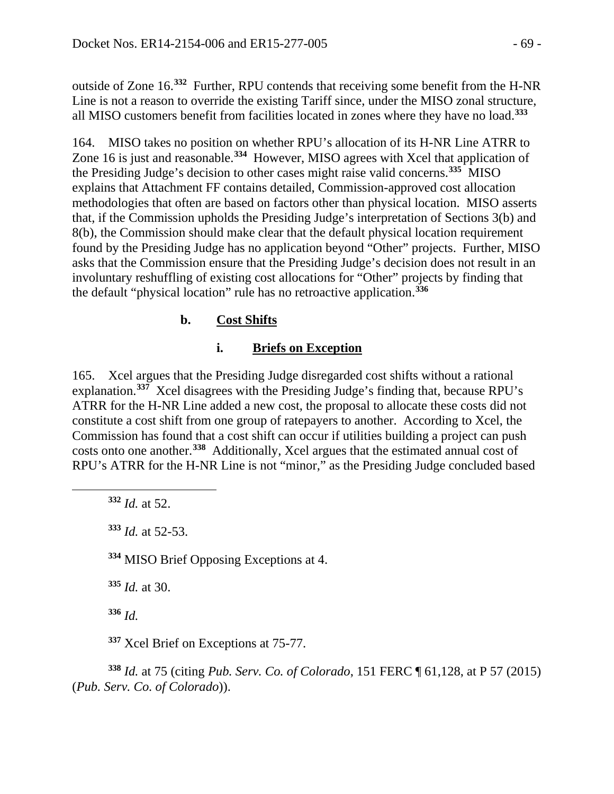outside of Zone 16.**[332](#page-68-0)** Further, RPU contends that receiving some benefit from the H-NR Line is not a reason to override the existing Tariff since, under the MISO zonal structure, all MISO customers benefit from facilities located in zones where they have no load.**[333](#page-68-1)**

164. MISO takes no position on whether RPU's allocation of its H-NR Line ATRR to Zone 16 is just and reasonable.**[334](#page-68-2)** However, MISO agrees with Xcel that application of the Presiding Judge's decision to other cases might raise valid concerns.**[335](#page-68-3)** MISO explains that Attachment FF contains detailed, Commission-approved cost allocation methodologies that often are based on factors other than physical location. MISO asserts that, if the Commission upholds the Presiding Judge's interpretation of Sections 3(b) and 8(b), the Commission should make clear that the default physical location requirement found by the Presiding Judge has no application beyond "Other" projects. Further, MISO asks that the Commission ensure that the Presiding Judge's decision does not result in an involuntary reshuffling of existing cost allocations for "Other" projects by finding that the default "physical location" rule has no retroactive application.**[336](#page-68-4)**

## **b. Cost Shifts**

### **i. Briefs on Exception**

165. Xcel argues that the Presiding Judge disregarded cost shifts without a rational explanation.**[337](#page-68-5)** Xcel disagrees with the Presiding Judge's finding that, because RPU's ATRR for the H-NR Line added a new cost, the proposal to allocate these costs did not constitute a cost shift from one group of ratepayers to another. According to Xcel, the Commission has found that a cost shift can occur if utilities building a project can push costs onto one another.**[338](#page-68-6)** Additionally, Xcel argues that the estimated annual cost of RPU's ATRR for the H-NR Line is not "minor," as the Presiding Judge concluded based

**<sup>332</sup>** *Id.* at 52.

<span id="page-68-2"></span><span id="page-68-1"></span><span id="page-68-0"></span> $\overline{a}$ 

**<sup>333</sup>** *Id.* at 52-53.

**<sup>334</sup>** MISO Brief Opposing Exceptions at 4.

<span id="page-68-3"></span>**<sup>335</sup>** *Id.* at 30.

**<sup>336</sup>** *Id.*

**<sup>337</sup>** Xcel Brief on Exceptions at 75-77.

<span id="page-68-6"></span><span id="page-68-5"></span><span id="page-68-4"></span>**<sup>338</sup>** *Id.* at 75 (citing *Pub. Serv. Co. of Colorado*, 151 FERC ¶ 61,128, at P 57 (2015) (*Pub. Serv. Co. of Colorado*)).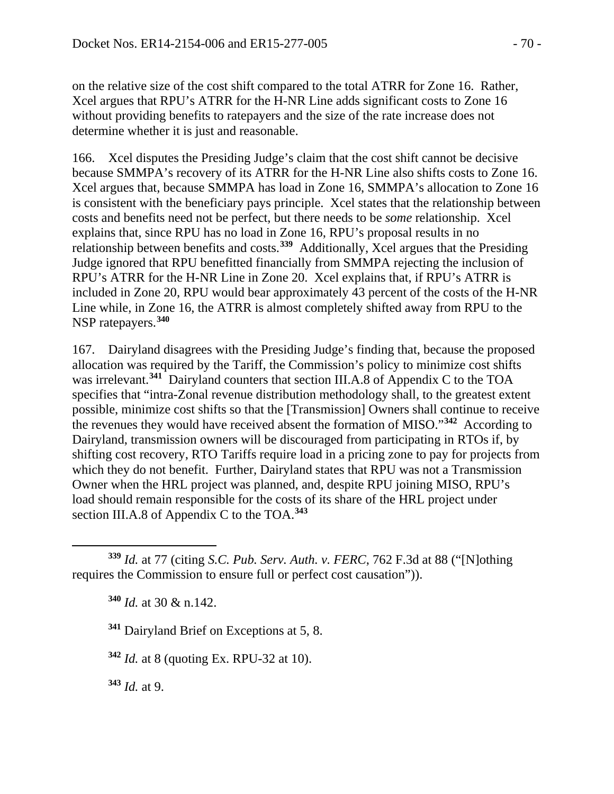on the relative size of the cost shift compared to the total ATRR for Zone 16. Rather, Xcel argues that RPU's ATRR for the H-NR Line adds significant costs to Zone 16 without providing benefits to ratepayers and the size of the rate increase does not determine whether it is just and reasonable.

166. Xcel disputes the Presiding Judge's claim that the cost shift cannot be decisive because SMMPA's recovery of its ATRR for the H-NR Line also shifts costs to Zone 16. Xcel argues that, because SMMPA has load in Zone 16, SMMPA's allocation to Zone 16 is consistent with the beneficiary pays principle. Xcel states that the relationship between costs and benefits need not be perfect, but there needs to be *some* relationship. Xcel explains that, since RPU has no load in Zone 16, RPU's proposal results in no relationship between benefits and costs.**[339](#page-69-0)** Additionally, Xcel argues that the Presiding Judge ignored that RPU benefitted financially from SMMPA rejecting the inclusion of RPU's ATRR for the H-NR Line in Zone 20. Xcel explains that, if RPU's ATRR is included in Zone 20, RPU would bear approximately 43 percent of the costs of the H-NR Line while, in Zone 16, the ATRR is almost completely shifted away from RPU to the NSP ratepayers.**[340](#page-69-1)**

167. Dairyland disagrees with the Presiding Judge's finding that, because the proposed allocation was required by the Tariff, the Commission's policy to minimize cost shifts was irrelevant.**[341](#page-69-2)** Dairyland counters that section III.A.8 of Appendix C to the TOA specifies that "intra-Zonal revenue distribution methodology shall, to the greatest extent possible, minimize cost shifts so that the [Transmission] Owners shall continue to receive the revenues they would have received absent the formation of MISO."**[342](#page-69-3)** According to Dairyland, transmission owners will be discouraged from participating in RTOs if, by shifting cost recovery, RTO Tariffs require load in a pricing zone to pay for projects from which they do not benefit. Further, Dairyland states that RPU was not a Transmission Owner when the HRL project was planned, and, despite RPU joining MISO, RPU's load should remain responsible for the costs of its share of the HRL project under section III.A.8 of Appendix C to the TOA.**[343](#page-69-4)**

**<sup>340</sup>** *Id.* at 30 & n.142.

**<sup>341</sup>** Dairyland Brief on Exceptions at 5, 8.

<span id="page-69-3"></span>**<sup>342</sup>** *Id.* at 8 (quoting Ex. RPU-32 at 10).

<span id="page-69-4"></span>**<sup>343</sup>** *Id.* at 9.

 $\overline{a}$ 

<span id="page-69-2"></span><span id="page-69-1"></span><span id="page-69-0"></span>**<sup>339</sup>** *Id.* at 77 (citing *S.C. Pub. Serv. Auth. v. FERC*, 762 F.3d at 88 ("[N]othing requires the Commission to ensure full or perfect cost causation")).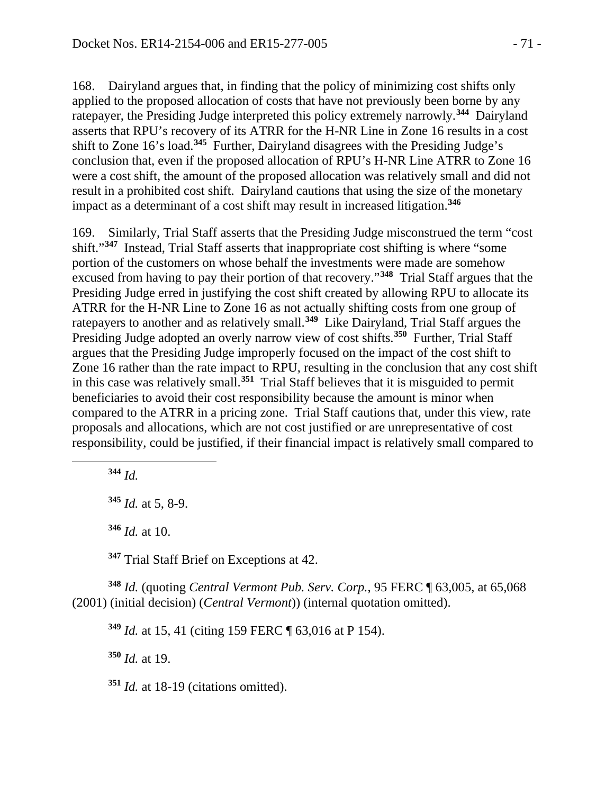168. Dairyland argues that, in finding that the policy of minimizing cost shifts only applied to the proposed allocation of costs that have not previously been borne by any ratepayer, the Presiding Judge interpreted this policy extremely narrowly. **[344](#page-70-0)** Dairyland asserts that RPU's recovery of its ATRR for the H-NR Line in Zone 16 results in a cost shift to Zone 16's load.**[345](#page-70-1)** Further, Dairyland disagrees with the Presiding Judge's conclusion that, even if the proposed allocation of RPU's H-NR Line ATRR to Zone 16 were a cost shift, the amount of the proposed allocation was relatively small and did not result in a prohibited cost shift. Dairyland cautions that using the size of the monetary impact as a determinant of a cost shift may result in increased litigation.**[346](#page-70-2)**

169. Similarly, Trial Staff asserts that the Presiding Judge misconstrued the term "cost shift."**[347](#page-70-3)** Instead, Trial Staff asserts that inappropriate cost shifting is where "some portion of the customers on whose behalf the investments were made are somehow excused from having to pay their portion of that recovery."**[348](#page-70-4)** Trial Staff argues that the Presiding Judge erred in justifying the cost shift created by allowing RPU to allocate its ATRR for the H-NR Line to Zone 16 as not actually shifting costs from one group of ratepayers to another and as relatively small.**[349](#page-70-5)** Like Dairyland, Trial Staff argues the Presiding Judge adopted an overly narrow view of cost shifts.**[350](#page-70-6)** Further, Trial Staff argues that the Presiding Judge improperly focused on the impact of the cost shift to Zone 16 rather than the rate impact to RPU, resulting in the conclusion that any cost shift in this case was relatively small.**[351](#page-70-7)** Trial Staff believes that it is misguided to permit beneficiaries to avoid their cost responsibility because the amount is minor when compared to the ATRR in a pricing zone. Trial Staff cautions that, under this view, rate proposals and allocations, which are not cost justified or are unrepresentative of cost responsibility, could be justified, if their financial impact is relatively small compared to

**<sup>344</sup>** *Id.*

<span id="page-70-1"></span><span id="page-70-0"></span> $\overline{a}$ 

**<sup>346</sup>** *Id.* at 10.

**<sup>347</sup>** Trial Staff Brief on Exceptions at 42.

<span id="page-70-6"></span><span id="page-70-5"></span><span id="page-70-4"></span><span id="page-70-3"></span><span id="page-70-2"></span>**<sup>348</sup>** *Id.* (quoting *Central Vermont Pub. Serv. Corp.*, 95 FERC ¶ 63,005, at 65,068 (2001) (initial decision) (*Central Vermont*)) (internal quotation omitted).

**<sup>349</sup>** *Id.* at 15, 41 (citing 159 FERC ¶ 63,016 at P 154).

**<sup>350</sup>** *Id.* at 19.

<span id="page-70-7"></span>**<sup>351</sup>** *Id.* at 18-19 (citations omitted).

**<sup>345</sup>** *Id.* at 5, 8-9.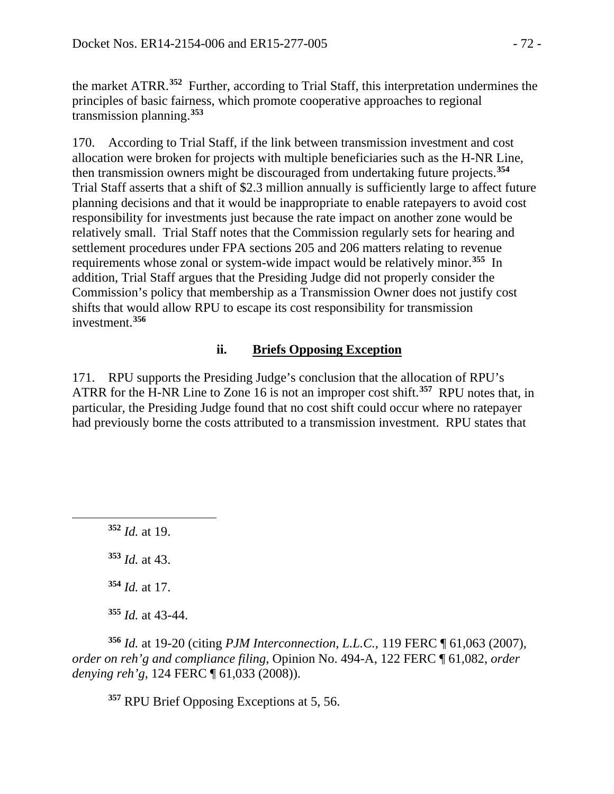the market ATRR.**[352](#page-71-0)** Further, according to Trial Staff, this interpretation undermines the principles of basic fairness, which promote cooperative approaches to regional transmission planning.**[353](#page-71-1)**

170. According to Trial Staff, if the link between transmission investment and cost allocation were broken for projects with multiple beneficiaries such as the H-NR Line, then transmission owners might be discouraged from undertaking future projects.**[354](#page-71-2)** Trial Staff asserts that a shift of \$2.3 million annually is sufficiently large to affect future planning decisions and that it would be inappropriate to enable ratepayers to avoid cost responsibility for investments just because the rate impact on another zone would be relatively small. Trial Staff notes that the Commission regularly sets for hearing and settlement procedures under FPA sections 205 and 206 matters relating to revenue requirements whose zonal or system-wide impact would be relatively minor.**[355](#page-71-3)** In addition, Trial Staff argues that the Presiding Judge did not properly consider the Commission's policy that membership as a Transmission Owner does not justify cost shifts that would allow RPU to escape its cost responsibility for transmission investment.**[356](#page-71-4)**

### **ii. Briefs Opposing Exception**

171. RPU supports the Presiding Judge's conclusion that the allocation of RPU's ATRR for the H-NR Line to Zone 16 is not an improper cost shift.**[357](#page-71-5)** RPU notes that, in particular, the Presiding Judge found that no cost shift could occur where no ratepayer had previously borne the costs attributed to a transmission investment. RPU states that

**<sup>352</sup>** *Id.* at 19.

<span id="page-71-1"></span><span id="page-71-0"></span> $\overline{a}$ 

**<sup>353</sup>** *Id.* at 43.

**<sup>354</sup>** *Id.* at 17.

**<sup>355</sup>** *Id.* at 43-44.

<span id="page-71-5"></span><span id="page-71-4"></span><span id="page-71-3"></span><span id="page-71-2"></span>**<sup>356</sup>** *Id.* at 19-20 (citing *PJM Interconnection, L.L.C.*, 119 FERC ¶ 61,063 (2007), *order on reh'g and compliance filing*, Opinion No. 494-A, 122 FERC ¶ 61,082, *order denying reh'g*, 124 FERC ¶ 61,033 (2008)).

**<sup>357</sup>** RPU Brief Opposing Exceptions at 5, 56.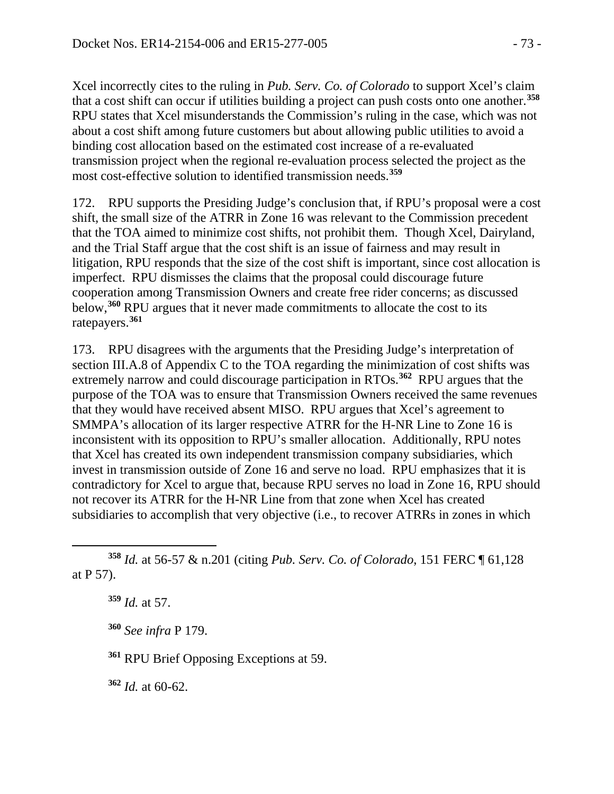Xcel incorrectly cites to the ruling in *Pub. Serv. Co. of Colorado* to support Xcel's claim that a cost shift can occur if utilities building a project can push costs onto one another.**[358](#page-72-0)** RPU states that Xcel misunderstands the Commission's ruling in the case, which was not about a cost shift among future customers but about allowing public utilities to avoid a binding cost allocation based on the estimated cost increase of a re-evaluated transmission project when the regional re-evaluation process selected the project as the most cost-effective solution to identified transmission needs.**[359](#page-72-1)** 

172. RPU supports the Presiding Judge's conclusion that, if RPU's proposal were a cost shift, the small size of the ATRR in Zone 16 was relevant to the Commission precedent that the TOA aimed to minimize cost shifts, not prohibit them. Though Xcel, Dairyland, and the Trial Staff argue that the cost shift is an issue of fairness and may result in litigation, RPU responds that the size of the cost shift is important, since cost allocation is imperfect. RPU dismisses the claims that the proposal could discourage future cooperation among Transmission Owners and create free rider concerns; as discussed below,**[360](#page-72-2)** RPU argues that it never made commitments to allocate the cost to its ratepayers.**[361](#page-72-3)**

173. RPU disagrees with the arguments that the Presiding Judge's interpretation of section III.A.8 of Appendix C to the TOA regarding the minimization of cost shifts was extremely narrow and could discourage participation in RTOs.**[362](#page-72-4)** RPU argues that the purpose of the TOA was to ensure that Transmission Owners received the same revenues that they would have received absent MISO. RPU argues that Xcel's agreement to SMMPA's allocation of its larger respective ATRR for the H-NR Line to Zone 16 is inconsistent with its opposition to RPU's smaller allocation. Additionally, RPU notes that Xcel has created its own independent transmission company subsidiaries, which invest in transmission outside of Zone 16 and serve no load. RPU emphasizes that it is contradictory for Xcel to argue that, because RPU serves no load in Zone 16, RPU should not recover its ATRR for the H-NR Line from that zone when Xcel has created subsidiaries to accomplish that very objective (i.e., to recover ATRRs in zones in which

**<sup>359</sup>** *Id.* at 57.

 $\overline{a}$ 

**<sup>360</sup>** *See infra* P 179.

<span id="page-72-3"></span>**<sup>361</sup>** RPU Brief Opposing Exceptions at 59.

<span id="page-72-4"></span>**<sup>362</sup>** *Id.* at 60-62.

<span id="page-72-2"></span><span id="page-72-1"></span><span id="page-72-0"></span>**<sup>358</sup>** *Id.* at 56-57 & n.201 (citing *Pub. Serv. Co. of Colorado*, 151 FERC ¶ 61,128 at P 57).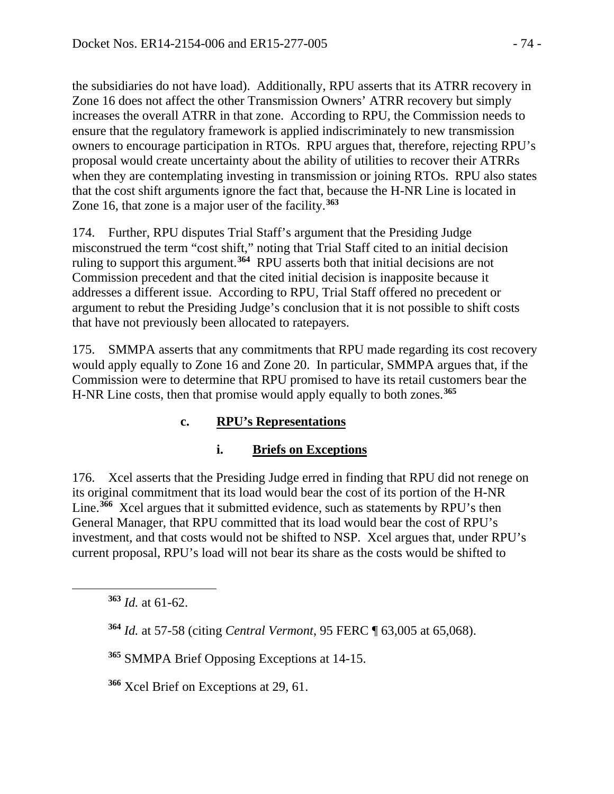the subsidiaries do not have load). Additionally, RPU asserts that its ATRR recovery in Zone 16 does not affect the other Transmission Owners' ATRR recovery but simply increases the overall ATRR in that zone. According to RPU, the Commission needs to ensure that the regulatory framework is applied indiscriminately to new transmission owners to encourage participation in RTOs. RPU argues that, therefore, rejecting RPU's proposal would create uncertainty about the ability of utilities to recover their ATRRs when they are contemplating investing in transmission or joining RTOs. RPU also states that the cost shift arguments ignore the fact that, because the H-NR Line is located in Zone 16, that zone is a major user of the facility.**[363](#page-73-0)**

174. Further, RPU disputes Trial Staff's argument that the Presiding Judge misconstrued the term "cost shift," noting that Trial Staff cited to an initial decision ruling to support this argument. **[364](#page-73-1)** RPU asserts both that initial decisions are not Commission precedent and that the cited initial decision is inapposite because it addresses a different issue. According to RPU, Trial Staff offered no precedent or argument to rebut the Presiding Judge's conclusion that it is not possible to shift costs that have not previously been allocated to ratepayers.

175. SMMPA asserts that any commitments that RPU made regarding its cost recovery would apply equally to Zone 16 and Zone 20. In particular, SMMPA argues that, if the Commission were to determine that RPU promised to have its retail customers bear the H-NR Line costs, then that promise would apply equally to both zones.**[365](#page-73-2)**

# **c. RPU's Representations**

# **i. Briefs on Exceptions**

176. Xcel asserts that the Presiding Judge erred in finding that RPU did not renege on its original commitment that its load would bear the cost of its portion of the H-NR Line.<sup>[366](#page-73-3)</sup> Xcel argues that it submitted evidence, such as statements by RPU's then General Manager, that RPU committed that its load would bear the cost of RPU's investment, and that costs would not be shifted to NSP. Xcel argues that, under RPU's current proposal, RPU's load will not bear its share as the costs would be shifted to

<span id="page-73-2"></span><span id="page-73-1"></span><span id="page-73-0"></span> $\overline{a}$ 

**<sup>365</sup>** SMMPA Brief Opposing Exceptions at 14-15.

<span id="page-73-3"></span>**<sup>366</sup>** Xcel Brief on Exceptions at 29, 61.

**<sup>363</sup>** *Id.* at 61-62.

**<sup>364</sup>** *Id.* at 57-58 (citing *Central Vermont*, 95 FERC ¶ 63,005 at 65,068).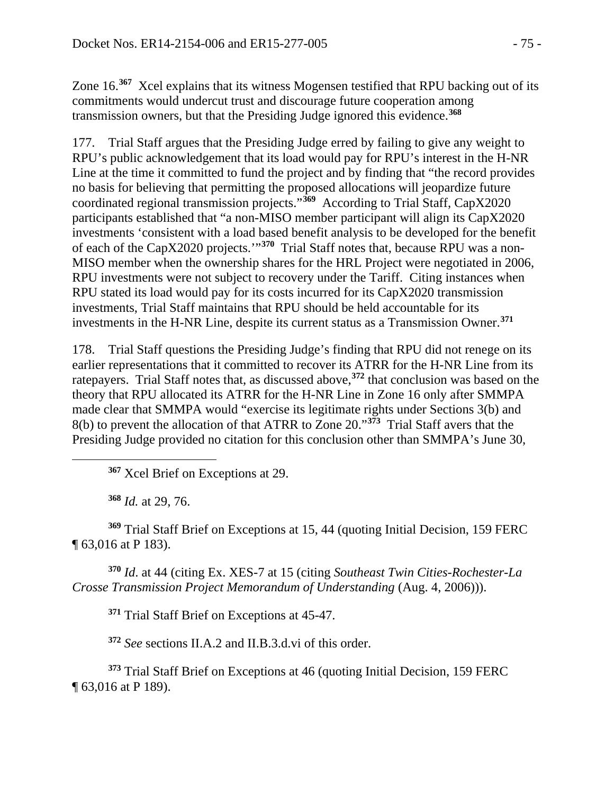Zone 16.**[367](#page-74-0)** Xcel explains that its witness Mogensen testified that RPU backing out of its commitments would undercut trust and discourage future cooperation among transmission owners, but that the Presiding Judge ignored this evidence.**[368](#page-74-1)**

177. Trial Staff argues that the Presiding Judge erred by failing to give any weight to RPU's public acknowledgement that its load would pay for RPU's interest in the H-NR Line at the time it committed to fund the project and by finding that "the record provides no basis for believing that permitting the proposed allocations will jeopardize future coordinated regional transmission projects."**[369](#page-74-2)** According to Trial Staff, CapX2020 participants established that "a non-MISO member participant will align its CapX2020 investments 'consistent with a load based benefit analysis to be developed for the benefit of each of the CapX2020 projects.'"**[370](#page-74-3)** Trial Staff notes that, because RPU was a non-MISO member when the ownership shares for the HRL Project were negotiated in 2006, RPU investments were not subject to recovery under the Tariff. Citing instances when RPU stated its load would pay for its costs incurred for its CapX2020 transmission investments, Trial Staff maintains that RPU should be held accountable for its investments in the H-NR Line, despite its current status as a Transmission Owner.**[371](#page-74-4)**

178. Trial Staff questions the Presiding Judge's finding that RPU did not renege on its earlier representations that it committed to recover its ATRR for the H-NR Line from its ratepayers. Trial Staff notes that, as discussed above,**[372](#page-74-5)** that conclusion was based on the theory that RPU allocated its ATRR for the H-NR Line in Zone 16 only after SMMPA made clear that SMMPA would "exercise its legitimate rights under Sections 3(b) and 8(b) to prevent the allocation of that ATRR to Zone 20."**[373](#page-74-6)** Trial Staff avers that the Presiding Judge provided no citation for this conclusion other than SMMPA's June 30,

**<sup>367</sup>** Xcel Brief on Exceptions at 29.

**<sup>368</sup>** *Id.* at 29, 76.

<span id="page-74-0"></span> $\overline{a}$ 

<span id="page-74-2"></span><span id="page-74-1"></span>**<sup>369</sup>** Trial Staff Brief on Exceptions at 15, 44 (quoting Initial Decision, 159 FERC ¶ 63,016 at P 183).

<span id="page-74-4"></span><span id="page-74-3"></span>**<sup>370</sup>** *Id*. at 44 (citing Ex. XES-7 at 15 (citing *Southeast Twin Cities-Rochester-La Crosse Transmission Project Memorandum of Understanding* (Aug. 4, 2006))).

**<sup>371</sup>** Trial Staff Brief on Exceptions at 45-47.

**<sup>372</sup>** *See* sections II.A.2 and II.B.3.d.vi of this order.

<span id="page-74-6"></span><span id="page-74-5"></span>**<sup>373</sup>** Trial Staff Brief on Exceptions at 46 (quoting Initial Decision, 159 FERC ¶ 63,016 at P 189).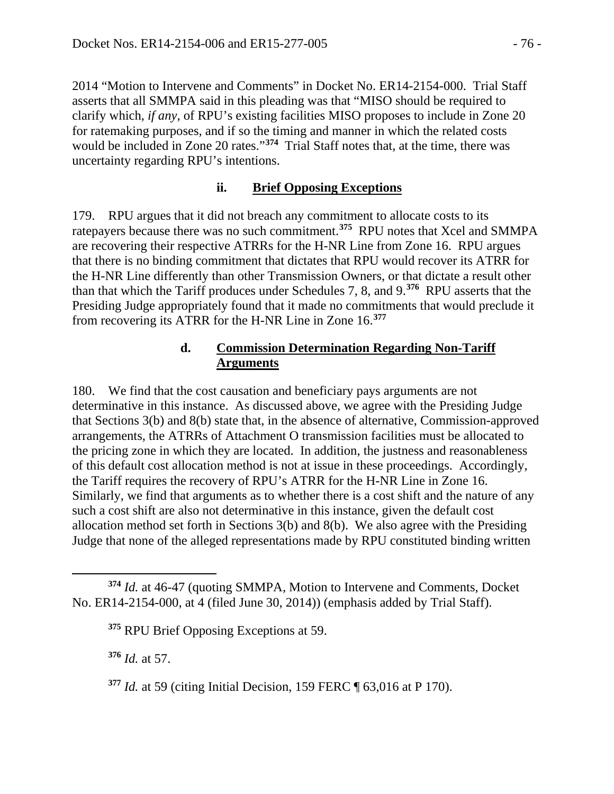2014 "Motion to Intervene and Comments" in Docket No. ER14-2154-000. Trial Staff asserts that all SMMPA said in this pleading was that "MISO should be required to clarify which, *if any*, of RPU's existing facilities MISO proposes to include in Zone 20 for ratemaking purposes, and if so the timing and manner in which the related costs would be included in Zone 20 rates."**[374](#page-75-0)** Trial Staff notes that, at the time, there was uncertainty regarding RPU's intentions.

#### **ii. Brief Opposing Exceptions**

179. RPU argues that it did not breach any commitment to allocate costs to its ratepayers because there was no such commitment.**[375](#page-75-1)** RPU notes that Xcel and SMMPA are recovering their respective ATRRs for the H-NR Line from Zone 16. RPU argues that there is no binding commitment that dictates that RPU would recover its ATRR for the H-NR Line differently than other Transmission Owners, or that dictate a result other than that which the Tariff produces under Schedules 7, 8, and 9.**[376](#page-75-2)** RPU asserts that the Presiding Judge appropriately found that it made no commitments that would preclude it from recovering its ATRR for the H-NR Line in Zone 16.**[377](#page-75-3)**

#### **d. Commission Determination Regarding Non-Tariff Arguments**

180. We find that the cost causation and beneficiary pays arguments are not determinative in this instance. As discussed above, we agree with the Presiding Judge that Sections 3(b) and 8(b) state that, in the absence of alternative, Commission-approved arrangements, the ATRRs of Attachment O transmission facilities must be allocated to the pricing zone in which they are located. In addition, the justness and reasonableness of this default cost allocation method is not at issue in these proceedings. Accordingly, the Tariff requires the recovery of RPU's ATRR for the H-NR Line in Zone 16. Similarly, we find that arguments as to whether there is a cost shift and the nature of any such a cost shift are also not determinative in this instance, given the default cost allocation method set forth in Sections 3(b) and 8(b). We also agree with the Presiding Judge that none of the alleged representations made by RPU constituted binding written

<span id="page-75-2"></span>**<sup>376</sup>** *Id.* at 57.

<span id="page-75-1"></span><span id="page-75-0"></span> $\overline{a}$ **<sup>374</sup>** *Id.* at 46-47 (quoting SMMPA, Motion to Intervene and Comments, Docket No. ER14-2154-000, at 4 (filed June 30, 2014)) (emphasis added by Trial Staff).

**<sup>375</sup>** RPU Brief Opposing Exceptions at 59.

<span id="page-75-3"></span>**<sup>377</sup>** *Id.* at 59 (citing Initial Decision, 159 FERC ¶ 63,016 at P 170).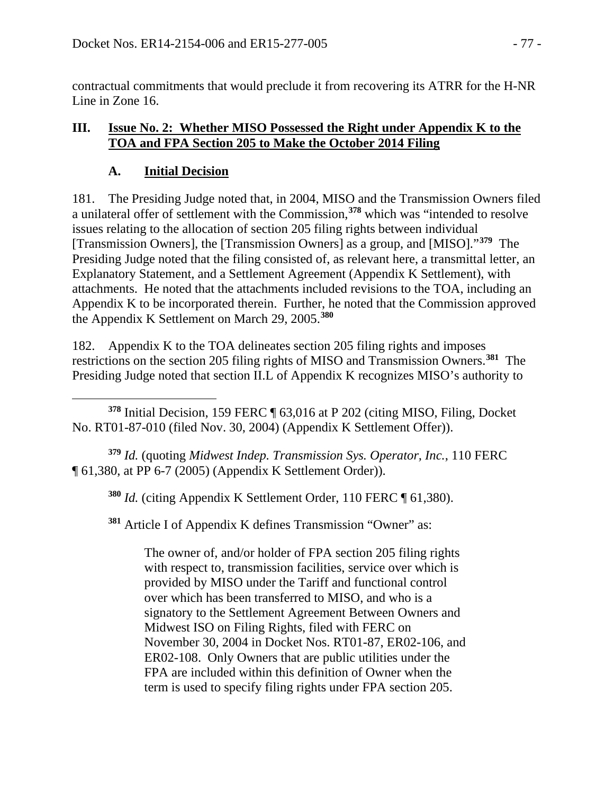contractual commitments that would preclude it from recovering its ATRR for the H-NR Line in Zone 16.

### **III. Issue No. 2: Whether MISO Possessed the Right under Appendix K to the TOA and FPA Section 205 to Make the October 2014 Filing**

## **A. Initial Decision**

181. The Presiding Judge noted that, in 2004, MISO and the Transmission Owners filed a unilateral offer of settlement with the Commission,**[378](#page-76-0)** which was "intended to resolve issues relating to the allocation of section 205 filing rights between individual [Transmission Owners], the [Transmission Owners] as a group, and [MISO]."**[379](#page-76-1)** The Presiding Judge noted that the filing consisted of, as relevant here, a transmittal letter, an Explanatory Statement, and a Settlement Agreement (Appendix K Settlement), with attachments. He noted that the attachments included revisions to the TOA, including an Appendix K to be incorporated therein. Further, he noted that the Commission approved the Appendix K Settlement on March 29, 2005.**[380](#page-76-2)**

182. Appendix K to the TOA delineates section 205 filing rights and imposes restrictions on the section 205 filing rights of MISO and Transmission Owners.**[381](#page-76-3)** The Presiding Judge noted that section II.L of Appendix K recognizes MISO's authority to

<span id="page-76-0"></span> $\overline{a}$ **<sup>378</sup>** Initial Decision, 159 FERC ¶ 63,016 at P 202 (citing MISO, Filing, Docket No. RT01-87-010 (filed Nov. 30, 2004) (Appendix K Settlement Offer)).

<span id="page-76-3"></span><span id="page-76-2"></span><span id="page-76-1"></span>**<sup>379</sup>** *Id.* (quoting *Midwest Indep. Transmission Sys. Operator, Inc.*, 110 FERC ¶ 61,380, at PP 6-7 (2005) (Appendix K Settlement Order)).

**<sup>380</sup>** *Id.* (citing Appendix K Settlement Order, 110 FERC ¶ 61,380).

**<sup>381</sup>** Article I of Appendix K defines Transmission "Owner" as:

The owner of, and/or holder of FPA section 205 filing rights with respect to, transmission facilities, service over which is provided by MISO under the Tariff and functional control over which has been transferred to MISO, and who is a signatory to the Settlement Agreement Between Owners and Midwest ISO on Filing Rights, filed with FERC on November 30, 2004 in Docket Nos. RT01-87, ER02-106, and ER02-108. Only Owners that are public utilities under the FPA are included within this definition of Owner when the term is used to specify filing rights under FPA section 205.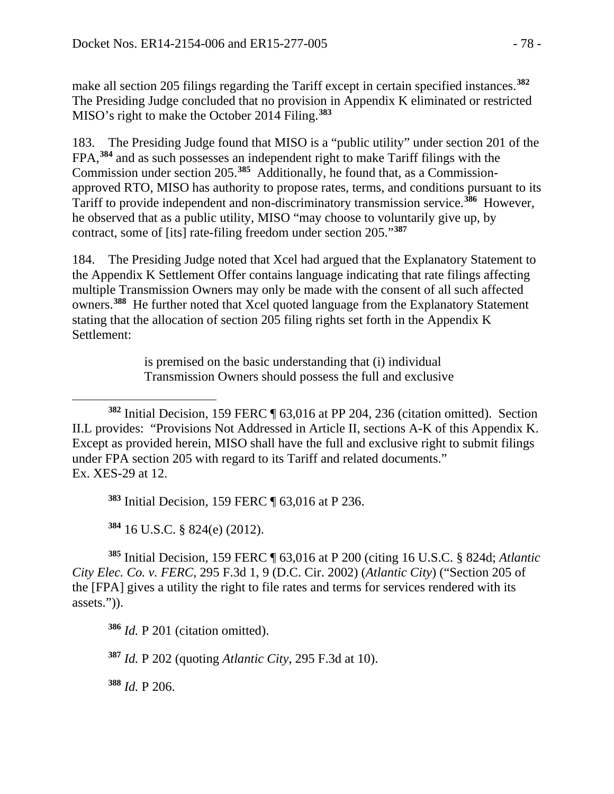make all section 205 filings regarding the Tariff except in certain specified instances.**[382](#page-77-0)** The Presiding Judge concluded that no provision in Appendix K eliminated or restricted MISO's right to make the October 2014 Filing.**[383](#page-77-1)**

183. The Presiding Judge found that MISO is a "public utility" under section 201 of the FPA,**[384](#page-77-2)** and as such possesses an independent right to make Tariff filings with the Commission under section 205.**[385](#page-77-3)** Additionally, he found that, as a Commissionapproved RTO, MISO has authority to propose rates, terms, and conditions pursuant to its Tariff to provide independent and non-discriminatory transmission service.**[386](#page-77-4)** However, he observed that as a public utility, MISO "may choose to voluntarily give up, by contract, some of [its] rate-filing freedom under section 205."**[387](#page-77-5)**

184. The Presiding Judge noted that Xcel had argued that the Explanatory Statement to the Appendix K Settlement Offer contains language indicating that rate filings affecting multiple Transmission Owners may only be made with the consent of all such affected owners.**[388](#page-77-6)** He further noted that Xcel quoted language from the Explanatory Statement stating that the allocation of section 205 filing rights set forth in the Appendix K Settlement:

> is premised on the basic understanding that (i) individual Transmission Owners should possess the full and exclusive

**<sup>383</sup>** Initial Decision, 159 FERC ¶ 63,016 at P 236.

**<sup>384</sup>** 16 U.S.C. § 824(e) (2012).

<span id="page-77-4"></span><span id="page-77-3"></span><span id="page-77-2"></span><span id="page-77-1"></span>**<sup>385</sup>** Initial Decision, 159 FERC ¶ 63,016 at P 200 (citing 16 U.S.C. § 824d; *Atlantic City Elec. Co. v. FERC*, 295 F.3d 1, 9 (D.C. Cir. 2002) (*Atlantic City*) ("Section 205 of the [FPA] gives a utility the right to file rates and terms for services rendered with its assets.")).

**<sup>386</sup>** *Id.* P 201 (citation omitted).

<span id="page-77-5"></span>**<sup>387</sup>** *Id.* P 202 (quoting *Atlantic City*, 295 F.3d at 10).

<span id="page-77-6"></span>**<sup>388</sup>** *Id.* P 206.

<span id="page-77-0"></span> $\overline{a}$ **<sup>382</sup>** Initial Decision, 159 FERC ¶ 63,016 at PP 204, 236 (citation omitted). Section II.L provides: "Provisions Not Addressed in Article II, sections A-K of this Appendix K. Except as provided herein, MISO shall have the full and exclusive right to submit filings under FPA section 205 with regard to its Tariff and related documents." Ex. XES-29 at 12.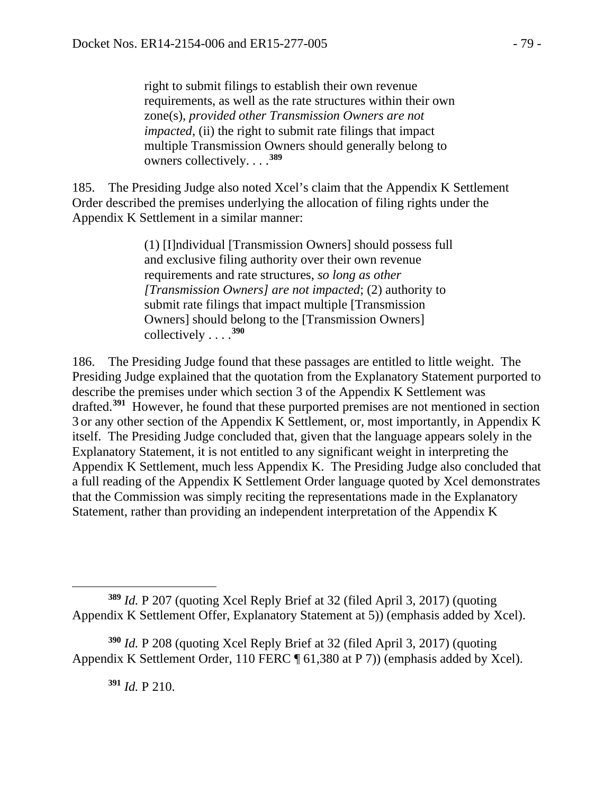right to submit filings to establish their own revenue requirements, as well as the rate structures within their own zone(s), *provided other Transmission Owners are not impacted*, (ii) the right to submit rate filings that impact multiple Transmission Owners should generally belong to owners collectively. . . .**[389](#page-78-0)**

185. The Presiding Judge also noted Xcel's claim that the Appendix K Settlement Order described the premises underlying the allocation of filing rights under the Appendix K Settlement in a similar manner:

> (1) [I]ndividual [Transmission Owners] should possess full and exclusive filing authority over their own revenue requirements and rate structures, *so long as other [Transmission Owners] are not impacted*; (2) authority to submit rate filings that impact multiple [Transmission Owners] should belong to the [Transmission Owners] collectively . . . .**[390](#page-78-1)**

186. The Presiding Judge found that these passages are entitled to little weight. The Presiding Judge explained that the quotation from the Explanatory Statement purported to describe the premises under which section 3 of the Appendix K Settlement was drafted.**[391](#page-78-2)** However, he found that these purported premises are not mentioned in section 3 or any other section of the Appendix K Settlement, or, most importantly, in Appendix K itself. The Presiding Judge concluded that, given that the language appears solely in the Explanatory Statement, it is not entitled to any significant weight in interpreting the Appendix K Settlement, much less Appendix K. The Presiding Judge also concluded that a full reading of the Appendix K Settlement Order language quoted by Xcel demonstrates that the Commission was simply reciting the representations made in the Explanatory Statement, rather than providing an independent interpretation of the Appendix K

**<sup>391</sup>** *Id.* P 210.

<span id="page-78-0"></span> $\overline{a}$ **<sup>389</sup>** *Id.* P 207 (quoting Xcel Reply Brief at 32 (filed April 3, 2017) (quoting Appendix K Settlement Offer, Explanatory Statement at 5)) (emphasis added by Xcel).

<span id="page-78-2"></span><span id="page-78-1"></span>**<sup>390</sup>** *Id.* P 208 (quoting Xcel Reply Brief at 32 (filed April 3, 2017) (quoting Appendix K Settlement Order, 110 FERC ¶ 61,380 at P 7)) (emphasis added by Xcel).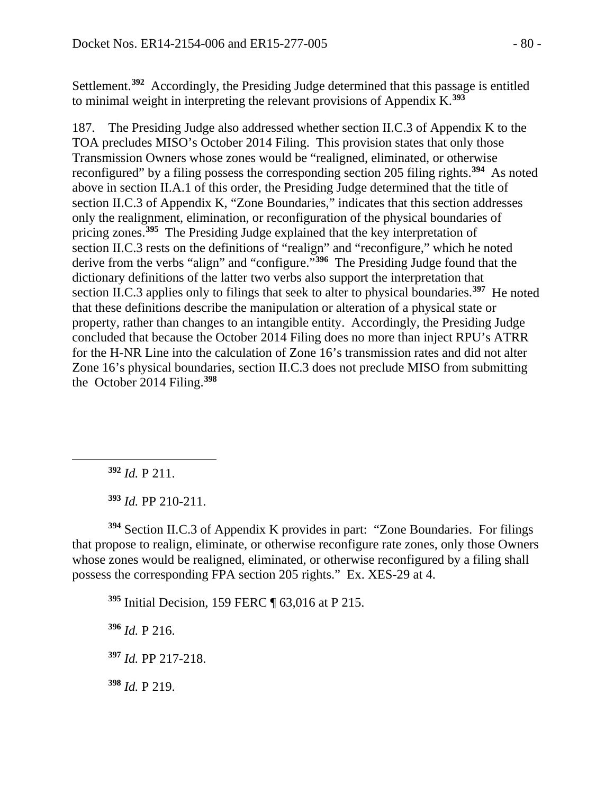Settlement.**[392](#page-79-0)** Accordingly, the Presiding Judge determined that this passage is entitled to minimal weight in interpreting the relevant provisions of Appendix K.**[393](#page-79-1)**

187. The Presiding Judge also addressed whether section II.C.3 of Appendix K to the TOA precludes MISO's October 2014 Filing. This provision states that only those Transmission Owners whose zones would be "realigned, eliminated, or otherwise reconfigured" by a filing possess the corresponding section 205 filing rights.**[394](#page-79-2)** As noted above in section II.A.1 of this order, the Presiding Judge determined that the title of section II.C.3 of Appendix K, "Zone Boundaries," indicates that this section addresses only the realignment, elimination, or reconfiguration of the physical boundaries of pricing zones.**[395](#page-79-3)** The Presiding Judge explained that the key interpretation of section II.C.3 rests on the definitions of "realign" and "reconfigure," which he noted derive from the verbs "align" and "configure."**[396](#page-79-4)** The Presiding Judge found that the dictionary definitions of the latter two verbs also support the interpretation that section II.C.3 applies only to filings that seek to alter to physical boundaries.**[397](#page-79-5)** He noted that these definitions describe the manipulation or alteration of a physical state or property, rather than changes to an intangible entity. Accordingly, the Presiding Judge concluded that because the October 2014 Filing does no more than inject RPU's ATRR for the H-NR Line into the calculation of Zone 16's transmission rates and did not alter Zone 16's physical boundaries, section II.C.3 does not preclude MISO from submitting the October 2014 Filing.**[398](#page-79-6)**

**<sup>392</sup>** *Id.* P 211.

<span id="page-79-0"></span> $\overline{a}$ 

**<sup>393</sup>** *Id.* PP 210-211.

<span id="page-79-3"></span><span id="page-79-2"></span><span id="page-79-1"></span>**<sup>394</sup>** Section II.C.3 of Appendix K provides in part: "Zone Boundaries. For filings that propose to realign, eliminate, or otherwise reconfigure rate zones, only those Owners whose zones would be realigned, eliminated, or otherwise reconfigured by a filing shall possess the corresponding FPA section 205 rights." Ex. XES-29 at 4.

**<sup>395</sup>** Initial Decision, 159 FERC ¶ 63,016 at P 215.

<span id="page-79-4"></span>**<sup>396</sup>** *Id.* P 216.

<span id="page-79-5"></span>**<sup>397</sup>** *Id.* PP 217-218.

<span id="page-79-6"></span>**<sup>398</sup>** *Id.* P 219.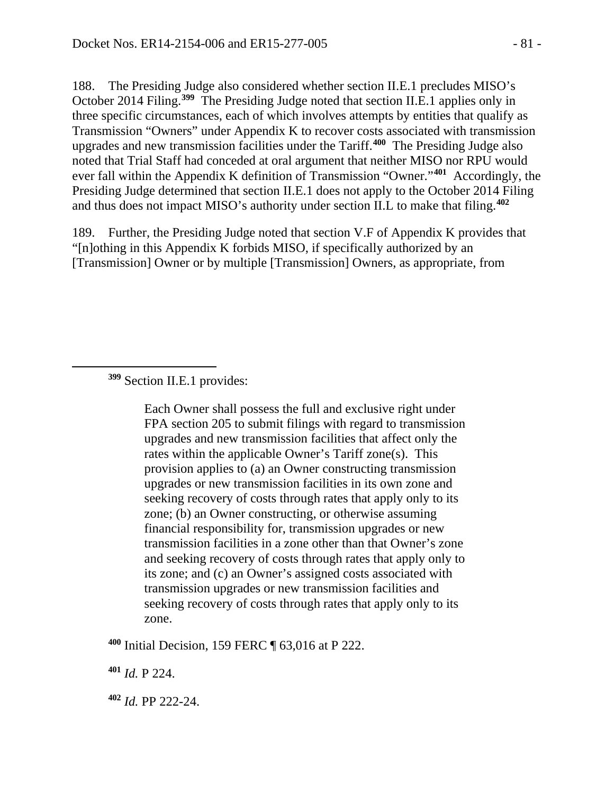188. The Presiding Judge also considered whether section II.E.1 precludes MISO's October 2014 Filing.**[399](#page-80-0)** The Presiding Judge noted that section II.E.1 applies only in three specific circumstances, each of which involves attempts by entities that qualify as Transmission "Owners" under Appendix K to recover costs associated with transmission upgrades and new transmission facilities under the Tariff.**[400](#page-80-1)** The Presiding Judge also noted that Trial Staff had conceded at oral argument that neither MISO nor RPU would ever fall within the Appendix K definition of Transmission "Owner."**[401](#page-80-2)** Accordingly, the Presiding Judge determined that section II.E.1 does not apply to the October 2014 Filing and thus does not impact MISO's authority under section II.L to make that filing.**[402](#page-80-3)**

189. Further, the Presiding Judge noted that section V.F of Appendix K provides that "[n]othing in this Appendix K forbids MISO, if specifically authorized by an [Transmission] Owner or by multiple [Transmission] Owners, as appropriate, from

**<sup>399</sup>** Section II.E.1 provides:

<span id="page-80-0"></span> $\overline{a}$ 

Each Owner shall possess the full and exclusive right under FPA section 205 to submit filings with regard to transmission upgrades and new transmission facilities that affect only the rates within the applicable Owner's Tariff zone(s). This provision applies to (a) an Owner constructing transmission upgrades or new transmission facilities in its own zone and seeking recovery of costs through rates that apply only to its zone; (b) an Owner constructing, or otherwise assuming financial responsibility for, transmission upgrades or new transmission facilities in a zone other than that Owner's zone and seeking recovery of costs through rates that apply only to its zone; and (c) an Owner's assigned costs associated with transmission upgrades or new transmission facilities and seeking recovery of costs through rates that apply only to its zone.

<span id="page-80-1"></span>**<sup>400</sup>** Initial Decision, 159 FERC ¶ 63,016 at P 222.

<span id="page-80-2"></span>**<sup>401</sup>** *Id.* P 224.

<span id="page-80-3"></span>**<sup>402</sup>** *Id.* PP 222-24.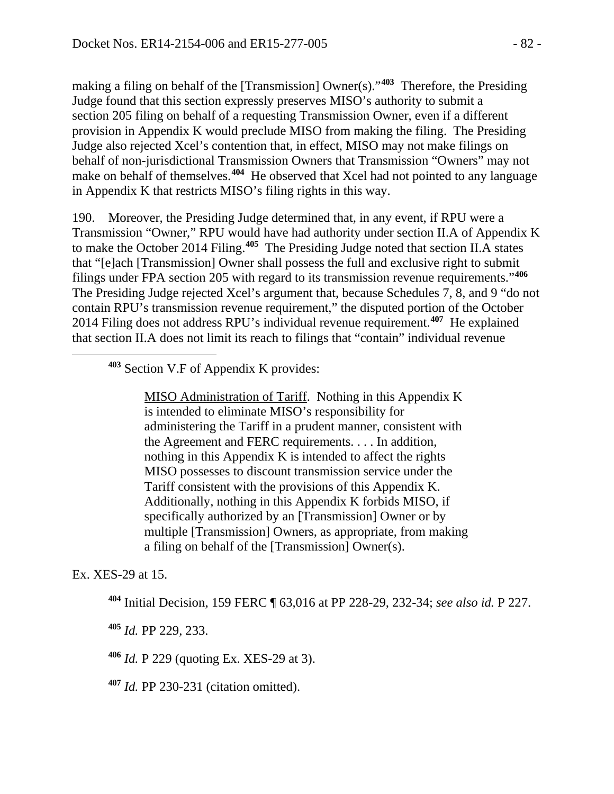making a filing on behalf of the [Transmission] Owner(s)."**[403](#page-81-0)** Therefore, the Presiding Judge found that this section expressly preserves MISO's authority to submit a section 205 filing on behalf of a requesting Transmission Owner, even if a different provision in Appendix K would preclude MISO from making the filing. The Presiding Judge also rejected Xcel's contention that, in effect, MISO may not make filings on behalf of non-jurisdictional Transmission Owners that Transmission "Owners" may not make on behalf of themselves.**[404](#page-81-1)** He observed that Xcel had not pointed to any language in Appendix K that restricts MISO's filing rights in this way.

190. Moreover, the Presiding Judge determined that, in any event, if RPU were a Transmission "Owner," RPU would have had authority under section II.A of Appendix K to make the October 2014 Filing.**[405](#page-81-2)** The Presiding Judge noted that section II.A states that "[e]ach [Transmission] Owner shall possess the full and exclusive right to submit filings under FPA section 205 with regard to its transmission revenue requirements."**[406](#page-81-3)** The Presiding Judge rejected Xcel's argument that, because Schedules 7, 8, and 9 "do not contain RPU's transmission revenue requirement," the disputed portion of the October 2014 Filing does not address RPU's individual revenue requirement.**[407](#page-81-4)** He explained that section II.A does not limit its reach to filings that "contain" individual revenue

# **<sup>403</sup>** Section V.F of Appendix K provides:

MISO Administration of Tariff. Nothing in this Appendix K is intended to eliminate MISO's responsibility for administering the Tariff in a prudent manner, consistent with the Agreement and FERC requirements. . . . In addition, nothing in this Appendix K is intended to affect the rights MISO possesses to discount transmission service under the Tariff consistent with the provisions of this Appendix K. Additionally, nothing in this Appendix K forbids MISO, if specifically authorized by an [Transmission] Owner or by multiple [Transmission] Owners, as appropriate, from making a filing on behalf of the [Transmission] Owner(s).

<span id="page-81-2"></span><span id="page-81-1"></span>Ex. XES-29 at 15.

<span id="page-81-0"></span> $\overline{a}$ 

**<sup>404</sup>** Initial Decision, 159 FERC ¶ 63,016 at PP 228-29, 232-34; *see also id.* P 227.

**<sup>405</sup>** *Id.* PP 229, 233.

<span id="page-81-3"></span>**<sup>406</sup>** *Id.* P 229 (quoting Ex. XES-29 at 3).

<span id="page-81-4"></span>**<sup>407</sup>** *Id.* PP 230-231 (citation omitted).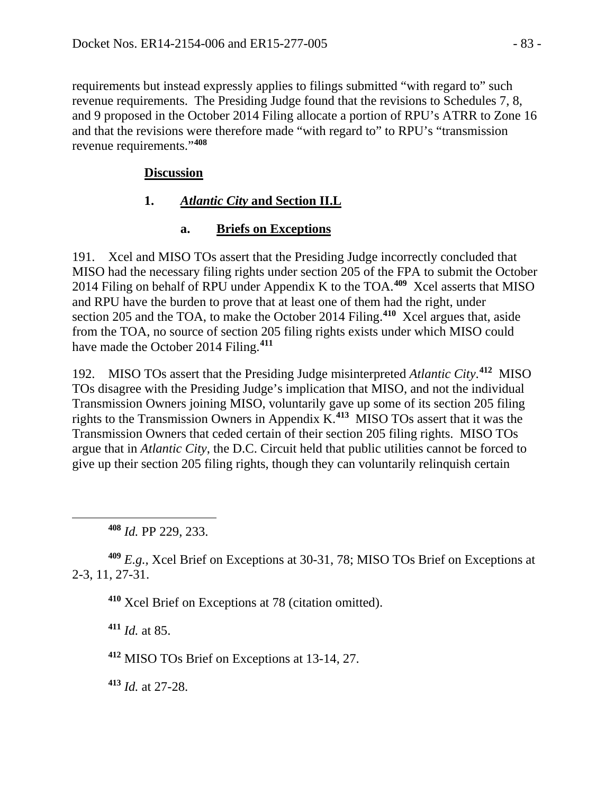requirements but instead expressly applies to filings submitted "with regard to" such revenue requirements. The Presiding Judge found that the revisions to Schedules 7, 8, and 9 proposed in the October 2014 Filing allocate a portion of RPU's ATRR to Zone 16 and that the revisions were therefore made "with regard to" to RPU's "transmission revenue requirements."**[408](#page-82-0)**

## **Discussion**

## **1.** *Atlantic City* **and Section II.L**

# **a. Briefs on Exceptions**

191. Xcel and MISO TOs assert that the Presiding Judge incorrectly concluded that MISO had the necessary filing rights under section 205 of the FPA to submit the October 2014 Filing on behalf of RPU under Appendix K to the TOA.**[409](#page-82-1)** Xcel asserts that MISO and RPU have the burden to prove that at least one of them had the right, under section 205 and the TOA, to make the October 2014 Filing. **[410](#page-82-2)** Xcel argues that, aside from the TOA, no source of section 205 filing rights exists under which MISO could have made the October 2014 Filing. **[411](#page-82-3)**

192. MISO TOs assert that the Presiding Judge misinterpreted *Atlantic City*. **[412](#page-82-4)** MISO TOs disagree with the Presiding Judge's implication that MISO, and not the individual Transmission Owners joining MISO, voluntarily gave up some of its section 205 filing rights to the Transmission Owners in Appendix K.**[413](#page-82-5)** MISO TOs assert that it was the Transmission Owners that ceded certain of their section 205 filing rights. MISO TOs argue that in *Atlantic City*, the D.C. Circuit held that public utilities cannot be forced to give up their section 205 filing rights, though they can voluntarily relinquish certain

<span id="page-82-0"></span> $\overline{a}$ 

<span id="page-82-3"></span><span id="page-82-2"></span><span id="page-82-1"></span>**<sup>409</sup>** *E.g.,* Xcel Brief on Exceptions at 30-31, 78; MISO TOs Brief on Exceptions at 2-3, 11, 27-31.

**<sup>410</sup>** Xcel Brief on Exceptions at 78 (citation omitted).

**<sup>411</sup>** *Id.* at 85.

<span id="page-82-4"></span>**<sup>412</sup>** MISO TOs Brief on Exceptions at 13-14, 27.

<span id="page-82-5"></span>**<sup>413</sup>** *Id.* at 27-28.

**<sup>408</sup>** *Id.* PP 229, 233.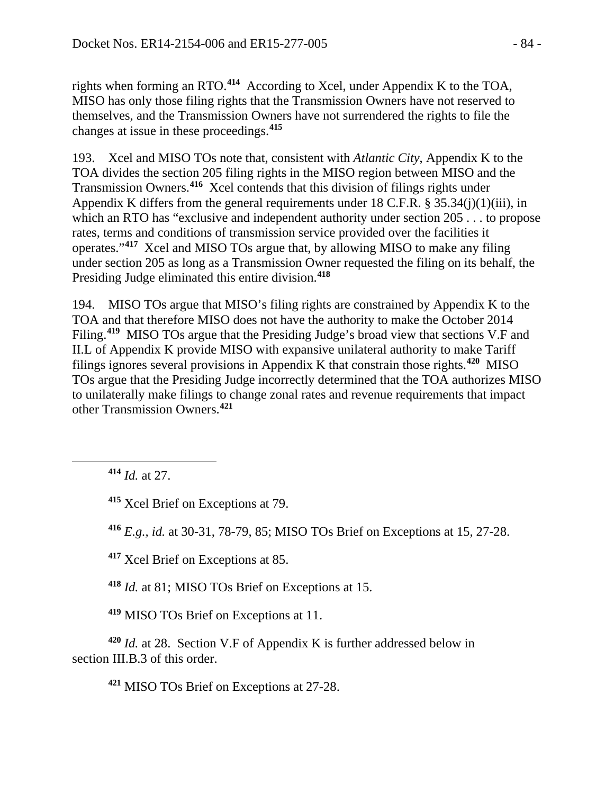rights when forming an RTO.**[414](#page-83-0)** According to Xcel, under Appendix K to the TOA, MISO has only those filing rights that the Transmission Owners have not reserved to themselves, and the Transmission Owners have not surrendered the rights to file the changes at issue in these proceedings. **[415](#page-83-1)**

193. Xcel and MISO TOs note that, consistent with *Atlantic City*, Appendix K to the TOA divides the section 205 filing rights in the MISO region between MISO and the Transmission Owners. **[416](#page-83-2)** Xcel contends that this division of filings rights under Appendix K differs from the general requirements under 18 C.F.R.  $\S 35.34(i)(1)(iii)$ , in which an RTO has "exclusive and independent authority under section 205 . . . to propose rates, terms and conditions of transmission service provided over the facilities it operates."**[417](#page-83-3)** Xcel and MISO TOs argue that, by allowing MISO to make any filing under section 205 as long as a Transmission Owner requested the filing on its behalf, the Presiding Judge eliminated this entire division.**[418](#page-83-4)**

194. MISO TOs argue that MISO's filing rights are constrained by Appendix K to the TOA and that therefore MISO does not have the authority to make the October 2014 Filing.**[419](#page-83-5)** MISO TOs argue that the Presiding Judge's broad view that sections V.F and II.L of Appendix K provide MISO with expansive unilateral authority to make Tariff filings ignores several provisions in Appendix K that constrain those rights.**[420](#page-83-6)** MISO TOs argue that the Presiding Judge incorrectly determined that the TOA authorizes MISO to unilaterally make filings to change zonal rates and revenue requirements that impact other Transmission Owners.**[421](#page-83-7)**

**<sup>414</sup>** *Id.* at 27.

<span id="page-83-2"></span><span id="page-83-1"></span><span id="page-83-0"></span> $\overline{a}$ 

**<sup>415</sup>** Xcel Brief on Exceptions at 79.

**<sup>416</sup>** *E.g., id.* at 30-31, 78-79, 85; MISO TOs Brief on Exceptions at 15, 27-28.

<span id="page-83-3"></span>**<sup>417</sup>** Xcel Brief on Exceptions at 85.

**<sup>418</sup>** *Id.* at 81; MISO TOs Brief on Exceptions at 15.

**<sup>419</sup>** MISO TOs Brief on Exceptions at 11.

<span id="page-83-7"></span><span id="page-83-6"></span><span id="page-83-5"></span><span id="page-83-4"></span>**<sup>420</sup>** *Id.* at 28. Section V.F of Appendix K is further addressed below in section III.B.3 of this order.

**<sup>421</sup>** MISO TOs Brief on Exceptions at 27-28.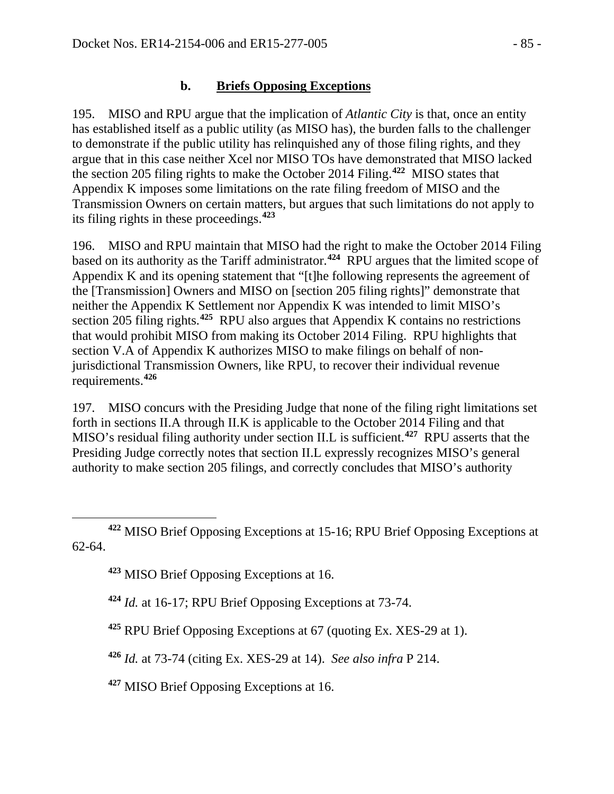#### **b. Briefs Opposing Exceptions**

195. MISO and RPU argue that the implication of *Atlantic City* is that, once an entity has established itself as a public utility (as MISO has), the burden falls to the challenger to demonstrate if the public utility has relinquished any of those filing rights, and they argue that in this case neither Xcel nor MISO TOs have demonstrated that MISO lacked the section 205 filing rights to make the October 2014 Filing.**[422](#page-84-0)** MISO states that Appendix K imposes some limitations on the rate filing freedom of MISO and the Transmission Owners on certain matters, but argues that such limitations do not apply to its filing rights in these proceedings. **[423](#page-84-1)**

196. MISO and RPU maintain that MISO had the right to make the October 2014 Filing based on its authority as the Tariff administrator.**[424](#page-84-2)** RPU argues that the limited scope of Appendix K and its opening statement that "[t]he following represents the agreement of the [Transmission] Owners and MISO on [section 205 filing rights]" demonstrate that neither the Appendix K Settlement nor Appendix K was intended to limit MISO's section 205 filing rights. **[425](#page-84-3)** RPU also argues that Appendix K contains no restrictions that would prohibit MISO from making its October 2014 Filing. RPU highlights that section V.A of Appendix K authorizes MISO to make filings on behalf of nonjurisdictional Transmission Owners, like RPU, to recover their individual revenue requirements.**[426](#page-84-4)**

197. MISO concurs with the Presiding Judge that none of the filing right limitations set forth in sections II.A through II.K is applicable to the October 2014 Filing and that MISO's residual filing authority under section II.L is sufficient.**[427](#page-84-5)** RPU asserts that the Presiding Judge correctly notes that section II.L expressly recognizes MISO's general authority to make section 205 filings, and correctly concludes that MISO's authority

<span id="page-84-2"></span><span id="page-84-1"></span><span id="page-84-0"></span>**<sup>422</sup>** MISO Brief Opposing Exceptions at 15-16; RPU Brief Opposing Exceptions at 62-64.

**<sup>423</sup>** MISO Brief Opposing Exceptions at 16.

 $\overline{a}$ 

**<sup>424</sup>** *Id.* at 16-17; RPU Brief Opposing Exceptions at 73-74.

<span id="page-84-3"></span>**<sup>425</sup>** RPU Brief Opposing Exceptions at 67 (quoting Ex. XES-29 at 1).

<span id="page-84-4"></span>**<sup>426</sup>** *Id.* at 73-74 (citing Ex. XES-29 at 14). *See also infra* P 214.

<span id="page-84-5"></span>**<sup>427</sup>** MISO Brief Opposing Exceptions at 16.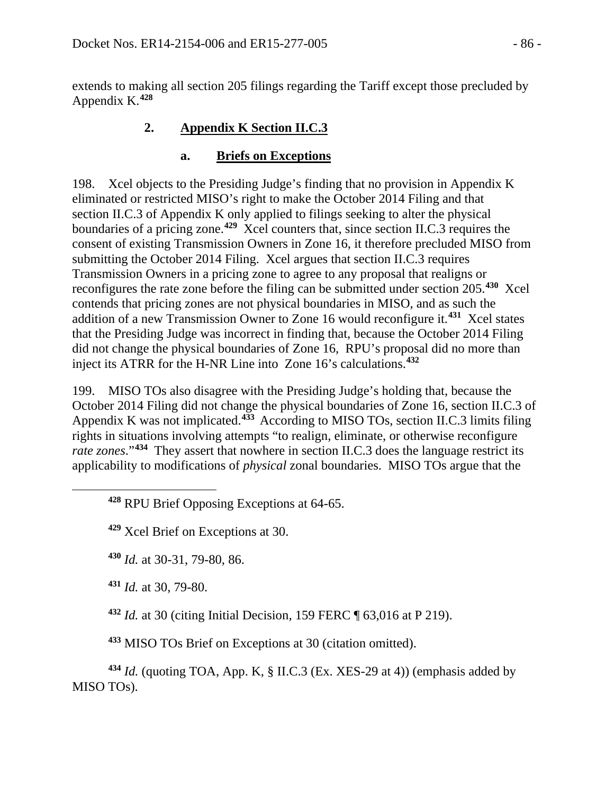extends to making all section 205 filings regarding the Tariff except those precluded by Appendix K.**[428](#page-85-0)**

# **2. Appendix K Section II.C.3**

### **a. Briefs on Exceptions**

198. Xcel objects to the Presiding Judge's finding that no provision in Appendix K eliminated or restricted MISO's right to make the October 2014 Filing and that section II.C.3 of Appendix K only applied to filings seeking to alter the physical boundaries of a pricing zone.**[429](#page-85-1)** Xcel counters that, since section II.C.3 requires the consent of existing Transmission Owners in Zone 16, it therefore precluded MISO from submitting the October 2014 Filing. Xcel argues that section II.C.3 requires Transmission Owners in a pricing zone to agree to any proposal that realigns or reconfigures the rate zone before the filing can be submitted under section 205.**[430](#page-85-2)** Xcel contends that pricing zones are not physical boundaries in MISO, and as such the addition of a new Transmission Owner to Zone 16 would reconfigure it.**[431](#page-85-3)** Xcel states that the Presiding Judge was incorrect in finding that, because the October 2014 Filing did not change the physical boundaries of Zone 16, RPU's proposal did no more than inject its ATRR for the H-NR Line into Zone 16's calculations.**[432](#page-85-4)**

199. MISO TOs also disagree with the Presiding Judge's holding that, because the October 2014 Filing did not change the physical boundaries of Zone 16, section II.C.3 of Appendix K was not implicated. **[433](#page-85-5)** According to MISO TOs, section II.C.3 limits filing rights in situations involving attempts "to realign, eliminate, or otherwise reconfigure *rate zones*."**[434](#page-85-6)** They assert that nowhere in section II.C.3 does the language restrict its applicability to modifications of *physical* zonal boundaries. MISO TOs argue that the

**<sup>428</sup>** RPU Brief Opposing Exceptions at 64-65.

**<sup>429</sup>** Xcel Brief on Exceptions at 30.

**<sup>430</sup>** *Id.* at 30-31, 79-80, 86.

<span id="page-85-3"></span>**<sup>431</sup>** *Id.* at 30, 79-80.

<span id="page-85-2"></span><span id="page-85-1"></span><span id="page-85-0"></span> $\overline{a}$ 

**<sup>432</sup>** *Id.* at 30 (citing Initial Decision, 159 FERC ¶ 63,016 at P 219).

**<sup>433</sup>** MISO TOs Brief on Exceptions at 30 (citation omitted).

<span id="page-85-6"></span><span id="page-85-5"></span><span id="page-85-4"></span>**<sup>434</sup>** *Id.* (quoting TOA, App. K, § II.C.3 (Ex. XES-29 at 4)) (emphasis added by MISO TOs).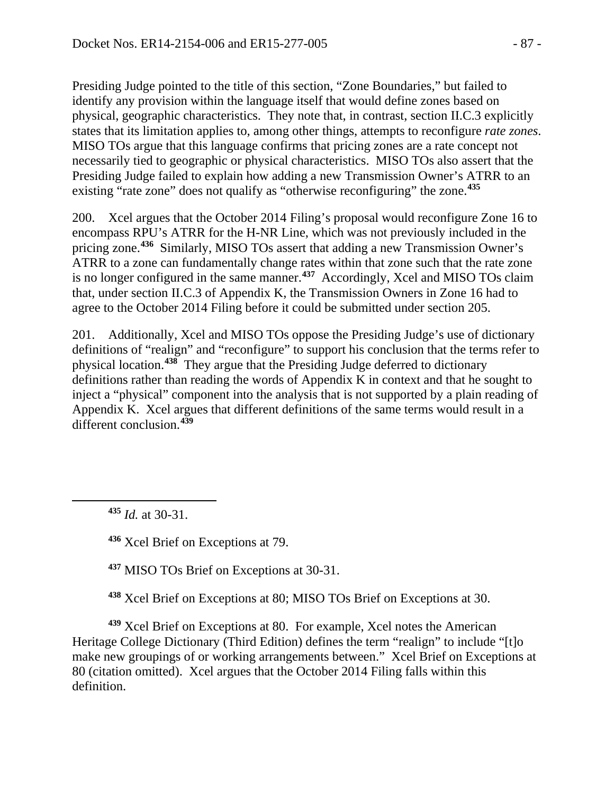Presiding Judge pointed to the title of this section, "Zone Boundaries," but failed to identify any provision within the language itself that would define zones based on physical, geographic characteristics. They note that, in contrast, section II.C.3 explicitly states that its limitation applies to, among other things, attempts to reconfigure *rate zones*. MISO TOs argue that this language confirms that pricing zones are a rate concept not necessarily tied to geographic or physical characteristics. MISO TOs also assert that the Presiding Judge failed to explain how adding a new Transmission Owner's ATRR to an existing "rate zone" does not qualify as "otherwise reconfiguring" the zone.**[435](#page-86-0)**

200. Xcel argues that the October 2014 Filing's proposal would reconfigure Zone 16 to encompass RPU's ATRR for the H-NR Line, which was not previously included in the pricing zone.**[436](#page-86-1)** Similarly, MISO TOs assert that adding a new Transmission Owner's ATRR to a zone can fundamentally change rates within that zone such that the rate zone is no longer configured in the same manner.**[437](#page-86-2)** Accordingly, Xcel and MISO TOs claim that, under section II.C.3 of Appendix K, the Transmission Owners in Zone 16 had to agree to the October 2014 Filing before it could be submitted under section 205.

201. Additionally, Xcel and MISO TOs oppose the Presiding Judge's use of dictionary definitions of "realign" and "reconfigure" to support his conclusion that the terms refer to physical location.**[438](#page-86-3)** They argue that the Presiding Judge deferred to dictionary definitions rather than reading the words of Appendix K in context and that he sought to inject a "physical" component into the analysis that is not supported by a plain reading of Appendix K. Xcel argues that different definitions of the same terms would result in a different conclusion.**[439](#page-86-4)**

**<sup>435</sup>** *Id.* at 30-31.

<span id="page-86-1"></span><span id="page-86-0"></span> $\overline{a}$ 

**<sup>436</sup>** Xcel Brief on Exceptions at 79.

**<sup>437</sup>** MISO TOs Brief on Exceptions at 30-31.

**<sup>438</sup>** Xcel Brief on Exceptions at 80; MISO TOs Brief on Exceptions at 30.

<span id="page-86-4"></span><span id="page-86-3"></span><span id="page-86-2"></span>**<sup>439</sup>** Xcel Brief on Exceptions at 80. For example, Xcel notes the American Heritage College Dictionary (Third Edition) defines the term "realign" to include "[t]o make new groupings of or working arrangements between." Xcel Brief on Exceptions at 80 (citation omitted). Xcel argues that the October 2014 Filing falls within this definition.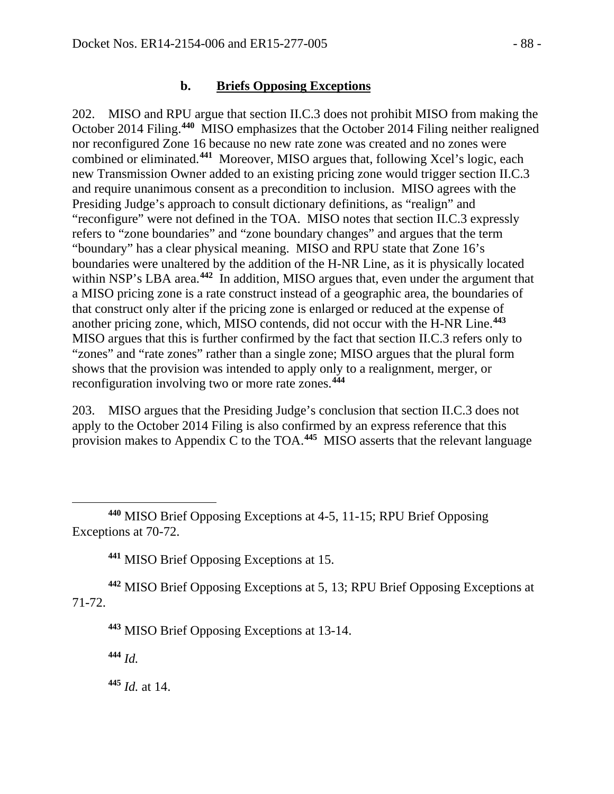#### **b. Briefs Opposing Exceptions**

202. MISO and RPU argue that section II.C.3 does not prohibit MISO from making the October 2014 Filing.**[440](#page-87-0)** MISO emphasizes that the October 2014 Filing neither realigned nor reconfigured Zone 16 because no new rate zone was created and no zones were combined or eliminated.**[441](#page-87-1)** Moreover, MISO argues that, following Xcel's logic, each new Transmission Owner added to an existing pricing zone would trigger section II.C.3 and require unanimous consent as a precondition to inclusion. MISO agrees with the Presiding Judge's approach to consult dictionary definitions, as "realign" and "reconfigure" were not defined in the TOA. MISO notes that section II.C.3 expressly refers to "zone boundaries" and "zone boundary changes" and argues that the term "boundary" has a clear physical meaning. MISO and RPU state that Zone 16's boundaries were unaltered by the addition of the H-NR Line, as it is physically located within NSP's LBA area.<sup>[442](#page-87-2)</sup> In addition, MISO argues that, even under the argument that a MISO pricing zone is a rate construct instead of a geographic area, the boundaries of that construct only alter if the pricing zone is enlarged or reduced at the expense of another pricing zone, which, MISO contends, did not occur with the H-NR Line.**[443](#page-87-3)** MISO argues that this is further confirmed by the fact that section II.C.3 refers only to "zones" and "rate zones" rather than a single zone; MISO argues that the plural form shows that the provision was intended to apply only to a realignment, merger, or reconfiguration involving two or more rate zones.**[444](#page-87-4)**

203. MISO argues that the Presiding Judge's conclusion that section II.C.3 does not apply to the October 2014 Filing is also confirmed by an express reference that this provision makes to Appendix C to the TOA.**[445](#page-87-5)** MISO asserts that the relevant language

**<sup>441</sup>** MISO Brief Opposing Exceptions at 15.

<span id="page-87-4"></span><span id="page-87-3"></span><span id="page-87-2"></span><span id="page-87-1"></span>**<sup>442</sup>** MISO Brief Opposing Exceptions at 5, 13; RPU Brief Opposing Exceptions at 71-72.

**<sup>443</sup>** MISO Brief Opposing Exceptions at 13-14.

**<sup>444</sup>** *Id.* 

 $\overline{a}$ 

<span id="page-87-5"></span>**<sup>445</sup>** *Id.* at 14.

<span id="page-87-0"></span>**<sup>440</sup>** MISO Brief Opposing Exceptions at 4-5, 11-15; RPU Brief Opposing Exceptions at 70-72.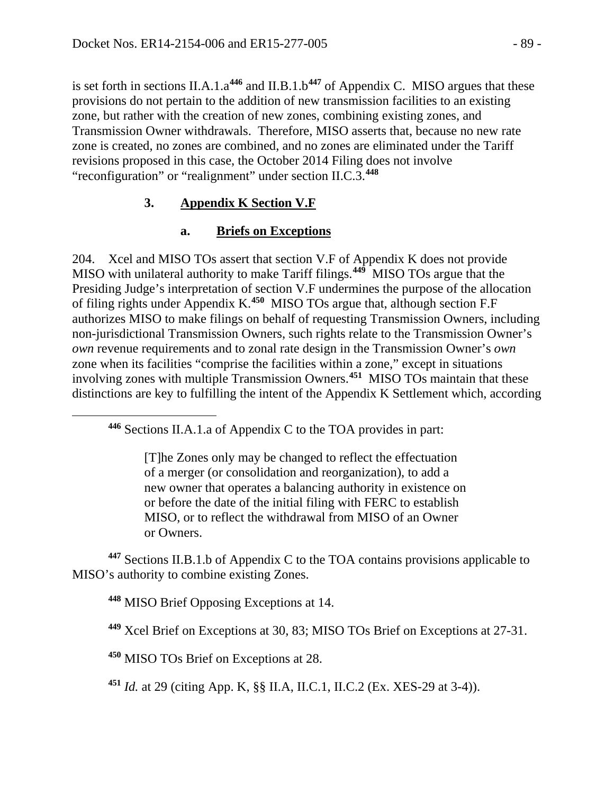is set forth in sections II.A.1.a**[446](#page-88-0)** and II.B.1.b**[447](#page-88-1)** of Appendix C. MISO argues that these provisions do not pertain to the addition of new transmission facilities to an existing zone, but rather with the creation of new zones, combining existing zones, and Transmission Owner withdrawals. Therefore, MISO asserts that, because no new rate zone is created, no zones are combined, and no zones are eliminated under the Tariff revisions proposed in this case, the October 2014 Filing does not involve "reconfiguration" or "realignment" under section II.C.3. **[448](#page-88-2)**

## **3. Appendix K Section V.F**

# **a. Briefs on Exceptions**

204. Xcel and MISO TOs assert that section V.F of Appendix K does not provide MISO with unilateral authority to make Tariff filings.**[449](#page-88-3)** MISO TOs argue that the Presiding Judge's interpretation of section V.F undermines the purpose of the allocation of filing rights under Appendix K.**[450](#page-88-4)** MISO TOs argue that, although section F.F authorizes MISO to make filings on behalf of requesting Transmission Owners, including non-jurisdictional Transmission Owners, such rights relate to the Transmission Owner's *own* revenue requirements and to zonal rate design in the Transmission Owner's *own* zone when its facilities "comprise the facilities within a zone," except in situations involving zones with multiple Transmission Owners.**[451](#page-88-5)** MISO TOs maintain that these distinctions are key to fulfilling the intent of the Appendix K Settlement which, according

[T]he Zones only may be changed to reflect the effectuation of a merger (or consolidation and reorganization), to add a new owner that operates a balancing authority in existence on or before the date of the initial filing with FERC to establish MISO, or to reflect the withdrawal from MISO of an Owner or Owners.

<span id="page-88-3"></span><span id="page-88-2"></span><span id="page-88-1"></span>**<sup>447</sup>** Sections II.B.1.b of Appendix C to the TOA contains provisions applicable to MISO's authority to combine existing Zones.

**<sup>448</sup>** MISO Brief Opposing Exceptions at 14.

<span id="page-88-0"></span> $\overline{a}$ 

**<sup>449</sup>** Xcel Brief on Exceptions at 30, 83; MISO TOs Brief on Exceptions at 27-31.

<span id="page-88-4"></span>**<sup>450</sup>** MISO TOs Brief on Exceptions at 28.

<span id="page-88-5"></span>**<sup>451</sup>** *Id.* at 29 (citing App. K, §§ II.A, II.C.1, II.C.2 (Ex. XES-29 at 3-4)).

**<sup>446</sup>** Sections II.A.1.a of Appendix C to the TOA provides in part: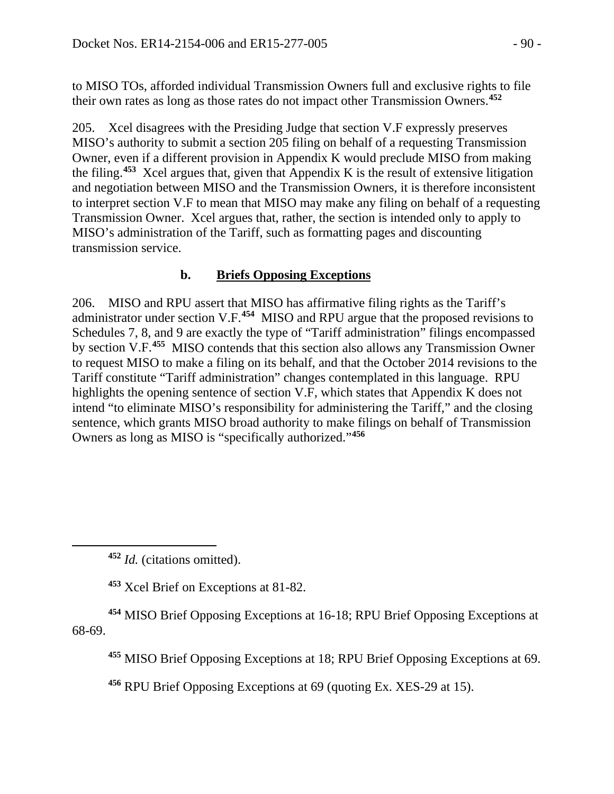to MISO TOs, afforded individual Transmission Owners full and exclusive rights to file their own rates as long as those rates do not impact other Transmission Owners.**[452](#page-89-0)**

205. Xcel disagrees with the Presiding Judge that section V.F expressly preserves MISO's authority to submit a section 205 filing on behalf of a requesting Transmission Owner, even if a different provision in Appendix K would preclude MISO from making the filing. **[453](#page-89-1)** Xcel argues that, given that Appendix K is the result of extensive litigation and negotiation between MISO and the Transmission Owners, it is therefore inconsistent to interpret section V.F to mean that MISO may make any filing on behalf of a requesting Transmission Owner. Xcel argues that, rather, the section is intended only to apply to MISO's administration of the Tariff, such as formatting pages and discounting transmission service.

### **b. Briefs Opposing Exceptions**

206. MISO and RPU assert that MISO has affirmative filing rights as the Tariff's administrator under section V.F.**[454](#page-89-2)** MISO and RPU argue that the proposed revisions to Schedules 7, 8, and 9 are exactly the type of "Tariff administration" filings encompassed by section V.F.**[455](#page-89-3)** MISO contends that this section also allows any Transmission Owner to request MISO to make a filing on its behalf, and that the October 2014 revisions to the Tariff constitute "Tariff administration" changes contemplated in this language. RPU highlights the opening sentence of section V.F, which states that Appendix K does not intend "to eliminate MISO's responsibility for administering the Tariff," and the closing sentence, which grants MISO broad authority to make filings on behalf of Transmission Owners as long as MISO is "specifically authorized."**[456](#page-89-4)**

<span id="page-89-0"></span> $\overline{a}$ 

**<sup>453</sup>** Xcel Brief on Exceptions at 81-82.

<span id="page-89-4"></span><span id="page-89-3"></span><span id="page-89-2"></span><span id="page-89-1"></span>**<sup>454</sup>** MISO Brief Opposing Exceptions at 16-18; RPU Brief Opposing Exceptions at 68-69.

**<sup>455</sup>** MISO Brief Opposing Exceptions at 18; RPU Brief Opposing Exceptions at 69.

**<sup>456</sup>** RPU Brief Opposing Exceptions at 69 (quoting Ex. XES-29 at 15).

**<sup>452</sup>** *Id.* (citations omitted).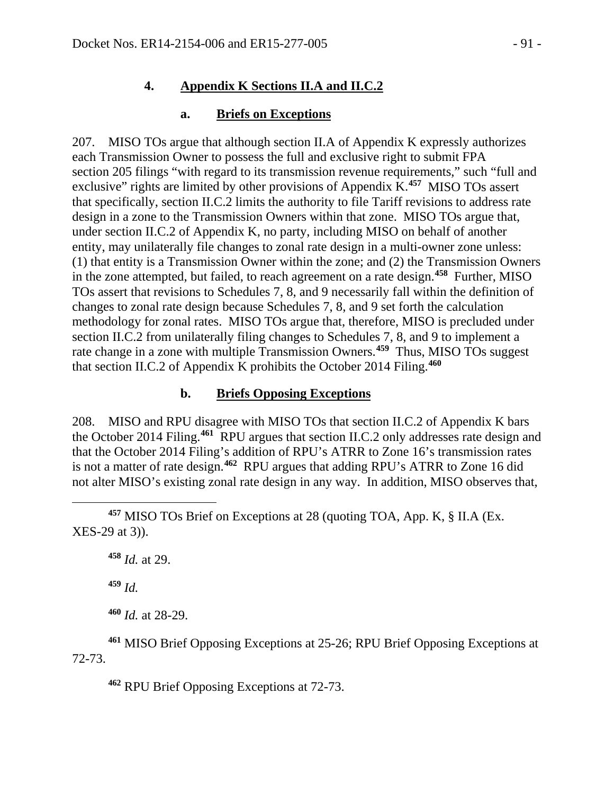#### **4. Appendix K Sections II.A and II.C.2**

#### **a. Briefs on Exceptions**

207. MISO TOs argue that although section II.A of Appendix K expressly authorizes each Transmission Owner to possess the full and exclusive right to submit FPA section 205 filings "with regard to its transmission revenue requirements," such "full and exclusive" rights are limited by other provisions of Appendix K.**[457](#page-90-0)** MISO TOs assert that specifically, section II.C.2 limits the authority to file Tariff revisions to address rate design in a zone to the Transmission Owners within that zone. MISO TOs argue that, under section II.C.2 of Appendix K, no party, including MISO on behalf of another entity, may unilaterally file changes to zonal rate design in a multi-owner zone unless: (1) that entity is a Transmission Owner within the zone; and (2) the Transmission Owners in the zone attempted, but failed, to reach agreement on a rate design.**[458](#page-90-1)** Further, MISO TOs assert that revisions to Schedules 7, 8, and 9 necessarily fall within the definition of changes to zonal rate design because Schedules 7, 8, and 9 set forth the calculation methodology for zonal rates. MISO TOs argue that, therefore, MISO is precluded under section II.C.2 from unilaterally filing changes to Schedules 7, 8, and 9 to implement a rate change in a zone with multiple Transmission Owners. **[459](#page-90-2)** Thus, MISO TOs suggest that section II.C.2 of Appendix K prohibits the October 2014 Filing.**[460](#page-90-3)**

#### **b. Briefs Opposing Exceptions**

208. MISO and RPU disagree with MISO TOs that section II.C.2 of Appendix K bars the October 2014 Filing.**[461](#page-90-4)** RPU argues that section II.C.2 only addresses rate design and that the October 2014 Filing's addition of RPU's ATRR to Zone 16's transmission rates is not a matter of rate design.**[462](#page-90-5)** RPU argues that adding RPU's ATRR to Zone 16 did not alter MISO's existing zonal rate design in any way. In addition, MISO observes that,

**<sup>458</sup>** *Id.* at 29.

**<sup>459</sup>** *Id.*

 $\overline{a}$ 

**<sup>460</sup>** *Id.* at 28-29.

<span id="page-90-5"></span><span id="page-90-4"></span><span id="page-90-3"></span><span id="page-90-2"></span>**<sup>461</sup>** MISO Brief Opposing Exceptions at 25-26; RPU Brief Opposing Exceptions at 72-73.

**<sup>462</sup>** RPU Brief Opposing Exceptions at 72-73.

<span id="page-90-1"></span><span id="page-90-0"></span>**<sup>457</sup>** MISO TOs Brief on Exceptions at 28 (quoting TOA, App. K, § II.A (Ex. XES-29 at 3)).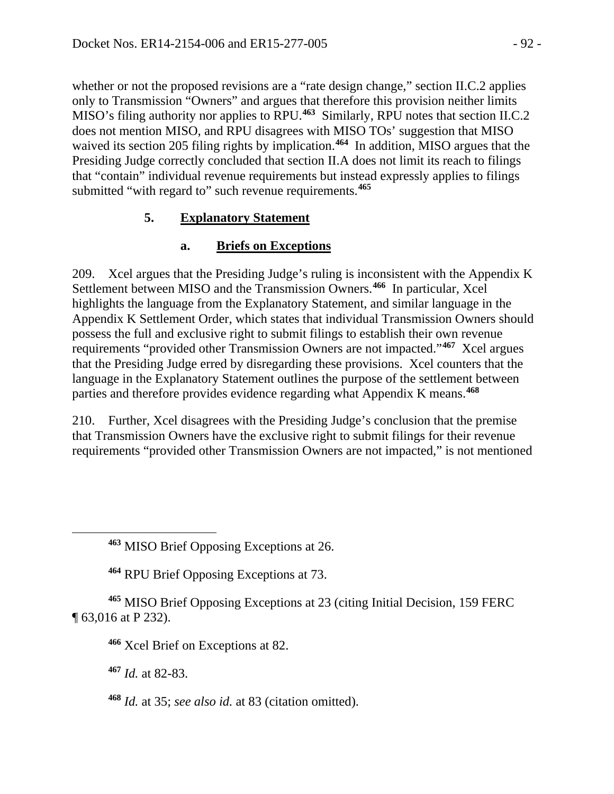whether or not the proposed revisions are a "rate design change," section II.C.2 applies only to Transmission "Owners" and argues that therefore this provision neither limits MISO's filing authority nor applies to RPU.**[463](#page-91-0)** Similarly, RPU notes that section II.C.2 does not mention MISO, and RPU disagrees with MISO TOs' suggestion that MISO waived its section 205 filing rights by implication.<sup>[464](#page-91-1)</sup> In addition, MISO argues that the Presiding Judge correctly concluded that section II.A does not limit its reach to filings that "contain" individual revenue requirements but instead expressly applies to filings submitted "with regard to" such revenue requirements.**[465](#page-91-2)**

### **5. Explanatory Statement**

### **a. Briefs on Exceptions**

209. Xcel argues that the Presiding Judge's ruling is inconsistent with the Appendix K Settlement between MISO and the Transmission Owners.**[466](#page-91-3)** In particular, Xcel highlights the language from the Explanatory Statement, and similar language in the Appendix K Settlement Order, which states that individual Transmission Owners should possess the full and exclusive right to submit filings to establish their own revenue requirements "provided other Transmission Owners are not impacted."**[467](#page-91-4)** Xcel argues that the Presiding Judge erred by disregarding these provisions. Xcel counters that the language in the Explanatory Statement outlines the purpose of the settlement between parties and therefore provides evidence regarding what Appendix K means.**[468](#page-91-5)**

210. Further, Xcel disagrees with the Presiding Judge's conclusion that the premise that Transmission Owners have the exclusive right to submit filings for their revenue requirements "provided other Transmission Owners are not impacted," is not mentioned

<span id="page-91-4"></span><span id="page-91-3"></span><span id="page-91-2"></span><span id="page-91-1"></span>**<sup>465</sup>** MISO Brief Opposing Exceptions at 23 (citing Initial Decision, 159 FERC ¶ 63,016 at P 232).

**<sup>466</sup>** Xcel Brief on Exceptions at 82.

**<sup>467</sup>** *Id.* at 82-83.

<span id="page-91-0"></span> $\overline{a}$ 

<span id="page-91-5"></span>**<sup>468</sup>** *Id.* at 35; *see also id.* at 83 (citation omitted).

**<sup>463</sup>** MISO Brief Opposing Exceptions at 26.

**<sup>464</sup>** RPU Brief Opposing Exceptions at 73.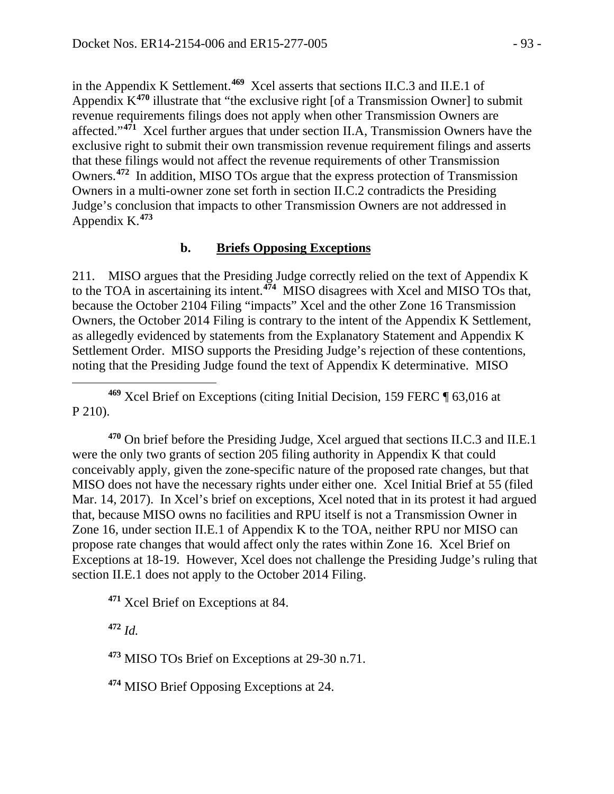in the Appendix K Settlement. **[469](#page-92-0)** Xcel asserts that sections II.C.3 and II.E.1 of Appendix K**[470](#page-92-1)** illustrate that "the exclusive right [of a Transmission Owner] to submit revenue requirements filings does not apply when other Transmission Owners are affected."**[471](#page-92-2)** Xcel further argues that under section II.A, Transmission Owners have the exclusive right to submit their own transmission revenue requirement filings and asserts that these filings would not affect the revenue requirements of other Transmission Owners.**[472](#page-92-3)** In addition, MISO TOs argue that the express protection of Transmission Owners in a multi-owner zone set forth in section II.C.2 contradicts the Presiding Judge's conclusion that impacts to other Transmission Owners are not addressed in Appendix K.**[473](#page-92-4)**

#### **b. Briefs Opposing Exceptions**

211. MISO argues that the Presiding Judge correctly relied on the text of Appendix K to the TOA in ascertaining its intent.**[474](#page-92-5)** MISO disagrees with Xcel and MISO TOs that, because the October 2104 Filing "impacts" Xcel and the other Zone 16 Transmission Owners, the October 2014 Filing is contrary to the intent of the Appendix K Settlement, as allegedly evidenced by statements from the Explanatory Statement and Appendix K Settlement Order. MISO supports the Presiding Judge's rejection of these contentions, noting that the Presiding Judge found the text of Appendix K determinative. MISO

<span id="page-92-0"></span> $\overline{a}$ **<sup>469</sup>** Xcel Brief on Exceptions (citing Initial Decision, 159 FERC ¶ 63,016 at P 210).

<span id="page-92-1"></span>**<sup>470</sup>** On brief before the Presiding Judge, Xcel argued that sections II.C.3 and II.E.1 were the only two grants of section 205 filing authority in Appendix K that could conceivably apply, given the zone-specific nature of the proposed rate changes, but that MISO does not have the necessary rights under either one. Xcel Initial Brief at 55 (filed Mar. 14, 2017). In Xcel's brief on exceptions, Xcel noted that in its protest it had argued that, because MISO owns no facilities and RPU itself is not a Transmission Owner in Zone 16, under section II.E.1 of Appendix K to the TOA, neither RPU nor MISO can propose rate changes that would affect only the rates within Zone 16. Xcel Brief on Exceptions at 18-19. However, Xcel does not challenge the Presiding Judge's ruling that section II.E.1 does not apply to the October 2014 Filing.

<span id="page-92-2"></span>**<sup>471</sup>** Xcel Brief on Exceptions at 84.

<span id="page-92-3"></span>**<sup>472</sup>** *Id.*

<span id="page-92-4"></span>**<sup>473</sup>** MISO TOs Brief on Exceptions at 29-30 n.71.

<span id="page-92-5"></span>**<sup>474</sup>** MISO Brief Opposing Exceptions at 24.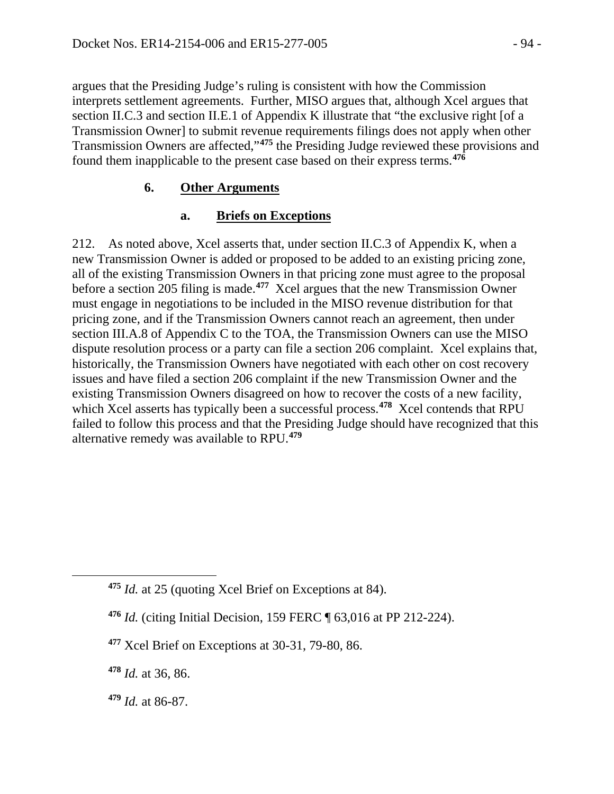argues that the Presiding Judge's ruling is consistent with how the Commission interprets settlement agreements. Further, MISO argues that, although Xcel argues that section II.C.3 and section II.E.1 of Appendix K illustrate that "the exclusive right [of a Transmission Owner] to submit revenue requirements filings does not apply when other Transmission Owners are affected,"**[475](#page-93-0)** the Presiding Judge reviewed these provisions and found them inapplicable to the present case based on their express terms. **[476](#page-93-1)**

#### **6. Other Arguments**

#### **a. Briefs on Exceptions**

212. As noted above, Xcel asserts that, under section II.C.3 of Appendix K, when a new Transmission Owner is added or proposed to be added to an existing pricing zone, all of the existing Transmission Owners in that pricing zone must agree to the proposal before a section 205 filing is made. **[477](#page-93-2)** Xcel argues that the new Transmission Owner must engage in negotiations to be included in the MISO revenue distribution for that pricing zone, and if the Transmission Owners cannot reach an agreement, then under section III.A.8 of Appendix C to the TOA, the Transmission Owners can use the MISO dispute resolution process or a party can file a section 206 complaint. Xcel explains that, historically, the Transmission Owners have negotiated with each other on cost recovery issues and have filed a section 206 complaint if the new Transmission Owner and the existing Transmission Owners disagreed on how to recover the costs of a new facility, which Xcel asserts has typically been a successful process.**[478](#page-93-3)** Xcel contends that RPU failed to follow this process and that the Presiding Judge should have recognized that this alternative remedy was available to RPU.**[479](#page-93-4)**

<span id="page-93-3"></span>**<sup>478</sup>** *Id.* at 36, 86.

<span id="page-93-2"></span><span id="page-93-1"></span><span id="page-93-0"></span> $\overline{a}$ 

**<sup>475</sup>** *Id.* at 25 (quoting Xcel Brief on Exceptions at 84).

**<sup>476</sup>** *Id.* (citing Initial Decision, 159 FERC ¶ 63,016 at PP 212-224).

**<sup>477</sup>** Xcel Brief on Exceptions at 30-31, 79-80, 86.

<span id="page-93-4"></span>**<sup>479</sup>** *Id.* at 86-87.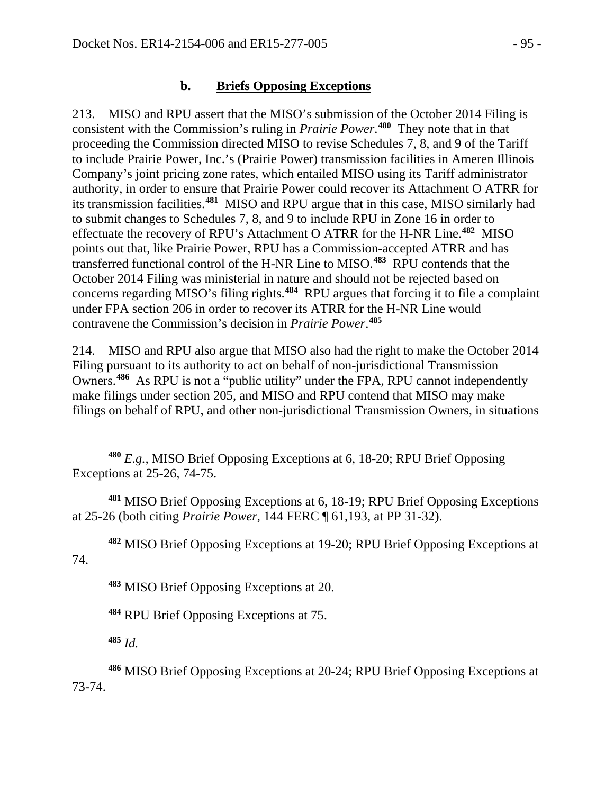#### **b. Briefs Opposing Exceptions**

213. MISO and RPU assert that the MISO's submission of the October 2014 Filing is consistent with the Commission's ruling in *Prairie Power*. **[480](#page-94-0)** They note that in that proceeding the Commission directed MISO to revise Schedules 7, 8, and 9 of the Tariff to include Prairie Power, Inc.'s (Prairie Power) transmission facilities in Ameren Illinois Company's joint pricing zone rates, which entailed MISO using its Tariff administrator authority, in order to ensure that Prairie Power could recover its Attachment O ATRR for its transmission facilities.**[481](#page-94-1)** MISO and RPU argue that in this case, MISO similarly had to submit changes to Schedules 7, 8, and 9 to include RPU in Zone 16 in order to effectuate the recovery of RPU's Attachment O ATRR for the H-NR Line.**[482](#page-94-2)** MISO points out that, like Prairie Power, RPU has a Commission-accepted ATRR and has transferred functional control of the H-NR Line to MISO.**[483](#page-94-3)** RPU contends that the October 2014 Filing was ministerial in nature and should not be rejected based on concerns regarding MISO's filing rights.**[484](#page-94-4)** RPU argues that forcing it to file a complaint under FPA section 206 in order to recover its ATRR for the H-NR Line would contravene the Commission's decision in *Prairie Power*. **[485](#page-94-5)**

214. MISO and RPU also argue that MISO also had the right to make the October 2014 Filing pursuant to its authority to act on behalf of non-jurisdictional Transmission Owners.**[486](#page-94-6)** As RPU is not a "public utility" under the FPA, RPU cannot independently make filings under section 205, and MISO and RPU contend that MISO may make filings on behalf of RPU, and other non-jurisdictional Transmission Owners, in situations

<span id="page-94-1"></span>**<sup>481</sup>** MISO Brief Opposing Exceptions at 6, 18-19; RPU Brief Opposing Exceptions at 25-26 (both citing *Prairie Power,* 144 FERC ¶ 61,193, at PP 31-32).

**<sup>482</sup>** MISO Brief Opposing Exceptions at 19-20; RPU Brief Opposing Exceptions at

**<sup>483</sup>** MISO Brief Opposing Exceptions at 20.

**<sup>484</sup>** RPU Brief Opposing Exceptions at 75.

**<sup>485</sup>** *Id.*

 $\overline{a}$ 

<span id="page-94-4"></span><span id="page-94-3"></span><span id="page-94-2"></span>74.

<span id="page-94-6"></span><span id="page-94-5"></span>**<sup>486</sup>** MISO Brief Opposing Exceptions at 20-24; RPU Brief Opposing Exceptions at 73-74.

<span id="page-94-0"></span>**<sup>480</sup>** *E.g.,* MISO Brief Opposing Exceptions at 6, 18-20; RPU Brief Opposing Exceptions at 25-26, 74-75.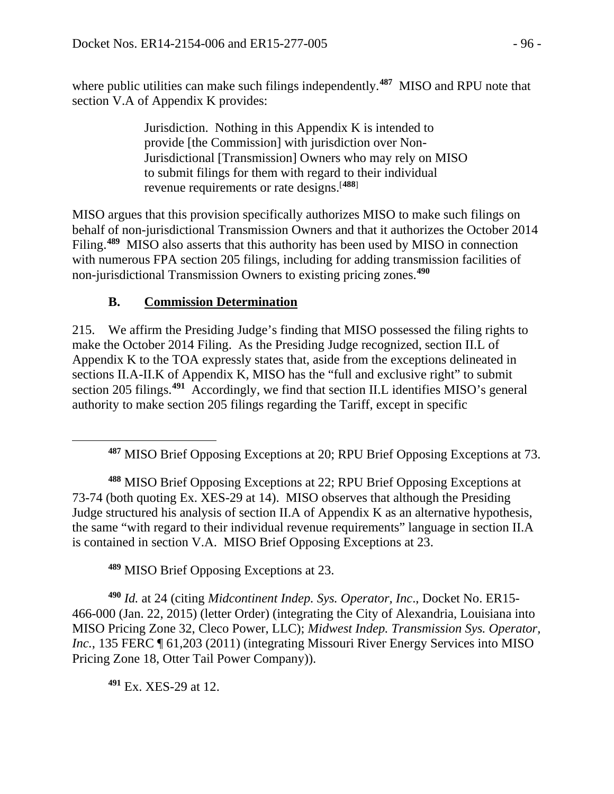where public utilities can make such filings independently.<sup>[487](#page-95-0)</sup> MISO and RPU note that section V.A of Appendix K provides:

> Jurisdiction. Nothing in this Appendix K is intended to provide [the Commission] with jurisdiction over Non-Jurisdictional [Transmission] Owners who may rely on MISO to submit filings for them with regard to their individual revenue requirements or rate designs.[**[488](#page-95-1)**]

MISO argues that this provision specifically authorizes MISO to make such filings on behalf of non-jurisdictional Transmission Owners and that it authorizes the October 2014 Filing.**[489](#page-95-2)** MISO also asserts that this authority has been used by MISO in connection with numerous FPA section 205 filings, including for adding transmission facilities of non-jurisdictional Transmission Owners to existing pricing zones.**[490](#page-95-3)**

### **B. Commission Determination**

215. We affirm the Presiding Judge's finding that MISO possessed the filing rights to make the October 2014 Filing. As the Presiding Judge recognized, section II.L of Appendix K to the TOA expressly states that, aside from the exceptions delineated in sections II.A-II.K of Appendix K, MISO has the "full and exclusive right" to submit section 205 filings.**[491](#page-95-4)** Accordingly, we find that section II.L identifies MISO's general authority to make section 205 filings regarding the Tariff, except in specific

<span id="page-95-1"></span>**<sup>488</sup>** MISO Brief Opposing Exceptions at 22; RPU Brief Opposing Exceptions at 73-74 (both quoting Ex. XES-29 at 14). MISO observes that although the Presiding Judge structured his analysis of section II.A of Appendix K as an alternative hypothesis, the same "with regard to their individual revenue requirements" language in section II.A is contained in section V.A. MISO Brief Opposing Exceptions at 23.

**<sup>489</sup>** MISO Brief Opposing Exceptions at 23.

<span id="page-95-3"></span><span id="page-95-2"></span>**<sup>490</sup>** *Id.* at 24 (citing *Midcontinent Indep. Sys. Operator, Inc*., Docket No. ER15- 466-000 (Jan. 22, 2015) (letter Order) (integrating the City of Alexandria, Louisiana into MISO Pricing Zone 32, Cleco Power, LLC); *Midwest Indep. Transmission Sys. Operator, Inc.*, 135 FERC  $\P$  61,203 (2011) (integrating Missouri River Energy Services into MISO Pricing Zone 18, Otter Tail Power Company)).

<span id="page-95-4"></span>**<sup>491</sup>** Ex. XES-29 at 12.

<span id="page-95-0"></span> $\overline{a}$ 

**<sup>487</sup>** MISO Brief Opposing Exceptions at 20; RPU Brief Opposing Exceptions at 73.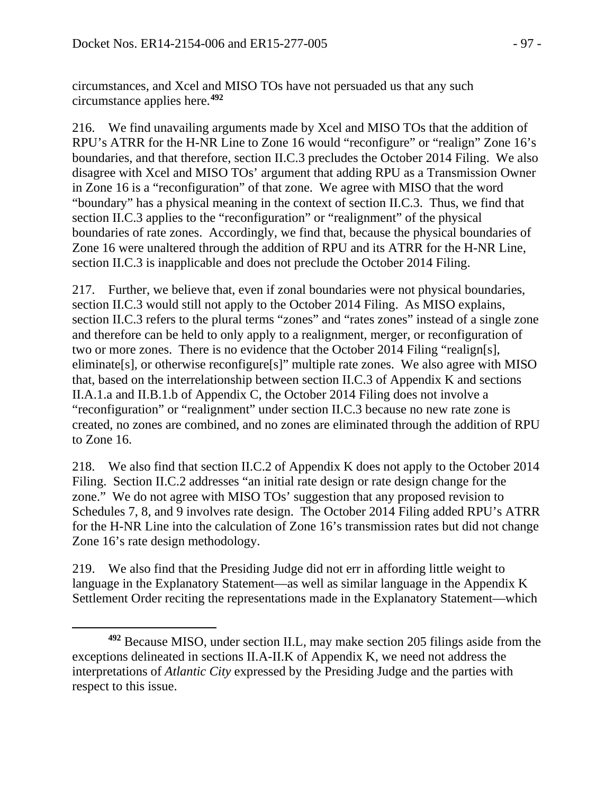circumstances, and Xcel and MISO TOs have not persuaded us that any such circumstance applies here. **[492](#page-96-0)**

216. We find unavailing arguments made by Xcel and MISO TOs that the addition of RPU's ATRR for the H-NR Line to Zone 16 would "reconfigure" or "realign" Zone 16's boundaries, and that therefore, section II.C.3 precludes the October 2014 Filing. We also disagree with Xcel and MISO TOs' argument that adding RPU as a Transmission Owner in Zone 16 is a "reconfiguration" of that zone. We agree with MISO that the word "boundary" has a physical meaning in the context of section II.C.3. Thus, we find that section II.C.3 applies to the "reconfiguration" or "realignment" of the physical boundaries of rate zones. Accordingly, we find that, because the physical boundaries of Zone 16 were unaltered through the addition of RPU and its ATRR for the H-NR Line, section II.C.3 is inapplicable and does not preclude the October 2014 Filing.

217. Further, we believe that, even if zonal boundaries were not physical boundaries, section II.C.3 would still not apply to the October 2014 Filing. As MISO explains, section II.C.3 refers to the plural terms "zones" and "rates zones" instead of a single zone and therefore can be held to only apply to a realignment, merger, or reconfiguration of two or more zones. There is no evidence that the October 2014 Filing "realign[s], eliminate[s], or otherwise reconfigure[s]" multiple rate zones. We also agree with MISO that, based on the interrelationship between section II.C.3 of Appendix K and sections II.A.1.a and II.B.1.b of Appendix C, the October 2014 Filing does not involve a "reconfiguration" or "realignment" under section II.C.3 because no new rate zone is created, no zones are combined, and no zones are eliminated through the addition of RPU to Zone 16.

218. We also find that section II.C.2 of Appendix K does not apply to the October 2014 Filing. Section II.C.2 addresses "an initial rate design or rate design change for the zone." We do not agree with MISO TOs' suggestion that any proposed revision to Schedules 7, 8, and 9 involves rate design. The October 2014 Filing added RPU's ATRR for the H-NR Line into the calculation of Zone 16's transmission rates but did not change Zone 16's rate design methodology.

219. We also find that the Presiding Judge did not err in affording little weight to language in the Explanatory Statement—as well as similar language in the Appendix K Settlement Order reciting the representations made in the Explanatory Statement—which

<span id="page-96-0"></span> $\overline{a}$ **<sup>492</sup>** Because MISO, under section II.L, may make section 205 filings aside from the exceptions delineated in sections II.A-II.K of Appendix K, we need not address the interpretations of *Atlantic City* expressed by the Presiding Judge and the parties with respect to this issue.